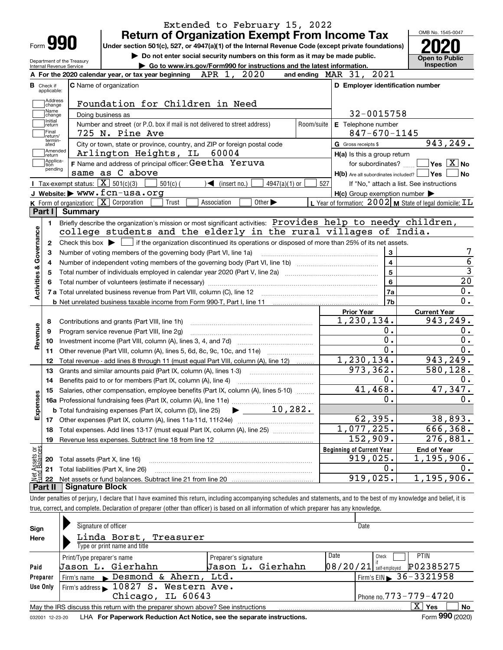| Form <b>990</b>                            | <b>Return of Organization Exempt From Income Tax</b><br>Under section 501(c), 527, or 4947(a)(1) of the Internal Revenue Code (except private foundations) |                                                                    | OMB No. 1545-0047                                                                                            |
|--------------------------------------------|------------------------------------------------------------------------------------------------------------------------------------------------------------|--------------------------------------------------------------------|--------------------------------------------------------------------------------------------------------------|
| Department of the Treasury                 | Do not enter social security numbers on this form as it may be made public.                                                                                |                                                                    | <b>Open to Public</b>                                                                                        |
| Internal Revenue Service                   | Go to www.irs.gov/Form990 for instructions and the latest information.<br>2020<br>APR 1,<br>A For the 2020 calendar year, or tax year beginning            | 2021<br>and ending $\n  MAR\n  31$ ,                               | <b>Inspection</b>                                                                                            |
| <b>B</b> Check if                          | <b>C</b> Name of organization                                                                                                                              | D Employer identification number                                   |                                                                                                              |
| applicable:                                |                                                                                                                                                            |                                                                    |                                                                                                              |
| Address<br>change                          | Foundation for Children in Need                                                                                                                            |                                                                    |                                                                                                              |
| Name                                       | Doing business as                                                                                                                                          | 32-0015758                                                         |                                                                                                              |
| change<br>Initial<br>return                | Number and street (or P.O. box if mail is not delivered to street address)<br>Room/suite                                                                   | E Telephone number                                                 |                                                                                                              |
| Final                                      | 725 N. Pine Ave                                                                                                                                            | $847 - 670 - 1145$                                                 |                                                                                                              |
| return/<br>termin-<br>ated                 | City or town, state or province, country, and ZIP or foreign postal code                                                                                   | G Gross receipts \$                                                | 943,249.                                                                                                     |
| Amended                                    | Arlington Heights, IL<br>60004                                                                                                                             | H(a) Is this a group return                                        |                                                                                                              |
| ∣return<br>Applica-<br>tion                | F Name and address of principal officer: Geetha Yeruva                                                                                                     | for subordinates?                                                  | $ {\mathsf Y}{\mathsf e}{\mathsf s} \: \mid \! \underline{{\mathsf X}} \:  $ No                              |
| pending                                    | same as C above                                                                                                                                            | $H(b)$ Are all subordinates included?                              | ∣Yes                                                                                                         |
|                                            | Tax-exempt status: $\boxed{\mathbf{X}}$ 501(c)(3)<br>$501(c)$ (<br>$\blacktriangleleft$ (insert no.)<br>$4947(a)(1)$ or                                    | 527                                                                | If "No," attach a list. See instructions                                                                     |
|                                            | J Website: > WWW.fcn-usa.org                                                                                                                               | $H(c)$ Group exemption number $\blacktriangleright$                |                                                                                                              |
|                                            | K Form of organization: $\boxed{\mathbf{X}}$ Corporation<br>Other $\blacktriangleright$<br>Trust<br>Association                                            | L Year of formation: $2002$ M State of legal domicile: $\text{IL}$ |                                                                                                              |
| Part I<br>Summary                          |                                                                                                                                                            |                                                                    |                                                                                                              |
| 1.                                         | Briefly describe the organization's mission or most significant activities: Provides help to needy children,                                               |                                                                    |                                                                                                              |
|                                            | college students and the elderly in the rural villages of India.                                                                                           |                                                                    |                                                                                                              |
| 2                                          | Check this box $\blacktriangleright$ $\Box$ if the organization discontinued its operations or disposed of more than 25% of its net assets.                |                                                                    |                                                                                                              |
| З                                          | Number of voting members of the governing body (Part VI, line 1a)                                                                                          | 3                                                                  |                                                                                                              |
| 4                                          |                                                                                                                                                            | $\overline{\mathbf{4}}$                                            |                                                                                                              |
| 5                                          |                                                                                                                                                            |                                                                    |                                                                                                              |
|                                            |                                                                                                                                                            |                                                                    |                                                                                                              |
|                                            |                                                                                                                                                            | 5                                                                  |                                                                                                              |
|                                            |                                                                                                                                                            | 6                                                                  |                                                                                                              |
| Activities & Governance                    |                                                                                                                                                            | <b>7a</b>                                                          |                                                                                                              |
|                                            |                                                                                                                                                            | 7b                                                                 |                                                                                                              |
|                                            |                                                                                                                                                            | <b>Prior Year</b>                                                  | <b>Current Year</b>                                                                                          |
| 8                                          | Contributions and grants (Part VIII, line 1h)                                                                                                              | 1,230,134.                                                         |                                                                                                              |
| 9                                          | Program service revenue (Part VIII, line 2g)                                                                                                               | 0.                                                                 |                                                                                                              |
| Revenue<br>10                              |                                                                                                                                                            | $0$ .                                                              |                                                                                                              |
| 11                                         | Other revenue (Part VIII, column (A), lines 5, 6d, 8c, 9c, 10c, and 11e)                                                                                   | $\overline{0}$ .                                                   |                                                                                                              |
| 12                                         | Total revenue - add lines 8 through 11 (must equal Part VIII, column (A), line 12)                                                                         | 1,230,134.                                                         |                                                                                                              |
| 13                                         | Grants and similar amounts paid (Part IX, column (A), lines 1-3)                                                                                           | 973, 362.                                                          |                                                                                                              |
| 14                                         |                                                                                                                                                            | 0.                                                                 |                                                                                                              |
|                                            | 15 Salaries, other compensation, employee benefits (Part IX, column (A), lines 5-10)                                                                       | 41,468.                                                            |                                                                                                              |
|                                            |                                                                                                                                                            | 0.                                                                 |                                                                                                              |
| Expenses                                   | 10, 282.<br><b>b</b> Total fundraising expenses (Part IX, column (D), line 25)                                                                             |                                                                    |                                                                                                              |
| 17                                         |                                                                                                                                                            | 62,395.                                                            |                                                                                                              |
| 18                                         | Total expenses. Add lines 13-17 (must equal Part IX, column (A), line 25)                                                                                  | 1,077,225.                                                         |                                                                                                              |
| 19                                         |                                                                                                                                                            | 152,909.                                                           |                                                                                                              |
|                                            |                                                                                                                                                            | <b>Beginning of Current Year</b>                                   | <b>End of Year</b>                                                                                           |
| 20                                         | Total assets (Part X, line 16)                                                                                                                             | 919,025.                                                           | 943,249.<br>943, 249.<br>580, 128.<br>47,347.<br>38,893.<br>666,368.<br>276,881.<br>$\overline{1,195,906}$ . |
| t Assets or<br>d Balances<br>21<br>혏<br>22 | Total liabilities (Part X, line 26)                                                                                                                        | 0.<br>919,025.                                                     | 1,195,906.                                                                                                   |

| Sign     | Signature of officer                                                            |                      | Date                                         |
|----------|---------------------------------------------------------------------------------|----------------------|----------------------------------------------|
| Here     | Linda Borst, Treasurer<br>Type or print name and title                          |                      |                                              |
|          | Print/Type preparer's name                                                      | Preparer's signature | Date<br><b>PTIN</b><br>Check                 |
| Paid     | Jason L. Gierhahn                                                               | Jason L. Gierhahn    | P02385275<br> 08/20/21 <br>I self-emploved   |
| Preparer | Firm's name $\blacktriangleright$ Desmond & Ahern,                              | Ltd.                 | $1$ Firm's EIN $\triangleright$ 36 - 3321958 |
| Use Only | Firm's address 10827 S. Western Ave.                                            |                      |                                              |
|          | Chicago, IL 60643                                                               |                      | Phone no. $773 - 779 - 4720$                 |
|          | May the IRS discuss this return with the preparer shown above? See instructions |                      | $X \vert Y$ es<br><b>No</b>                  |
|          |                                                                                 |                      | $000 \leq x \leq 1$                          |

032001 12-23-20 LHA **For Paperwork Reduction Act Notice, see the separate instructions.** Form 990 (2020)

**990**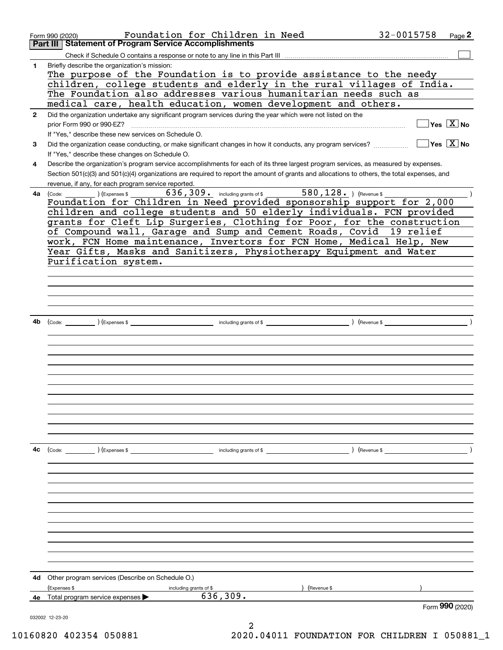|              | Foundation for Children in Need<br>Form 990 (2020)                                                                                                                                                                                  | 32-0015758                                                      | Page 2                                  |
|--------------|-------------------------------------------------------------------------------------------------------------------------------------------------------------------------------------------------------------------------------------|-----------------------------------------------------------------|-----------------------------------------|
|              | <b>Statement of Program Service Accomplishments</b><br>Part III                                                                                                                                                                     |                                                                 |                                         |
|              | Check if Schedule O contains a response or note to any line in this Part III                                                                                                                                                        |                                                                 |                                         |
| 1.           | Briefly describe the organization's mission:                                                                                                                                                                                        |                                                                 |                                         |
|              | The purpose of the Foundation is to provide assistance to the needy                                                                                                                                                                 |                                                                 |                                         |
|              | children, college students and elderly in the rural villages of India.<br>The Foundation also addresses various humanitarian needs such as                                                                                          |                                                                 |                                         |
|              | medical care, health education, women development and others.                                                                                                                                                                       |                                                                 |                                         |
| $\mathbf{2}$ | Did the organization undertake any significant program services during the year which were not listed on the                                                                                                                        |                                                                 |                                         |
|              | prior Form 990 or 990-EZ?                                                                                                                                                                                                           |                                                                 | $\Box$ Yes $[\overline{\mathrm{X}}]$ No |
|              | If "Yes," describe these new services on Schedule O.                                                                                                                                                                                |                                                                 |                                         |
| 3            | Did the organization cease conducting, or make significant changes in how it conducts, any program services?                                                                                                                        | $\blacksquare$ Yes $\lceil$ $\overline{\mathrm{X}}$ $\rceil$ No |                                         |
|              | If "Yes," describe these changes on Schedule O.                                                                                                                                                                                     |                                                                 |                                         |
| 4            | Describe the organization's program service accomplishments for each of its three largest program services, as measured by expenses.                                                                                                |                                                                 |                                         |
|              | Section 501(c)(3) and 501(c)(4) organizations are required to report the amount of grants and allocations to others, the total expenses, and                                                                                        |                                                                 |                                         |
|              | revenue, if any, for each program service reported.                                                                                                                                                                                 |                                                                 |                                         |
| 4a l         | 636, 309. including grants of \$ 580, 128. ) (Revenue \$<br>(Express \$<br>(Code:                                                                                                                                                   |                                                                 |                                         |
|              | Foundation for Children in Need provided sponsorship support for 2,000                                                                                                                                                              |                                                                 |                                         |
|              | children and college students and 50 elderly individuals. FCN provided                                                                                                                                                              |                                                                 |                                         |
|              | grants for Cleft Lip Surgeries, Clothing for Poor, for the construction                                                                                                                                                             |                                                                 |                                         |
|              | of Compound wall, Garage and Sump and Cement Roads, Covid 19 relief                                                                                                                                                                 |                                                                 |                                         |
|              | work, FCN Home maintenance, Invertors for FCN Home, Medical Help, New                                                                                                                                                               |                                                                 |                                         |
|              | Year Gifts, Masks and Sanitizers, Physiotherapy Equipment and Water                                                                                                                                                                 |                                                                 |                                         |
|              | Purification system.                                                                                                                                                                                                                |                                                                 |                                         |
|              |                                                                                                                                                                                                                                     |                                                                 |                                         |
|              |                                                                                                                                                                                                                                     |                                                                 |                                         |
|              |                                                                                                                                                                                                                                     |                                                                 |                                         |
|              |                                                                                                                                                                                                                                     |                                                                 |                                         |
|              |                                                                                                                                                                                                                                     |                                                                 |                                         |
| 4b           | (Code: <u>Code:</u> etc. The second of the second of the second of the second of the second of the second of the second of the second of the second of the second of the second of the second of the second of the second of the se |                                                                 |                                         |
|              |                                                                                                                                                                                                                                     |                                                                 |                                         |
|              |                                                                                                                                                                                                                                     |                                                                 |                                         |
|              |                                                                                                                                                                                                                                     |                                                                 |                                         |
|              |                                                                                                                                                                                                                                     |                                                                 |                                         |
|              |                                                                                                                                                                                                                                     |                                                                 |                                         |
|              |                                                                                                                                                                                                                                     |                                                                 |                                         |
|              |                                                                                                                                                                                                                                     |                                                                 |                                         |
|              |                                                                                                                                                                                                                                     |                                                                 |                                         |
|              |                                                                                                                                                                                                                                     |                                                                 |                                         |
|              |                                                                                                                                                                                                                                     |                                                                 |                                         |
|              |                                                                                                                                                                                                                                     |                                                                 |                                         |
|              |                                                                                                                                                                                                                                     |                                                                 |                                         |
| 4c           | (Code: ) (Expenses \$<br>including grants of $$$                                                                                                                                                                                    |                                                                 |                                         |
|              |                                                                                                                                                                                                                                     |                                                                 |                                         |
|              |                                                                                                                                                                                                                                     |                                                                 |                                         |
|              |                                                                                                                                                                                                                                     |                                                                 |                                         |
|              |                                                                                                                                                                                                                                     |                                                                 |                                         |
|              |                                                                                                                                                                                                                                     |                                                                 |                                         |
|              |                                                                                                                                                                                                                                     |                                                                 |                                         |
|              |                                                                                                                                                                                                                                     |                                                                 |                                         |
|              |                                                                                                                                                                                                                                     |                                                                 |                                         |
|              |                                                                                                                                                                                                                                     |                                                                 |                                         |
|              |                                                                                                                                                                                                                                     |                                                                 |                                         |
|              |                                                                                                                                                                                                                                     |                                                                 |                                         |
| 4d           | Other program services (Describe on Schedule O.)                                                                                                                                                                                    |                                                                 |                                         |
|              | (Expenses \$<br>(Revenue \$<br>including grants of \$                                                                                                                                                                               |                                                                 |                                         |
| 4е           | 636, 309.<br>Total program service expenses                                                                                                                                                                                         |                                                                 |                                         |
|              |                                                                                                                                                                                                                                     |                                                                 | Form 990 (2020)                         |
|              | 032002 12-23-20                                                                                                                                                                                                                     |                                                                 |                                         |
|              |                                                                                                                                                                                                                                     |                                                                 |                                         |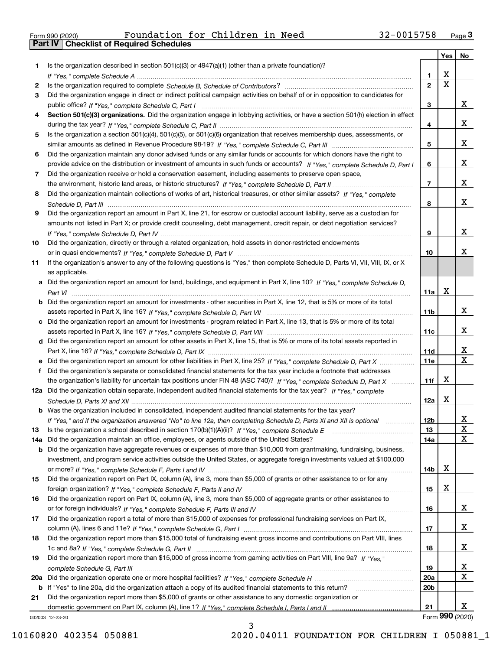| Form 990 (2020) |  |  |
|-----------------|--|--|

Form 990 (2020) Foundation for Children in Need 32-0015758 <sub>Page</sub> 3<br>**Part IV | Checklist of Required Schedules** 

|     |                                                                                                                                  |                 | Yes         | No              |
|-----|----------------------------------------------------------------------------------------------------------------------------------|-----------------|-------------|-----------------|
| 1   | Is the organization described in section $501(c)(3)$ or $4947(a)(1)$ (other than a private foundation)?                          |                 |             |                 |
|     |                                                                                                                                  | 1.              | X           |                 |
| 2   |                                                                                                                                  | $\overline{2}$  | $\mathbf X$ |                 |
| 3   | Did the organization engage in direct or indirect political campaign activities on behalf of or in opposition to candidates for  |                 |             |                 |
|     |                                                                                                                                  | 3               |             | х               |
| 4   | Section 501(c)(3) organizations. Did the organization engage in lobbying activities, or have a section 501(h) election in effect |                 |             |                 |
|     |                                                                                                                                  | 4               |             | х               |
| 5   | Is the organization a section 501(c)(4), 501(c)(5), or 501(c)(6) organization that receives membership dues, assessments, or     |                 |             |                 |
|     |                                                                                                                                  | 5               |             | х               |
| 6   | Did the organization maintain any donor advised funds or any similar funds or accounts for which donors have the right to        |                 |             |                 |
|     | provide advice on the distribution or investment of amounts in such funds or accounts? If "Yes," complete Schedule D, Part I     | 6               |             | х               |
| 7   | Did the organization receive or hold a conservation easement, including easements to preserve open space,                        |                 |             |                 |
|     |                                                                                                                                  | $\overline{7}$  |             | х               |
| 8   | Did the organization maintain collections of works of art, historical treasures, or other similar assets? If "Yes," complete     |                 |             |                 |
|     |                                                                                                                                  | 8               |             | х               |
| 9   | Did the organization report an amount in Part X, line 21, for escrow or custodial account liability, serve as a custodian for    |                 |             |                 |
|     | amounts not listed in Part X; or provide credit counseling, debt management, credit repair, or debt negotiation services?        |                 |             |                 |
|     |                                                                                                                                  | 9               |             | х               |
| 10  | Did the organization, directly or through a related organization, hold assets in donor-restricted endowments                     |                 |             | x               |
|     |                                                                                                                                  | 10              |             |                 |
| 11  | If the organization's answer to any of the following questions is "Yes," then complete Schedule D, Parts VI, VII, VIII, IX, or X |                 |             |                 |
|     | as applicable.                                                                                                                   |                 |             |                 |
|     | a Did the organization report an amount for land, buildings, and equipment in Part X, line 10? If "Yes," complete Schedule D,    | 11a             | X           |                 |
|     | Did the organization report an amount for investments - other securities in Part X, line 12, that is 5% or more of its total     |                 |             |                 |
|     |                                                                                                                                  | 11 <sub>b</sub> |             | x               |
| c   | Did the organization report an amount for investments - program related in Part X, line 13, that is 5% or more of its total      |                 |             |                 |
|     |                                                                                                                                  | 11c             |             | x               |
|     | d Did the organization report an amount for other assets in Part X, line 15, that is 5% or more of its total assets reported in  |                 |             |                 |
|     |                                                                                                                                  | <b>11d</b>      |             | х               |
|     | e Did the organization report an amount for other liabilities in Part X, line 25? If "Yes," complete Schedule D, Part X          | 11e             |             | $\mathbf X$     |
|     | Did the organization's separate or consolidated financial statements for the tax year include a footnote that addresses          |                 |             |                 |
|     | the organization's liability for uncertain tax positions under FIN 48 (ASC 740)? If "Yes," complete Schedule D, Part X           | 11f             | Х           |                 |
|     | 12a Did the organization obtain separate, independent audited financial statements for the tax year? If "Yes." complete          |                 |             |                 |
|     |                                                                                                                                  | 12a             | X           |                 |
|     | <b>b</b> Was the organization included in consolidated, independent audited financial statements for the tax year?               |                 |             |                 |
|     | If "Yes," and if the organization answered "No" to line 12a, then completing Schedule D, Parts XI and XII is optional            | 12b             |             | ᅀ               |
| 13  |                                                                                                                                  | 13              |             | X               |
| 14a | Did the organization maintain an office, employees, or agents outside of the United States?                                      | 14a             |             | х               |
| b   | Did the organization have aggregate revenues or expenses of more than \$10,000 from grantmaking, fundraising, business,          |                 |             |                 |
|     | investment, and program service activities outside the United States, or aggregate foreign investments valued at \$100,000       |                 |             |                 |
|     |                                                                                                                                  | 14 <sub>b</sub> | х           |                 |
| 15  | Did the organization report on Part IX, column (A), line 3, more than \$5,000 of grants or other assistance to or for any        |                 |             |                 |
|     |                                                                                                                                  | 15              | х           |                 |
| 16  | Did the organization report on Part IX, column (A), line 3, more than \$5,000 of aggregate grants or other assistance to         |                 |             |                 |
|     |                                                                                                                                  | 16              |             | x               |
| 17  | Did the organization report a total of more than \$15,000 of expenses for professional fundraising services on Part IX,          |                 |             |                 |
|     |                                                                                                                                  | 17              |             | x               |
| 18  | Did the organization report more than \$15,000 total of fundraising event gross income and contributions on Part VIII, lines     |                 |             |                 |
|     |                                                                                                                                  | 18              |             | х               |
| 19  | Did the organization report more than \$15,000 of gross income from gaming activities on Part VIII, line 9a? If "Yes."           |                 |             |                 |
|     |                                                                                                                                  | 19              |             | x               |
| 20a |                                                                                                                                  | <b>20a</b>      |             | х               |
| b   | If "Yes" to line 20a, did the organization attach a copy of its audited financial statements to this return?                     | 20 <sub>b</sub> |             |                 |
| 21  | Did the organization report more than \$5,000 of grants or other assistance to any domestic organization or                      |                 |             | х               |
|     |                                                                                                                                  | 21              |             | Form 990 (2020) |
|     | 032003 12-23-20                                                                                                                  |                 |             |                 |

032003 12-23-20

3 10160820 402354 050881 2020.04011 FOUNDATION FOR CHILDREN I 050881\_1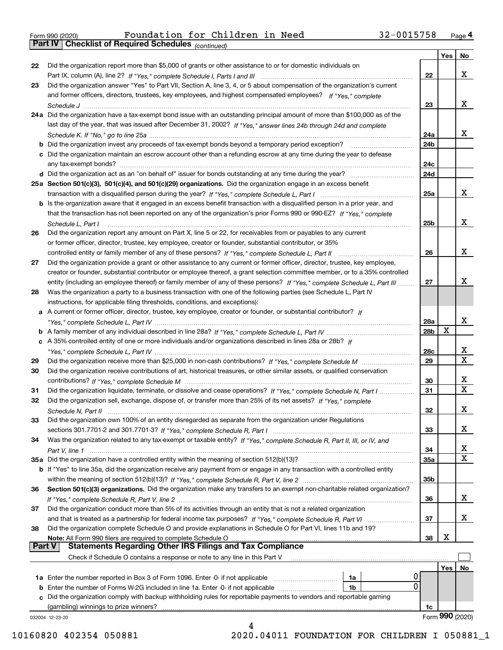|  | Form 990 (2020) |
|--|-----------------|
|  |                 |

|               |                                                                                                                                                                                                                                                         |                        | Yes | No                      |
|---------------|---------------------------------------------------------------------------------------------------------------------------------------------------------------------------------------------------------------------------------------------------------|------------------------|-----|-------------------------|
| 22            | Did the organization report more than \$5,000 of grants or other assistance to or for domestic individuals on                                                                                                                                           |                        |     |                         |
|               |                                                                                                                                                                                                                                                         | 22                     |     | x                       |
| 23            | Did the organization answer "Yes" to Part VII, Section A, line 3, 4, or 5 about compensation of the organization's current                                                                                                                              |                        |     |                         |
|               | and former officers, directors, trustees, key employees, and highest compensated employees? If "Yes," complete                                                                                                                                          |                        |     |                         |
|               |                                                                                                                                                                                                                                                         | 23                     |     | x                       |
|               | 24a Did the organization have a tax-exempt bond issue with an outstanding principal amount of more than \$100,000 as of the                                                                                                                             |                        |     |                         |
|               | last day of the year, that was issued after December 31, 2002? If "Yes," answer lines 24b through 24d and complete                                                                                                                                      |                        |     |                         |
|               |                                                                                                                                                                                                                                                         | 24a                    |     | x                       |
|               |                                                                                                                                                                                                                                                         | 24b                    |     |                         |
|               | c Did the organization maintain an escrow account other than a refunding escrow at any time during the year to defease                                                                                                                                  |                        |     |                         |
|               |                                                                                                                                                                                                                                                         | 24c                    |     |                         |
|               |                                                                                                                                                                                                                                                         | 24d                    |     |                         |
|               | 25a Section 501(c)(3), 501(c)(4), and 501(c)(29) organizations. Did the organization engage in an excess benefit                                                                                                                                        |                        |     |                         |
|               |                                                                                                                                                                                                                                                         | 25a                    |     | x                       |
|               | b Is the organization aware that it engaged in an excess benefit transaction with a disqualified person in a prior year, and                                                                                                                            |                        |     |                         |
|               | that the transaction has not been reported on any of the organization's prior Forms 990 or 990-EZ? If "Yes," complete                                                                                                                                   |                        |     |                         |
|               | Schedule L. Part I                                                                                                                                                                                                                                      | 25 <sub>b</sub>        |     | x                       |
| 26            | Did the organization report any amount on Part X, line 5 or 22, for receivables from or payables to any current                                                                                                                                         |                        |     |                         |
|               | or former officer, director, trustee, key employee, creator or founder, substantial contributor, or 35%                                                                                                                                                 |                        |     |                         |
|               |                                                                                                                                                                                                                                                         | 26                     |     | x                       |
|               |                                                                                                                                                                                                                                                         |                        |     |                         |
| 27            | Did the organization provide a grant or other assistance to any current or former officer, director, trustee, key employee,                                                                                                                             |                        |     |                         |
|               | creator or founder, substantial contributor or employee thereof, a grant selection committee member, or to a 35% controlled<br>entity (including an employee thereof) or family member of any of these persons? If "Yes," complete Schedule L, Part III | 27                     |     | х                       |
|               |                                                                                                                                                                                                                                                         |                        |     |                         |
| 28            | Was the organization a party to a business transaction with one of the following parties (see Schedule L, Part IV                                                                                                                                       |                        |     |                         |
|               | instructions, for applicable filing thresholds, conditions, and exceptions):                                                                                                                                                                            |                        |     |                         |
|               | a A current or former officer, director, trustee, key employee, creator or founder, or substantial contributor? If                                                                                                                                      |                        |     | x                       |
|               |                                                                                                                                                                                                                                                         | 28a<br>28 <sub>b</sub> | X   |                         |
|               |                                                                                                                                                                                                                                                         |                        |     |                         |
|               | c A 35% controlled entity of one or more individuals and/or organizations described in lines 28a or 28b? If                                                                                                                                             |                        |     | x                       |
|               |                                                                                                                                                                                                                                                         | 28c<br>29              |     | $\overline{\mathbf{x}}$ |
| 29            |                                                                                                                                                                                                                                                         |                        |     |                         |
| 30            | Did the organization receive contributions of art, historical treasures, or other similar assets, or qualified conservation                                                                                                                             |                        |     | х                       |
|               |                                                                                                                                                                                                                                                         | 30                     |     | $\mathbf X$             |
| 31            | Did the organization liquidate, terminate, or dissolve and cease operations? If "Yes," complete Schedule N, Part I                                                                                                                                      | 31                     |     |                         |
| 32            | Did the organization sell, exchange, dispose of, or transfer more than 25% of its net assets? If "Yes," complete                                                                                                                                        |                        |     | x                       |
|               |                                                                                                                                                                                                                                                         | 32                     |     |                         |
| 33            | Did the organization own 100% of an entity disregarded as separate from the organization under Regulations                                                                                                                                              |                        |     | х                       |
|               |                                                                                                                                                                                                                                                         | 33                     |     |                         |
| 34            | Was the organization related to any tax-exempt or taxable entity? If "Yes," complete Schedule R, Part II, III, or IV, and                                                                                                                               |                        |     |                         |
|               |                                                                                                                                                                                                                                                         | 34                     |     | x<br>$\mathbf{X}$       |
|               | 35a Did the organization have a controlled entity within the meaning of section 512(b)(13)?                                                                                                                                                             | <b>35a</b>             |     |                         |
|               | b If "Yes" to line 35a, did the organization receive any payment from or engage in any transaction with a controlled entity                                                                                                                             |                        |     |                         |
|               |                                                                                                                                                                                                                                                         | 35b                    |     |                         |
| 36            | Section 501(c)(3) organizations. Did the organization make any transfers to an exempt non-charitable related organization?                                                                                                                              |                        |     |                         |
|               |                                                                                                                                                                                                                                                         | 36                     |     | x                       |
| 37            | Did the organization conduct more than 5% of its activities through an entity that is not a related organization                                                                                                                                        |                        |     |                         |
|               | and that is treated as a partnership for federal income tax purposes? If "Yes," complete Schedule R, Part VI                                                                                                                                            | 37                     |     | x                       |
| 38            | Did the organization complete Schedule O and provide explanations in Schedule O for Part VI, lines 11b and 19?                                                                                                                                          |                        |     |                         |
| <b>Part V</b> | Note: All Form 990 filers are required to complete Schedule O<br><b>Statements Regarding Other IRS Filings and Tax Compliance</b>                                                                                                                       | 38                     | х   |                         |
|               |                                                                                                                                                                                                                                                         |                        |     |                         |
|               | Check if Schedule O contains a response or note to any line in this Part V                                                                                                                                                                              |                        |     |                         |
|               |                                                                                                                                                                                                                                                         |                        | Yes | No                      |
|               | <b>1a</b> Enter the number reported in Box 3 of Form 1096. Enter -0- if not applicable<br>1a<br>0                                                                                                                                                       |                        |     |                         |
|               | <b>b</b> Enter the number of Forms W-2G included in line 1a. Enter -0- if not applicable<br>1b                                                                                                                                                          |                        |     |                         |
|               | c Did the organization comply with backup withholding rules for reportable payments to vendors and reportable gaming                                                                                                                                    |                        |     |                         |
|               | (gambling) winnings to prize winners?                                                                                                                                                                                                                   | 1c                     |     | Form 990 (2020)         |
|               | 032004 12-23-20<br>4                                                                                                                                                                                                                                    |                        |     |                         |

10160820 402354 050881 2020.04011 FOUNDATION FOR CHILDREN I 050881\_1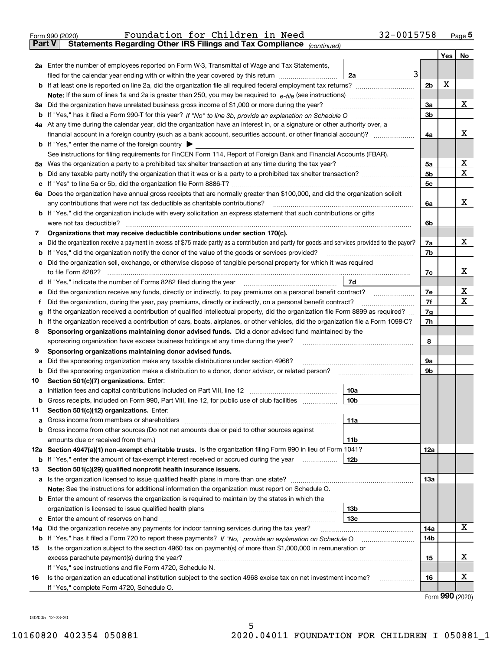|               | 32-0015758<br>Foundation for Children in Need<br>Form 990 (2020)                                                                                                                                                                      |                |     | $_{\text{Page}}$ 5 |  |  |  |  |  |  |  |
|---------------|---------------------------------------------------------------------------------------------------------------------------------------------------------------------------------------------------------------------------------------|----------------|-----|--------------------|--|--|--|--|--|--|--|
| <b>Part V</b> | Statements Regarding Other IRS Filings and Tax Compliance (continued)                                                                                                                                                                 |                |     |                    |  |  |  |  |  |  |  |
|               |                                                                                                                                                                                                                                       |                | Yes | No                 |  |  |  |  |  |  |  |
|               | 2a Enter the number of employees reported on Form W-3, Transmittal of Wage and Tax Statements,                                                                                                                                        |                |     |                    |  |  |  |  |  |  |  |
|               | 3<br>filed for the calendar year ending with or within the year covered by this return<br>2a                                                                                                                                          |                |     |                    |  |  |  |  |  |  |  |
|               |                                                                                                                                                                                                                                       |                |     |                    |  |  |  |  |  |  |  |
|               |                                                                                                                                                                                                                                       |                |     |                    |  |  |  |  |  |  |  |
|               | 3a Did the organization have unrelated business gross income of \$1,000 or more during the year?                                                                                                                                      |                |     |                    |  |  |  |  |  |  |  |
| b             |                                                                                                                                                                                                                                       | 3 <sub>b</sub> |     |                    |  |  |  |  |  |  |  |
|               | 4a At any time during the calendar year, did the organization have an interest in, or a signature or other authority over, a                                                                                                          |                |     |                    |  |  |  |  |  |  |  |
|               | financial account in a foreign country (such as a bank account, securities account, or other financial account)?                                                                                                                      | 4a             |     | х                  |  |  |  |  |  |  |  |
|               | <b>b</b> If "Yes," enter the name of the foreign country                                                                                                                                                                              |                |     |                    |  |  |  |  |  |  |  |
|               | See instructions for filing requirements for FinCEN Form 114, Report of Foreign Bank and Financial Accounts (FBAR).                                                                                                                   |                |     |                    |  |  |  |  |  |  |  |
|               |                                                                                                                                                                                                                                       | 5а             |     | х                  |  |  |  |  |  |  |  |
| b             |                                                                                                                                                                                                                                       | 5b             |     | х                  |  |  |  |  |  |  |  |
| c             |                                                                                                                                                                                                                                       | 5c             |     |                    |  |  |  |  |  |  |  |
|               | 6a Does the organization have annual gross receipts that are normally greater than \$100,000, and did the organization solicit                                                                                                        |                |     |                    |  |  |  |  |  |  |  |
|               | any contributions that were not tax deductible as charitable contributions?                                                                                                                                                           | 6a             |     | х                  |  |  |  |  |  |  |  |
|               | <b>b</b> If "Yes," did the organization include with every solicitation an express statement that such contributions or gifts                                                                                                         |                |     |                    |  |  |  |  |  |  |  |
|               | were not tax deductible?                                                                                                                                                                                                              | 6b             |     |                    |  |  |  |  |  |  |  |
| 7             | Organizations that may receive deductible contributions under section 170(c).                                                                                                                                                         |                |     |                    |  |  |  |  |  |  |  |
| а             | Did the organization receive a payment in excess of \$75 made partly as a contribution and partly for goods and services provided to the payor?                                                                                       | 7a             |     | х                  |  |  |  |  |  |  |  |
| b             | If "Yes," did the organization notify the donor of the value of the goods or services provided?                                                                                                                                       | 7b             |     |                    |  |  |  |  |  |  |  |
|               | c Did the organization sell, exchange, or otherwise dispose of tangible personal property for which it was required                                                                                                                   |                |     |                    |  |  |  |  |  |  |  |
|               |                                                                                                                                                                                                                                       | 7c             |     | х                  |  |  |  |  |  |  |  |
|               | 7d                                                                                                                                                                                                                                    |                |     |                    |  |  |  |  |  |  |  |
| е             | Did the organization receive any funds, directly or indirectly, to pay premiums on a personal benefit contract?                                                                                                                       | 7e             |     | х                  |  |  |  |  |  |  |  |
| f             | Did the organization, during the year, pay premiums, directly or indirectly, on a personal benefit contract?                                                                                                                          | 7f             |     | х                  |  |  |  |  |  |  |  |
| g             | If the organization received a contribution of qualified intellectual property, did the organization file Form 8899 as required?                                                                                                      | 7g             |     |                    |  |  |  |  |  |  |  |
| h             | If the organization received a contribution of cars, boats, airplanes, or other vehicles, did the organization file a Form 1098-C?                                                                                                    | 7h             |     |                    |  |  |  |  |  |  |  |
| 8             | Sponsoring organizations maintaining donor advised funds. Did a donor advised fund maintained by the                                                                                                                                  |                |     |                    |  |  |  |  |  |  |  |
|               | sponsoring organization have excess business holdings at any time during the year?                                                                                                                                                    | 8              |     |                    |  |  |  |  |  |  |  |
| 9             | Sponsoring organizations maintaining donor advised funds.                                                                                                                                                                             |                |     |                    |  |  |  |  |  |  |  |
| а             | Did the sponsoring organization make any taxable distributions under section 4966?                                                                                                                                                    | 9а             |     |                    |  |  |  |  |  |  |  |
| b             | Did the sponsoring organization make a distribution to a donor, donor advisor, or related person?                                                                                                                                     | 9b             |     |                    |  |  |  |  |  |  |  |
| 10            | Section 501(c)(7) organizations. Enter:                                                                                                                                                                                               |                |     |                    |  |  |  |  |  |  |  |
|               | 10a<br>a Initiation fees and capital contributions included on Part VIII, line 12 [111] [11] [12] [11] [12] [11] [12] [11] [12] [11] [12] [11] [12] [11] [12] [11] [12] [11] [12] [11] [12] [11] [12] [11] [12] [11] [12] [11] [12] [ |                |     |                    |  |  |  |  |  |  |  |
|               | Gross receipts, included on Form 990, Part VIII, line 12, for public use of club facilities<br> 10 <sub>b</sub>                                                                                                                       |                |     |                    |  |  |  |  |  |  |  |
| 11            | Section 501(c)(12) organizations. Enter:                                                                                                                                                                                              |                |     |                    |  |  |  |  |  |  |  |
|               | 11a                                                                                                                                                                                                                                   |                |     |                    |  |  |  |  |  |  |  |
|               | b Gross income from other sources (Do not net amounts due or paid to other sources against                                                                                                                                            |                |     |                    |  |  |  |  |  |  |  |
|               | 11b                                                                                                                                                                                                                                   |                |     |                    |  |  |  |  |  |  |  |
|               | 12a Section 4947(a)(1) non-exempt charitable trusts. Is the organization filing Form 990 in lieu of Form 1041?                                                                                                                        | <b>12a</b>     |     |                    |  |  |  |  |  |  |  |
|               | 12b<br><b>b</b> If "Yes," enter the amount of tax-exempt interest received or accrued during the year                                                                                                                                 |                |     |                    |  |  |  |  |  |  |  |
| 13            | Section 501(c)(29) qualified nonprofit health insurance issuers.                                                                                                                                                                      |                |     |                    |  |  |  |  |  |  |  |
|               | a Is the organization licensed to issue qualified health plans in more than one state?                                                                                                                                                | <b>13a</b>     |     |                    |  |  |  |  |  |  |  |
|               | Note: See the instructions for additional information the organization must report on Schedule O.                                                                                                                                     |                |     |                    |  |  |  |  |  |  |  |
|               | <b>b</b> Enter the amount of reserves the organization is required to maintain by the states in which the                                                                                                                             |                |     |                    |  |  |  |  |  |  |  |
|               | 13 <sub>b</sub>                                                                                                                                                                                                                       |                |     |                    |  |  |  |  |  |  |  |
|               | 13 <sub>c</sub>                                                                                                                                                                                                                       |                |     |                    |  |  |  |  |  |  |  |
| 14a           | Did the organization receive any payments for indoor tanning services during the tax year?                                                                                                                                            | 14a            |     | x                  |  |  |  |  |  |  |  |
| b             | If "Yes," has it filed a Form 720 to report these payments? If "No," provide an explanation on Schedule O                                                                                                                             | 14b            |     |                    |  |  |  |  |  |  |  |
| 15            | Is the organization subject to the section 4960 tax on payment(s) of more than \$1,000,000 in remuneration or                                                                                                                         |                |     |                    |  |  |  |  |  |  |  |
|               |                                                                                                                                                                                                                                       | 15             |     | x                  |  |  |  |  |  |  |  |
|               | If "Yes," see instructions and file Form 4720, Schedule N.                                                                                                                                                                            |                |     |                    |  |  |  |  |  |  |  |
| 16            | Is the organization an educational institution subject to the section 4968 excise tax on net investment income?                                                                                                                       | 16             |     | х                  |  |  |  |  |  |  |  |
|               | If "Yes," complete Form 4720, Schedule O.                                                                                                                                                                                             |                |     |                    |  |  |  |  |  |  |  |

5

Form (2020) **990**

032005 12-23-20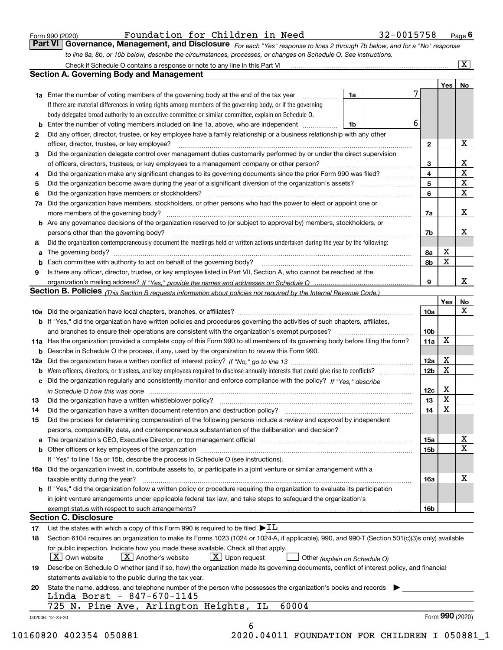|  | Form 990 (2020) |
|--|-----------------|
|  |                 |

*For each "Yes" response to lines 2 through 7b below, and for a "No" response to line 8a, 8b, or 10b below, describe the circumstances, processes, or changes on Schedule O. See instructions.* Form 990 (2020) **Page 6 Foundation for Children in Need** 32-0015758 Page **6 Page 6 Page 6 Page 6 Page 6 Page 6 Page 6 Page 6 Page 6 Page 6 Page 6 Page 6 Page 6 Page 6 Page 6 Page 6 Page 10** 

|                 |                                                                                                                                                                                                                                |    |                         | Yes   No        |                         |
|-----------------|--------------------------------------------------------------------------------------------------------------------------------------------------------------------------------------------------------------------------------|----|-------------------------|-----------------|-------------------------|
|                 | <b>1a</b> Enter the number of voting members of the governing body at the end of the tax year                                                                                                                                  | 1a | 7                       |                 |                         |
|                 | If there are material differences in voting rights among members of the governing body, or if the governing                                                                                                                    |    |                         |                 |                         |
|                 | body delegated broad authority to an executive committee or similar committee, explain on Schedule O.                                                                                                                          |    |                         |                 |                         |
| b               | Enter the number of voting members included on line 1a, above, who are independent                                                                                                                                             | 1b | 6                       |                 |                         |
| 2               | Did any officer, director, trustee, or key employee have a family relationship or a business relationship with any other                                                                                                       |    |                         |                 |                         |
|                 | officer, director, trustee, or key employee?                                                                                                                                                                                   |    | $\mathbf{2}$            |                 | X                       |
| З               | Did the organization delegate control over management duties customarily performed by or under the direct supervision                                                                                                          |    |                         |                 |                         |
|                 | of officers, directors, trustees, or key employees to a management company or other person?                                                                                                                                    |    | 3                       |                 | X                       |
| 4               | Did the organization make any significant changes to its governing documents since the prior Form 990 was filed?                                                                                                               |    | $\overline{\mathbf{4}}$ |                 | $\overline{\mathbf{x}}$ |
| 5               |                                                                                                                                                                                                                                |    | 5                       |                 | $\overline{\mathbf{x}}$ |
| 6               | Did the organization have members or stockholders?                                                                                                                                                                             |    | 6                       |                 | $\mathbf X$             |
| 7a              | Did the organization have members, stockholders, or other persons who had the power to elect or appoint one or                                                                                                                 |    |                         |                 |                         |
|                 |                                                                                                                                                                                                                                |    | 7a                      |                 | X                       |
|                 | <b>b</b> Are any governance decisions of the organization reserved to (or subject to approval by) members, stockholders, or                                                                                                    |    |                         |                 |                         |
|                 | persons other than the governing body?                                                                                                                                                                                         |    | 7b                      |                 | х                       |
| 8               | Did the organization contemporaneously document the meetings held or written actions undertaken during the year by the following:                                                                                              |    |                         |                 |                         |
| a               |                                                                                                                                                                                                                                |    | 8а                      | x               |                         |
| b               |                                                                                                                                                                                                                                |    | 8b                      | X               |                         |
| 9               | Is there any officer, director, trustee, or key employee listed in Part VII, Section A, who cannot be reached at the                                                                                                           |    |                         |                 |                         |
|                 |                                                                                                                                                                                                                                |    | 9                       |                 | X                       |
|                 | Section B. Policies (This Section B requests information about policies not required by the Internal Revenue Code.)                                                                                                            |    |                         |                 |                         |
|                 |                                                                                                                                                                                                                                |    |                         | Yes             | No                      |
|                 |                                                                                                                                                                                                                                |    | 10a                     |                 | X                       |
|                 | <b>b</b> If "Yes," did the organization have written policies and procedures governing the activities of such chapters, affiliates,                                                                                            |    |                         |                 |                         |
|                 |                                                                                                                                                                                                                                |    | 10 <sub>b</sub>         |                 |                         |
|                 | 11a Has the organization provided a complete copy of this Form 990 to all members of its governing body before filing the form?                                                                                                |    | 11a                     | X               |                         |
|                 | <b>b</b> Describe in Schedule O the process, if any, used by the organization to review this Form 990.                                                                                                                         |    |                         |                 |                         |
|                 |                                                                                                                                                                                                                                |    | 12a                     | X               |                         |
|                 | <b>b</b> Were officers, directors, or trustees, and key employees required to disclose annually interests that could give rise to conflicts?                                                                                   |    | 12 <sub>b</sub>         | х               |                         |
|                 | c Did the organization regularly and consistently monitor and enforce compliance with the policy? If "Yes," describe                                                                                                           |    |                         |                 |                         |
|                 |                                                                                                                                                                                                                                |    | 12c                     | X               |                         |
|                 | in Schedule O how this was done manufactured and continuum control of the Schedule O how this was done manufactured and continuum control of the Schedule O how this was done                                                  |    | 13                      | X               |                         |
| 13              |                                                                                                                                                                                                                                |    | 14                      | X               |                         |
| 14              | Did the process for determining compensation of the following persons include a review and approval by independent                                                                                                             |    |                         |                 |                         |
| 15              |                                                                                                                                                                                                                                |    |                         |                 |                         |
|                 | persons, comparability data, and contemporaneous substantiation of the deliberation and decision?                                                                                                                              |    |                         |                 | х                       |
|                 | a The organization's CEO, Executive Director, or top management official manufactured content content of the organization's CEO, Executive Director, or top management official manufactured content of the state of the state |    | 15a                     |                 | X                       |
|                 |                                                                                                                                                                                                                                |    | 15b                     |                 |                         |
|                 | If "Yes" to line 15a or 15b, describe the process in Schedule O (see instructions).                                                                                                                                            |    |                         |                 |                         |
|                 | 16a Did the organization invest in, contribute assets to, or participate in a joint venture or similar arrangement with a                                                                                                      |    |                         |                 |                         |
|                 | taxable entity during the year?                                                                                                                                                                                                |    | 16a                     |                 | X                       |
|                 | b If "Yes," did the organization follow a written policy or procedure requiring the organization to evaluate its participation                                                                                                 |    |                         |                 |                         |
|                 | in joint venture arrangements under applicable federal tax law, and take steps to safeguard the organization's                                                                                                                 |    |                         |                 |                         |
|                 | exempt status with respect to such arrangements?                                                                                                                                                                               |    | 16b                     |                 |                         |
|                 | <b>Section C. Disclosure</b>                                                                                                                                                                                                   |    |                         |                 |                         |
| 17              | List the states with which a copy of this Form 990 is required to be filed $\blacktriangleright$ IL                                                                                                                            |    |                         |                 |                         |
| 18              | Section 6104 requires an organization to make its Forms 1023 (1024 or 1024-A, if applicable), 990, and 990-T (Section 501(c)(3)s only) available                                                                               |    |                         |                 |                         |
|                 | for public inspection. Indicate how you made these available. Check all that apply.                                                                                                                                            |    |                         |                 |                         |
|                 | $\vert X \vert$ Another's website<br>$\lfloor x \rfloor$ Upon request<br>$\mid$ $\rm X\mid$ Own website<br>Other (explain on Schedule O)                                                                                       |    |                         |                 |                         |
| 19              | Describe on Schedule O whether (and if so, how) the organization made its governing documents, conflict of interest policy, and financial                                                                                      |    |                         |                 |                         |
|                 | statements available to the public during the tax year.                                                                                                                                                                        |    |                         |                 |                         |
| 20              | State the name, address, and telephone number of the person who possesses the organization's books and records                                                                                                                 |    |                         |                 |                         |
|                 | Linda Borst - 847-670-1145                                                                                                                                                                                                     |    |                         |                 |                         |
|                 | 60004<br>725 N. Pine Ave, Arlington Heights, IL                                                                                                                                                                                |    |                         |                 |                         |
| 032006 12-23-20 |                                                                                                                                                                                                                                |    |                         | Form 990 (2020) |                         |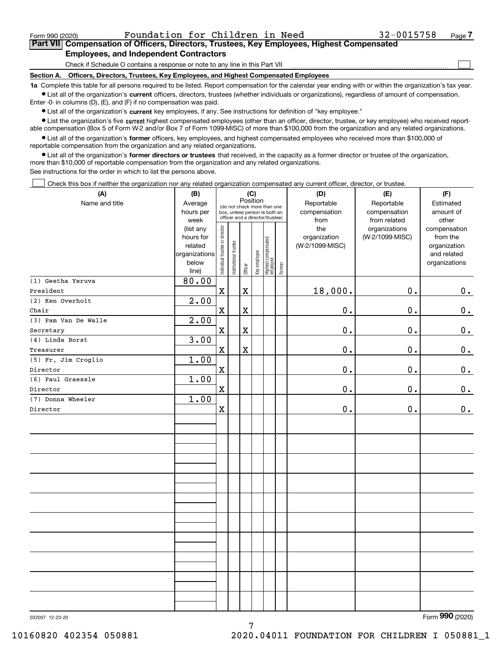$\mathcal{L}^{\text{max}}$ 

# **7Part VII Compensation of Officers, Directors, Trustees, Key Employees, Highest Compensated Employees, and Independent Contractors**

Check if Schedule O contains a response or note to any line in this Part VII

**Section A. Officers, Directors, Trustees, Key Employees, and Highest Compensated Employees**

**1a**  Complete this table for all persons required to be listed. Report compensation for the calendar year ending with or within the organization's tax year. **•** List all of the organization's current officers, directors, trustees (whether individuals or organizations), regardless of amount of compensation.

Enter -0- in columns (D), (E), and (F) if no compensation was paid.

 $\bullet$  List all of the organization's  $\,$ current key employees, if any. See instructions for definition of "key employee."

**•** List the organization's five current highest compensated employees (other than an officer, director, trustee, or key employee) who received reportable compensation (Box 5 of Form W-2 and/or Box 7 of Form 1099-MISC) of more than \$100,000 from the organization and any related organizations.

**•** List all of the organization's former officers, key employees, and highest compensated employees who received more than \$100,000 of reportable compensation from the organization and any related organizations.

**former directors or trustees**  ¥ List all of the organization's that received, in the capacity as a former director or trustee of the organization, more than \$10,000 of reportable compensation from the organization and any related organizations.

See instructions for the order in which to list the persons above.

Check this box if neither the organization nor any related organization compensated any current officer, director, or trustee.  $\mathcal{L}^{\text{max}}$ 

| (A)                  | (B)            | (C)                            |                                                                  |             |              |                                         | (D)       | (E)             | (F)             |               |
|----------------------|----------------|--------------------------------|------------------------------------------------------------------|-------------|--------------|-----------------------------------------|-----------|-----------------|-----------------|---------------|
| Name and title       | Average        |                                | Position<br>(do not check more than one                          |             |              |                                         |           | Reportable      | Reportable      | Estimated     |
|                      | hours per      |                                | box, unless person is both an<br>officer and a director/trustee) |             | compensation | compensation                            | amount of |                 |                 |               |
|                      | week           |                                |                                                                  |             |              |                                         |           | from            | from related    | other         |
|                      | (list any      |                                |                                                                  |             |              |                                         |           | the             | organizations   | compensation  |
|                      | hours for      |                                |                                                                  |             |              |                                         |           | organization    | (W-2/1099-MISC) | from the      |
|                      | related        |                                |                                                                  |             |              |                                         |           | (W-2/1099-MISC) |                 | organization  |
|                      | organizations  |                                |                                                                  |             |              |                                         |           |                 |                 | and related   |
|                      | below          | Individual trustee or director | Institutional trustee                                            | Officer     | Key employee | <br>  Highest compensated<br>  employee | Former    |                 |                 | organizations |
| (1) Geetha Yeruva    | line)<br>80.00 |                                |                                                                  |             |              |                                         |           |                 |                 |               |
| President            |                | $\mathbf X$                    |                                                                  | $\mathbf X$ |              |                                         |           | 18,000.         | 0.              | $0_{.}$       |
| (2) Ken Overholt     | 2.00           |                                |                                                                  |             |              |                                         |           |                 |                 |               |
| Chair                |                | $\mathbf X$                    |                                                                  | $\rm X$     |              |                                         |           | $0$ .           | $0$ .           | $0_{.}$       |
| (3) Pam Van De Walle | 2.00           |                                |                                                                  |             |              |                                         |           |                 |                 |               |
| Secretary            |                | $\mathbf X$                    |                                                                  | $\mathbf X$ |              |                                         |           | 0.              | 0.              | $0_{.}$       |
| (4) Linda Borst      | 3.00           |                                |                                                                  |             |              |                                         |           |                 |                 |               |
| Treasurer            |                | $\mathbf x$                    |                                                                  | $\mathbf X$ |              |                                         |           | $0$ .           | 0.              | $\mathbf 0$ . |
| (5) Fr. Jim Croglio  | 1.00           |                                |                                                                  |             |              |                                         |           |                 |                 |               |
| Director             |                | $\mathbf X$                    |                                                                  |             |              |                                         |           | $\mathbf 0$ .   | 0.              | 0.            |
| (6) Paul Graessle    | 1.00           |                                |                                                                  |             |              |                                         |           |                 |                 |               |
| Director             |                | $\mathbf X$                    |                                                                  |             |              |                                         |           | $\mathbf 0$ .   | 0.              | 0.            |
| (7) Donna Wheeler    | 1.00           |                                |                                                                  |             |              |                                         |           |                 |                 |               |
| Director             |                | $\mathbf x$                    |                                                                  |             |              |                                         |           | $0$ .           | 0.              | $\mathbf 0$ . |
|                      |                |                                |                                                                  |             |              |                                         |           |                 |                 |               |
|                      |                |                                |                                                                  |             |              |                                         |           |                 |                 |               |
|                      |                |                                |                                                                  |             |              |                                         |           |                 |                 |               |
|                      |                |                                |                                                                  |             |              |                                         |           |                 |                 |               |
|                      |                |                                |                                                                  |             |              |                                         |           |                 |                 |               |
|                      |                |                                |                                                                  |             |              |                                         |           |                 |                 |               |
|                      |                |                                |                                                                  |             |              |                                         |           |                 |                 |               |
|                      |                |                                |                                                                  |             |              |                                         |           |                 |                 |               |
|                      |                |                                |                                                                  |             |              |                                         |           |                 |                 |               |
|                      |                |                                |                                                                  |             |              |                                         |           |                 |                 |               |
|                      |                |                                |                                                                  |             |              |                                         |           |                 |                 |               |
|                      |                |                                |                                                                  |             |              |                                         |           |                 |                 |               |
|                      |                |                                |                                                                  |             |              |                                         |           |                 |                 |               |
|                      |                |                                |                                                                  |             |              |                                         |           |                 |                 |               |
|                      |                |                                |                                                                  |             |              |                                         |           |                 |                 |               |
|                      |                |                                |                                                                  |             |              |                                         |           |                 |                 |               |
|                      |                |                                |                                                                  |             |              |                                         |           |                 |                 |               |
|                      |                |                                |                                                                  |             |              |                                         |           |                 |                 |               |
|                      |                |                                |                                                                  |             |              |                                         |           |                 |                 |               |

7

032007 12-23-20

Form (2020) **990**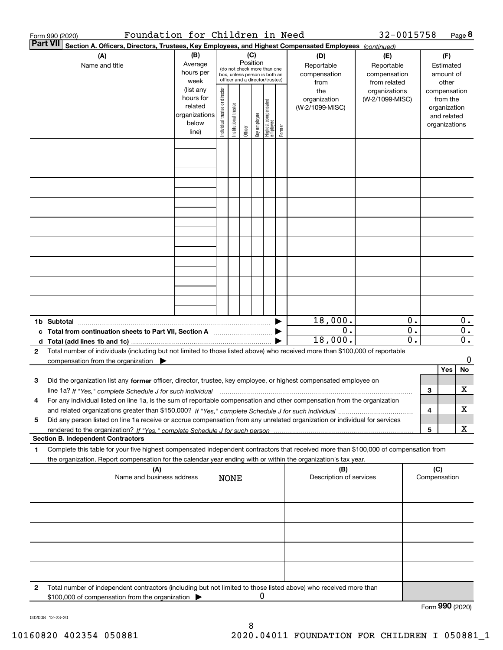|                 | Foundation for Children in Need<br>Form 990 (2020)                                                                                              |                |                                |                        |          |              |                                                              |        |                         | 32-0015758      |                  |                 |               | Page 8           |
|-----------------|-------------------------------------------------------------------------------------------------------------------------------------------------|----------------|--------------------------------|------------------------|----------|--------------|--------------------------------------------------------------|--------|-------------------------|-----------------|------------------|-----------------|---------------|------------------|
| <b>Part VII</b> | Section A. Officers, Directors, Trustees, Key Employees, and Highest Compensated Employees (continued)                                          |                |                                |                        |          |              |                                                              |        |                         |                 |                  |                 |               |                  |
|                 | (B)<br>(A)                                                                                                                                      |                |                                |                        |          | (C)<br>(D)   |                                                              |        |                         |                 |                  |                 | (F)           |                  |
|                 | Name and title                                                                                                                                  | Average        |                                |                        | Position |              |                                                              |        | Reportable              | Reportable      |                  |                 | Estimated     |                  |
|                 |                                                                                                                                                 | hours per      |                                |                        |          |              | (do not check more than one<br>box, unless person is both an |        | compensation            | compensation    |                  |                 | amount of     |                  |
|                 |                                                                                                                                                 | week           |                                |                        |          |              | officer and a director/trustee)                              |        | from                    | from related    |                  |                 | other         |                  |
|                 |                                                                                                                                                 | (list any      |                                |                        |          |              |                                                              |        | the                     | organizations   |                  |                 | compensation  |                  |
|                 |                                                                                                                                                 | hours for      | Individual trustee or director |                        |          |              |                                                              |        | organization            | (W-2/1099-MISC) |                  |                 | from the      |                  |
|                 |                                                                                                                                                 | related        |                                |                        |          |              |                                                              |        | (W-2/1099-MISC)         |                 |                  |                 | organization  |                  |
|                 |                                                                                                                                                 | organizations  |                                |                        |          |              |                                                              |        |                         |                 |                  |                 | and related   |                  |
|                 |                                                                                                                                                 | below<br>line) |                                | In stitutional trustee | Officer  | key employee | <br>  Highest compensated<br>  employee                      | Former |                         |                 |                  |                 | organizations |                  |
|                 |                                                                                                                                                 |                |                                |                        |          |              |                                                              |        |                         |                 |                  |                 |               |                  |
|                 |                                                                                                                                                 |                |                                |                        |          |              |                                                              |        |                         |                 |                  |                 |               |                  |
|                 |                                                                                                                                                 |                |                                |                        |          |              |                                                              |        |                         |                 |                  |                 |               |                  |
|                 |                                                                                                                                                 |                |                                |                        |          |              |                                                              |        |                         |                 |                  |                 |               |                  |
|                 |                                                                                                                                                 |                |                                |                        |          |              |                                                              |        |                         |                 |                  |                 |               |                  |
|                 |                                                                                                                                                 |                |                                |                        |          |              |                                                              |        |                         |                 |                  |                 |               |                  |
|                 |                                                                                                                                                 |                |                                |                        |          |              |                                                              |        |                         |                 |                  |                 |               |                  |
|                 |                                                                                                                                                 |                |                                |                        |          |              |                                                              |        |                         |                 |                  |                 |               |                  |
|                 |                                                                                                                                                 |                |                                |                        |          |              |                                                              |        |                         |                 |                  |                 |               |                  |
|                 |                                                                                                                                                 |                |                                |                        |          |              |                                                              |        |                         |                 |                  |                 |               |                  |
|                 |                                                                                                                                                 |                |                                |                        |          |              |                                                              |        |                         |                 |                  |                 |               |                  |
|                 |                                                                                                                                                 |                |                                |                        |          |              |                                                              |        |                         |                 |                  |                 |               |                  |
|                 |                                                                                                                                                 |                |                                |                        |          |              |                                                              |        |                         |                 |                  |                 |               |                  |
|                 |                                                                                                                                                 |                |                                |                        |          |              |                                                              |        |                         |                 |                  |                 |               |                  |
|                 |                                                                                                                                                 |                |                                |                        |          |              |                                                              |        |                         |                 |                  |                 |               |                  |
|                 |                                                                                                                                                 |                |                                |                        |          |              |                                                              |        |                         |                 |                  |                 |               |                  |
|                 |                                                                                                                                                 |                |                                |                        |          |              |                                                              |        |                         |                 |                  |                 |               |                  |
|                 |                                                                                                                                                 |                |                                |                        |          |              |                                                              |        |                         |                 |                  |                 |               |                  |
|                 |                                                                                                                                                 |                |                                |                        |          |              |                                                              |        |                         |                 |                  |                 |               |                  |
|                 |                                                                                                                                                 |                |                                |                        |          |              |                                                              |        | 18,000.                 |                 | 0.               |                 |               | 0.               |
|                 |                                                                                                                                                 |                |                                |                        |          |              |                                                              |        | 0.                      |                 | $\overline{0}$ . |                 |               | $\overline{0}$ . |
|                 | c Total from continuation sheets to Part VII, Section A                                                                                         |                |                                |                        |          |              |                                                              |        |                         |                 | 0.               |                 |               |                  |
|                 |                                                                                                                                                 |                |                                |                        |          |              |                                                              |        | 18,000.                 |                 |                  |                 |               | $\overline{0}$ . |
| $\mathbf{2}$    | Total number of individuals (including but not limited to those listed above) who received more than \$100,000 of reportable                    |                |                                |                        |          |              |                                                              |        |                         |                 |                  |                 |               |                  |
|                 | compensation from the organization                                                                                                              |                |                                |                        |          |              |                                                              |        |                         |                 |                  |                 |               | 0                |
|                 |                                                                                                                                                 |                |                                |                        |          |              |                                                              |        |                         |                 |                  |                 | Yes           | No               |
| 3               | Did the organization list any former officer, director, trustee, key employee, or highest compensated employee on                               |                |                                |                        |          |              |                                                              |        |                         |                 |                  |                 |               |                  |
|                 | line 1a? If "Yes," complete Schedule J for such individual manufactured contained and the 1a? If "Yes," complete Schedule J for such individual |                |                                |                        |          |              |                                                              |        |                         |                 |                  | З               |               | х                |
|                 | For any individual listed on line 1a, is the sum of reportable compensation and other compensation from the organization                        |                |                                |                        |          |              |                                                              |        |                         |                 |                  |                 |               |                  |
|                 |                                                                                                                                                 |                |                                |                        |          |              |                                                              |        |                         |                 |                  | 4               |               | х                |
| 5               | Did any person listed on line 1a receive or accrue compensation from any unrelated organization or individual for services                      |                |                                |                        |          |              |                                                              |        |                         |                 |                  |                 |               |                  |
|                 |                                                                                                                                                 |                |                                |                        |          |              |                                                              |        |                         |                 |                  | 5               |               | х                |
|                 | <b>Section B. Independent Contractors</b>                                                                                                       |                |                                |                        |          |              |                                                              |        |                         |                 |                  |                 |               |                  |
| 1               | Complete this table for your five highest compensated independent contractors that received more than \$100,000 of compensation from            |                |                                |                        |          |              |                                                              |        |                         |                 |                  |                 |               |                  |
|                 | the organization. Report compensation for the calendar year ending with or within the organization's tax year.                                  |                |                                |                        |          |              |                                                              |        |                         |                 |                  |                 |               |                  |
|                 | (A)                                                                                                                                             |                |                                |                        |          |              |                                                              |        | (B)                     |                 |                  | (C)             |               |                  |
|                 | Name and business address                                                                                                                       |                |                                | <b>NONE</b>            |          |              |                                                              |        | Description of services |                 |                  | Compensation    |               |                  |
|                 |                                                                                                                                                 |                |                                |                        |          |              |                                                              |        |                         |                 |                  |                 |               |                  |
|                 |                                                                                                                                                 |                |                                |                        |          |              |                                                              |        |                         |                 |                  |                 |               |                  |
|                 |                                                                                                                                                 |                |                                |                        |          |              |                                                              |        |                         |                 |                  |                 |               |                  |
|                 |                                                                                                                                                 |                |                                |                        |          |              |                                                              |        |                         |                 |                  |                 |               |                  |
|                 |                                                                                                                                                 |                |                                |                        |          |              |                                                              |        |                         |                 |                  |                 |               |                  |
|                 |                                                                                                                                                 |                |                                |                        |          |              |                                                              |        |                         |                 |                  |                 |               |                  |
|                 |                                                                                                                                                 |                |                                |                        |          |              |                                                              |        |                         |                 |                  |                 |               |                  |
|                 |                                                                                                                                                 |                |                                |                        |          |              |                                                              |        |                         |                 |                  |                 |               |                  |
|                 |                                                                                                                                                 |                |                                |                        |          |              |                                                              |        |                         |                 |                  |                 |               |                  |
|                 |                                                                                                                                                 |                |                                |                        |          |              |                                                              |        |                         |                 |                  |                 |               |                  |
|                 |                                                                                                                                                 |                |                                |                        |          |              |                                                              |        |                         |                 |                  |                 |               |                  |
| 2               | Total number of independent contractors (including but not limited to those listed above) who received more than                                |                |                                |                        |          |              |                                                              |        |                         |                 |                  |                 |               |                  |
|                 | \$100,000 of compensation from the organization                                                                                                 |                |                                |                        |          | 0            |                                                              |        |                         |                 |                  |                 |               |                  |
|                 |                                                                                                                                                 |                |                                |                        |          |              |                                                              |        |                         |                 |                  | Form 990 (2020) |               |                  |

032008 12-23-20

8 10160820 402354 050881 2020.04011 FOUNDATION FOR CHILDREN I 050881\_1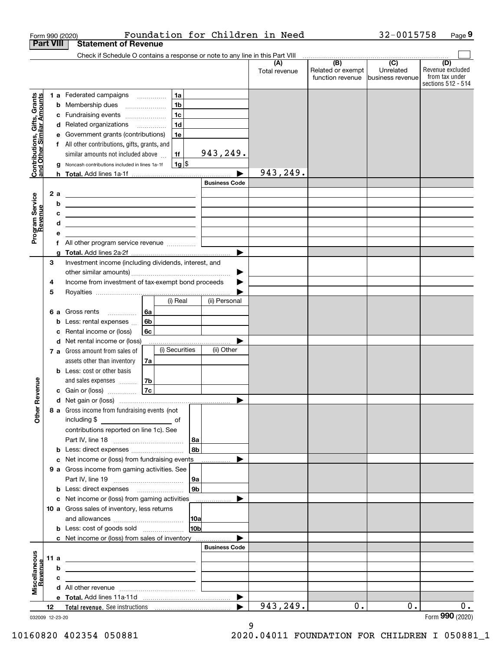|                                                           |                  |        | Foundation for Children in Need<br>Form 990 (2020)                                                                    |                      |                      |                                              | 32-0015758                                        | Page 9                                                          |
|-----------------------------------------------------------|------------------|--------|-----------------------------------------------------------------------------------------------------------------------|----------------------|----------------------|----------------------------------------------|---------------------------------------------------|-----------------------------------------------------------------|
|                                                           | <b>Part VIII</b> |        | <b>Statement of Revenue</b>                                                                                           |                      |                      |                                              |                                                   |                                                                 |
|                                                           |                  |        | Check if Schedule O contains a response or note to any line in this Part VIII                                         |                      |                      |                                              |                                                   |                                                                 |
|                                                           |                  |        |                                                                                                                       |                      | (A)<br>Total revenue | (B)<br>Related or exempt<br>function revenue | $\overline{(C)}$<br>Unrelated<br>business revenue | (D)<br>Revenue excluded<br>from tax under<br>sections 512 - 514 |
|                                                           |                  |        | 1a<br>1 a Federated campaigns                                                                                         |                      |                      |                                              |                                                   |                                                                 |
| Contributions, Gifts, Grants<br>and Other Similar Amounts |                  |        | 1 <sub>b</sub><br><b>b</b> Membership dues                                                                            |                      |                      |                                              |                                                   |                                                                 |
|                                                           |                  |        | 1 <sub>c</sub><br>c Fundraising events                                                                                |                      |                      |                                              |                                                   |                                                                 |
|                                                           |                  |        | 1 <sub>d</sub><br>d Related organizations                                                                             |                      |                      |                                              |                                                   |                                                                 |
|                                                           |                  | е      | Government grants (contributions)<br>1e                                                                               |                      |                      |                                              |                                                   |                                                                 |
|                                                           |                  |        | f All other contributions, gifts, grants, and                                                                         |                      |                      |                                              |                                                   |                                                                 |
|                                                           |                  |        | similar amounts not included above<br>1f                                                                              | 943,249.             |                      |                                              |                                                   |                                                                 |
|                                                           |                  |        | $1g$ \$<br>g Noncash contributions included in lines 1a-1f                                                            |                      |                      |                                              |                                                   |                                                                 |
|                                                           |                  |        |                                                                                                                       |                      | 943,249.             |                                              |                                                   |                                                                 |
|                                                           |                  |        |                                                                                                                       | <b>Business Code</b> |                      |                                              |                                                   |                                                                 |
| Program Service<br>Revenue                                | 2a               |        |                                                                                                                       |                      |                      |                                              |                                                   |                                                                 |
|                                                           |                  | b      | <u> 1989 - Johann Stein, mars an deutscher Stein († 1989)</u>                                                         |                      |                      |                                              |                                                   |                                                                 |
|                                                           |                  | c<br>d | <u> 1989 - Johann Harry Harry Harry Harry Harry Harry Harry Harry Harry Harry Harry Harry Harry Harry Harry Harry</u> |                      |                      |                                              |                                                   |                                                                 |
|                                                           |                  | е      | the control of the control of the control of the control of the control of the control of                             |                      |                      |                                              |                                                   |                                                                 |
|                                                           |                  | f.     |                                                                                                                       |                      |                      |                                              |                                                   |                                                                 |
|                                                           |                  | a      |                                                                                                                       | ▶                    |                      |                                              |                                                   |                                                                 |
|                                                           | 3                |        | Investment income (including dividends, interest, and                                                                 |                      |                      |                                              |                                                   |                                                                 |
|                                                           |                  |        |                                                                                                                       | ▶                    |                      |                                              |                                                   |                                                                 |
|                                                           | 4                |        | Income from investment of tax-exempt bond proceeds                                                                    |                      |                      |                                              |                                                   |                                                                 |
|                                                           | 5                |        |                                                                                                                       |                      |                      |                                              |                                                   |                                                                 |
|                                                           |                  |        | (i) Real                                                                                                              | (ii) Personal        |                      |                                              |                                                   |                                                                 |
|                                                           | 6а               |        | 6а<br>Gross rents<br>$\frac{1}{2}$                                                                                    |                      |                      |                                              |                                                   |                                                                 |
|                                                           |                  | b      | 6b<br>Less: rental expenses                                                                                           |                      |                      |                                              |                                                   |                                                                 |
|                                                           |                  | c      | 6c<br>Rental income or (loss)                                                                                         |                      |                      |                                              |                                                   |                                                                 |
|                                                           |                  |        | d Net rental income or (loss)<br>(i) Securities                                                                       | (ii) Other           |                      |                                              |                                                   |                                                                 |
|                                                           |                  |        | 7 a Gross amount from sales of<br>assets other than inventory<br>7a                                                   |                      |                      |                                              |                                                   |                                                                 |
|                                                           |                  |        | <b>b</b> Less: cost or other basis                                                                                    |                      |                      |                                              |                                                   |                                                                 |
|                                                           |                  |        | and sales expenses<br>7b                                                                                              |                      |                      |                                              |                                                   |                                                                 |
| venue                                                     |                  |        | 7c<br><b>c</b> Gain or (loss) $\ldots$                                                                                |                      |                      |                                              |                                                   |                                                                 |
|                                                           |                  |        |                                                                                                                       |                      |                      |                                              |                                                   |                                                                 |
| Other Re                                                  |                  |        | 8 a Gross income from fundraising events (not                                                                         |                      |                      |                                              |                                                   |                                                                 |
|                                                           |                  |        | including \$<br>and the contract of the contract of                                                                   |                      |                      |                                              |                                                   |                                                                 |
|                                                           |                  |        | contributions reported on line 1c). See                                                                               |                      |                      |                                              |                                                   |                                                                 |
|                                                           |                  |        |                                                                                                                       | 8a                   |                      |                                              |                                                   |                                                                 |
|                                                           |                  |        | <b>b</b> Less: direct expenses                                                                                        | 8bl                  |                      |                                              |                                                   |                                                                 |
|                                                           |                  |        | c Net income or (loss) from fundraising events                                                                        |                      |                      |                                              |                                                   |                                                                 |
|                                                           |                  |        | 9 a Gross income from gaming activities. See                                                                          |                      |                      |                                              |                                                   |                                                                 |
|                                                           |                  |        |                                                                                                                       | 9a                   |                      |                                              |                                                   |                                                                 |
|                                                           |                  |        | <b>b</b> Less: direct expenses <b>manually</b>                                                                        | 9b                   |                      |                                              |                                                   |                                                                 |
|                                                           |                  |        | c Net income or (loss) from gaming activities                                                                         |                      |                      |                                              |                                                   |                                                                 |
|                                                           |                  |        | 10 a Gross sales of inventory, less returns                                                                           | 10a                  |                      |                                              |                                                   |                                                                 |
|                                                           |                  |        | <b>b</b> Less: cost of goods sold                                                                                     | 10 <sub>b</sub>      |                      |                                              |                                                   |                                                                 |
|                                                           |                  |        | c Net income or (loss) from sales of inventory                                                                        |                      |                      |                                              |                                                   |                                                                 |
|                                                           |                  |        |                                                                                                                       | <b>Business Code</b> |                      |                                              |                                                   |                                                                 |
|                                                           | 11 a             |        |                                                                                                                       |                      |                      |                                              |                                                   |                                                                 |
|                                                           |                  | b      |                                                                                                                       |                      |                      |                                              |                                                   |                                                                 |
|                                                           |                  | c      |                                                                                                                       |                      |                      |                                              |                                                   |                                                                 |
| Miscellaneous<br>Revenue                                  |                  |        |                                                                                                                       |                      |                      |                                              |                                                   |                                                                 |
|                                                           |                  |        |                                                                                                                       | ▶                    |                      |                                              |                                                   |                                                                 |
|                                                           | 12               |        |                                                                                                                       |                      | 943,249.             | 0.                                           | $0$ .                                             | 0.                                                              |
| 032009 12-23-20                                           |                  |        |                                                                                                                       |                      |                      |                                              |                                                   | Form 990 (2020)                                                 |

9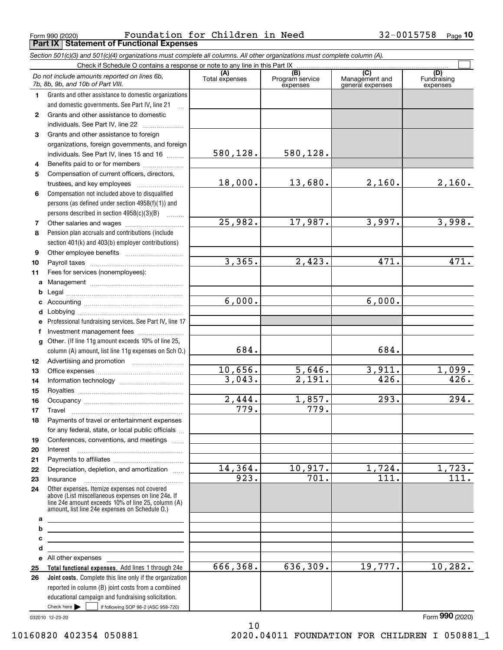Form 990 (2020) Page **Part IX Statement of Functional Expenses** Foundation for Children in Need 32-0015758

|              | Section 501(c)(3) and 501(c)(4) organizations must complete all columns. All other organizations must complete column (A).                                 |                              |                                    |                                           |                                |
|--------------|------------------------------------------------------------------------------------------------------------------------------------------------------------|------------------------------|------------------------------------|-------------------------------------------|--------------------------------|
|              | Check if Schedule O contains a response or note to any line in this Part IX                                                                                |                              |                                    |                                           |                                |
|              | Do not include amounts reported on lines 6b,<br>7b, 8b, 9b, and 10b of Part VIII.                                                                          | (A)<br>Total expenses        | (B)<br>Program service<br>expenses | (C)<br>Management and<br>general expenses | (D)<br>Fundraising<br>expenses |
| $\mathbf 1$  | Grants and other assistance to domestic organizations                                                                                                      |                              |                                    |                                           |                                |
|              | and domestic governments. See Part IV, line 21                                                                                                             |                              |                                    |                                           |                                |
| $\mathbf{2}$ | Grants and other assistance to domestic                                                                                                                    |                              |                                    |                                           |                                |
|              | individuals. See Part IV, line 22                                                                                                                          |                              |                                    |                                           |                                |
| 3            | Grants and other assistance to foreign                                                                                                                     |                              |                                    |                                           |                                |
|              | organizations, foreign governments, and foreign                                                                                                            |                              |                                    |                                           |                                |
|              | individuals. See Part IV, lines 15 and 16                                                                                                                  | 580,128.                     | 580,128.                           |                                           |                                |
| 4            | Benefits paid to or for members                                                                                                                            |                              |                                    |                                           |                                |
| 5            | Compensation of current officers, directors,                                                                                                               |                              |                                    |                                           |                                |
|              |                                                                                                                                                            | 18,000.                      | 13,680.                            | 2,160.                                    | 2,160.                         |
| 6            | Compensation not included above to disqualified                                                                                                            |                              |                                    |                                           |                                |
|              | persons (as defined under section 4958(f)(1)) and                                                                                                          |                              |                                    |                                           |                                |
|              | persons described in section 4958(c)(3)(B)                                                                                                                 |                              |                                    |                                           |                                |
| 7            |                                                                                                                                                            | 25,982.                      | 17,987.                            | 3,997.                                    | 3,998.                         |
| 8            | Pension plan accruals and contributions (include                                                                                                           |                              |                                    |                                           |                                |
|              | section 401(k) and 403(b) employer contributions)                                                                                                          |                              |                                    |                                           |                                |
| 9            |                                                                                                                                                            |                              |                                    |                                           |                                |
| 10           |                                                                                                                                                            | 3,365.                       | 2,423.                             | 471.                                      | 471.                           |
| 11           | Fees for services (nonemployees):                                                                                                                          |                              |                                    |                                           |                                |
| a            |                                                                                                                                                            |                              |                                    |                                           |                                |
| b            |                                                                                                                                                            |                              |                                    |                                           |                                |
| c            |                                                                                                                                                            | 6,000.                       |                                    | 6,000.                                    |                                |
| d            |                                                                                                                                                            |                              |                                    |                                           |                                |
| е            | Professional fundraising services. See Part IV, line 17                                                                                                    |                              |                                    |                                           |                                |
| f            | Investment management fees                                                                                                                                 |                              |                                    |                                           |                                |
| q            | Other. (If line 11g amount exceeds 10% of line 25,                                                                                                         |                              |                                    |                                           |                                |
|              | column (A) amount, list line 11g expenses on Sch 0.)                                                                                                       | 684.                         |                                    | 684.                                      |                                |
| 12           |                                                                                                                                                            |                              |                                    |                                           |                                |
| 13           |                                                                                                                                                            | 10,656.                      | 5,646.                             | 3,911.                                    | 1,099.                         |
| 14           |                                                                                                                                                            | 3,043.                       | 2,191.                             | 426.                                      | 426.                           |
| 15           |                                                                                                                                                            |                              |                                    | 293.                                      | 294.                           |
| 16           |                                                                                                                                                            | 2,444.<br>$\overline{779}$ . | 1,857.<br>779.                     |                                           |                                |
| 17           |                                                                                                                                                            |                              |                                    |                                           |                                |
| 18           | Payments of travel or entertainment expenses                                                                                                               |                              |                                    |                                           |                                |
|              | for any federal, state, or local public officials                                                                                                          |                              |                                    |                                           |                                |
| 19           | Conferences, conventions, and meetings                                                                                                                     |                              |                                    |                                           |                                |
| 20           | Interest                                                                                                                                                   |                              |                                    |                                           |                                |
| 21           |                                                                                                                                                            | 14,364.                      | 10,917.                            | $\overline{1,724}$ .                      | 1,723.                         |
| 22           | Depreciation, depletion, and amortization                                                                                                                  | 923.                         | $\overline{701}$ .                 | 111.                                      | 111.                           |
| 23           | Insurance<br>Other expenses. Itemize expenses not covered                                                                                                  |                              |                                    |                                           |                                |
| 24           | above (List miscellaneous expenses on line 24e. If<br>line 24e amount exceeds 10% of line 25, column (A)<br>amount, list line 24e expenses on Schedule O.) |                              |                                    |                                           |                                |
| a<br>b       | <u> 1989 - Johann Barbara, martxa alemaniar arg</u>                                                                                                        |                              |                                    |                                           |                                |
| c            | <u> 1989 - Johann Stein, marwolaethau a bhann an t-Amhair an t-Amhair an t-Amhair an t-Amhair an t-Amhair an t-A</u>                                       |                              |                                    |                                           |                                |
| d            | <u> 1989 - Johann Stein, mars an deus Amerikaansk kommunister (* 1958)</u>                                                                                 |                              |                                    |                                           |                                |
|              | <u> 1989 - Johann Stein, mars an t-Amerikaansk ferskeiz (* 1958)</u><br>e All other expenses                                                               |                              |                                    |                                           |                                |
| 25           | Total functional expenses. Add lines 1 through 24e                                                                                                         | 666,368.                     | 636,309.                           | 19,777.                                   | 10, 282.                       |
| 26           | Joint costs. Complete this line only if the organization                                                                                                   |                              |                                    |                                           |                                |
|              | reported in column (B) joint costs from a combined                                                                                                         |                              |                                    |                                           |                                |
|              | educational campaign and fundraising solicitation.                                                                                                         |                              |                                    |                                           |                                |
|              | Check here $\blacktriangleright$<br>if following SOP 98-2 (ASC 958-720)                                                                                    |                              |                                    |                                           |                                |

10

032010 12-23-20

Form (2020) **990**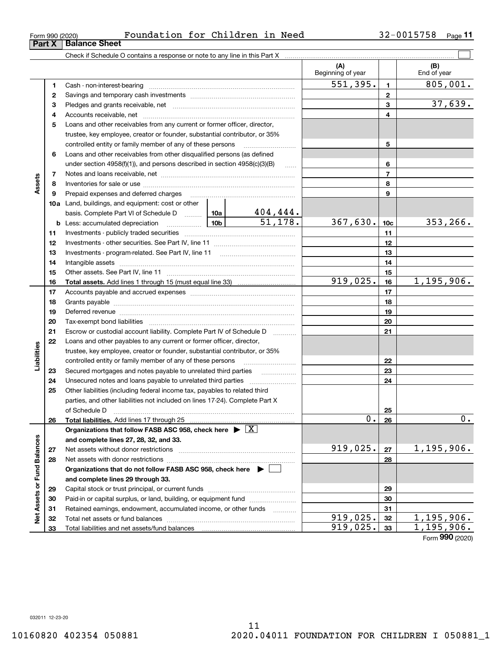**Part X Balance Sheet**

Form (2020) **990**

|                             |    |                                                                                                                                                                                                                                |          |                                         | (A)<br>Beginning of year |                 | (B)<br>End of year |
|-----------------------------|----|--------------------------------------------------------------------------------------------------------------------------------------------------------------------------------------------------------------------------------|----------|-----------------------------------------|--------------------------|-----------------|--------------------|
|                             | 1  |                                                                                                                                                                                                                                |          |                                         | 551,395.                 | $\mathbf{1}$    | 805,001.           |
|                             | 2  |                                                                                                                                                                                                                                |          |                                         | $\mathbf{2}$             |                 |                    |
|                             | з  |                                                                                                                                                                                                                                |          |                                         |                          | 3               | 37,639.            |
|                             | 4  |                                                                                                                                                                                                                                |          |                                         |                          | 4               |                    |
|                             | 5  | Loans and other receivables from any current or former officer, director,                                                                                                                                                      |          |                                         |                          |                 |                    |
|                             |    | trustee, key employee, creator or founder, substantial contributor, or 35%                                                                                                                                                     |          |                                         |                          |                 |                    |
|                             |    | controlled entity or family member of any of these persons                                                                                                                                                                     |          |                                         |                          | 5               |                    |
|                             | 6  | Loans and other receivables from other disqualified persons (as defined                                                                                                                                                        |          |                                         |                          |                 |                    |
|                             |    | under section $4958(f)(1)$ , and persons described in section $4958(c)(3)(B)$                                                                                                                                                  |          |                                         |                          | 6               |                    |
|                             | 7  |                                                                                                                                                                                                                                |          |                                         |                          | $\overline{7}$  |                    |
| Assets                      | 8  |                                                                                                                                                                                                                                |          |                                         |                          | 8               |                    |
|                             | 9  | Prepaid expenses and deferred charges                                                                                                                                                                                          |          |                                         |                          | 9               |                    |
|                             |    | <b>10a</b> Land, buildings, and equipment: cost or other                                                                                                                                                                       |          |                                         |                          |                 |                    |
|                             |    | basis. Complete Part VI of Schedule D  10a                                                                                                                                                                                     |          | <u>404,444.</u>                         |                          |                 |                    |
|                             |    | <b>b</b> Less: accumulated depreciation                                                                                                                                                                                        |          | $\overline{51,178.}$<br>10 <sub>b</sub> | 367,630.                 | 10 <sub>c</sub> | 353,266.           |
|                             | 11 |                                                                                                                                                                                                                                |          |                                         |                          | 11              |                    |
|                             | 12 |                                                                                                                                                                                                                                |          |                                         |                          | 12              |                    |
|                             | 13 |                                                                                                                                                                                                                                |          |                                         | 13                       |                 |                    |
|                             | 14 |                                                                                                                                                                                                                                |          |                                         |                          | 14              |                    |
|                             | 15 |                                                                                                                                                                                                                                |          | 15                                      |                          |                 |                    |
|                             | 16 |                                                                                                                                                                                                                                | 919,025. | 16                                      | 1, 195, 906.             |                 |                    |
|                             | 17 |                                                                                                                                                                                                                                |          | 17                                      |                          |                 |                    |
|                             | 18 |                                                                                                                                                                                                                                |          |                                         |                          | 18              |                    |
|                             | 19 | Deferred revenue manual contracts and contracts are all the manual contracts and contracts are contracted and contracts are contracted and contract are contracted and contract are contracted and contract are contracted and |          |                                         |                          | 19              |                    |
|                             | 20 |                                                                                                                                                                                                                                |          |                                         |                          | 20              |                    |
|                             | 21 | Escrow or custodial account liability. Complete Part IV of Schedule D                                                                                                                                                          |          |                                         |                          | 21              |                    |
|                             | 22 | Loans and other payables to any current or former officer, director,                                                                                                                                                           |          |                                         |                          |                 |                    |
| Liabilities                 |    | trustee, key employee, creator or founder, substantial contributor, or 35%                                                                                                                                                     |          |                                         |                          |                 |                    |
|                             |    | controlled entity or family member of any of these persons                                                                                                                                                                     |          |                                         |                          | 22              |                    |
|                             | 23 |                                                                                                                                                                                                                                |          |                                         |                          | 23              |                    |
|                             | 24 |                                                                                                                                                                                                                                |          |                                         |                          | 24              |                    |
|                             | 25 | Other liabilities (including federal income tax, payables to related third                                                                                                                                                     |          |                                         |                          |                 |                    |
|                             |    | parties, and other liabilities not included on lines 17-24). Complete Part X                                                                                                                                                   |          |                                         |                          |                 |                    |
|                             |    |                                                                                                                                                                                                                                |          |                                         |                          | 25              |                    |
|                             | 26 |                                                                                                                                                                                                                                |          |                                         | $\overline{0}$ .         | 26              | $\overline{0}$ .   |
|                             |    | Organizations that follow FASB ASC 958, check here $\blacktriangleright \lfloor X \rfloor$                                                                                                                                     |          |                                         |                          |                 |                    |
|                             |    | and complete lines 27, 28, 32, and 33.                                                                                                                                                                                         |          |                                         |                          |                 |                    |
|                             | 27 |                                                                                                                                                                                                                                |          |                                         | 919,025.                 | 27              | 1,195,906.         |
|                             | 28 |                                                                                                                                                                                                                                |          |                                         |                          | 28              |                    |
|                             |    | Organizations that do not follow FASB ASC 958, check here $\blacktriangleright$                                                                                                                                                |          |                                         |                          |                 |                    |
|                             |    | and complete lines 29 through 33.                                                                                                                                                                                              |          |                                         |                          |                 |                    |
|                             | 29 |                                                                                                                                                                                                                                |          |                                         |                          | 29              |                    |
| Net Assets or Fund Balances | 30 | Paid-in or capital surplus, or land, building, or equipment fund                                                                                                                                                               |          |                                         |                          | 30              |                    |
|                             | 31 | Retained earnings, endowment, accumulated income, or other funds                                                                                                                                                               |          |                                         |                          | 31              |                    |
|                             | 32 |                                                                                                                                                                                                                                |          |                                         | 919,025.                 | 32              | 1,195,906.         |
|                             | 33 |                                                                                                                                                                                                                                |          |                                         | 919,025.                 | 33              | 1,195,906.         |

Form 990 (2020) Foundation for Children in Need 32-0015758  $\,$  Page

**11**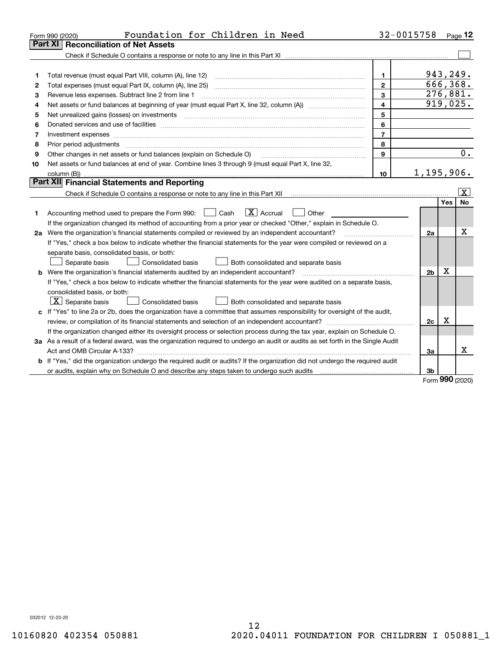|    | Foundation for Children in Need<br>Form 990 (2020)                                                                                                                                                                             |                | 32-0015758     |     | Page 12   |
|----|--------------------------------------------------------------------------------------------------------------------------------------------------------------------------------------------------------------------------------|----------------|----------------|-----|-----------|
|    | <b>Reconciliation of Net Assets</b><br>Part XI                                                                                                                                                                                 |                |                |     |           |
|    |                                                                                                                                                                                                                                |                |                |     |           |
|    |                                                                                                                                                                                                                                |                |                |     |           |
| 1  | Total revenue (must equal Part VIII, column (A), line 12)                                                                                                                                                                      | 1.             | 943,249.       |     |           |
| 2  |                                                                                                                                                                                                                                | $\mathbf{2}$   | 666, 368.      |     |           |
| 3  | Revenue less expenses. Subtract line 2 from line 1                                                                                                                                                                             | 3              | 276,881.       |     |           |
| 4  |                                                                                                                                                                                                                                | $\overline{4}$ | 919,025.       |     |           |
| 5  |                                                                                                                                                                                                                                | 5              |                |     |           |
| 6  | Donated services and use of facilities [111] matter contracts and the service of facilities [11] matter contracts and use of facilities [11] matter contracts and the service of facilities [11] matter contracts and the serv | 6              |                |     |           |
| 7  |                                                                                                                                                                                                                                | $\overline{7}$ |                |     |           |
| 8  | Prior period adjustments                                                                                                                                                                                                       | 8              |                |     |           |
| 9  | Other changes in net assets or fund balances (explain on Schedule O)                                                                                                                                                           | 9              |                |     | 0.        |
| 10 | Net assets or fund balances at end of year. Combine lines 3 through 9 (must equal Part X, line 32,                                                                                                                             |                |                |     |           |
|    |                                                                                                                                                                                                                                | 10             | 1, 195, 906.   |     |           |
|    | Part XII Financial Statements and Reporting                                                                                                                                                                                    |                |                |     |           |
|    |                                                                                                                                                                                                                                |                |                |     | x         |
|    |                                                                                                                                                                                                                                |                |                | Yes | <b>No</b> |
| 1  | $\boxed{\mathbf{X}}$ Accrual<br>Accounting method used to prepare the Form 990: <u>June</u> Cash<br>Other                                                                                                                      |                |                |     |           |
|    | If the organization changed its method of accounting from a prior year or checked "Other," explain in Schedule O.                                                                                                              |                |                |     |           |
|    | 2a Were the organization's financial statements compiled or reviewed by an independent accountant?                                                                                                                             |                | 2a             |     | X         |
|    | If "Yes," check a box below to indicate whether the financial statements for the year were compiled or reviewed on a                                                                                                           |                |                |     |           |
|    | separate basis, consolidated basis, or both:                                                                                                                                                                                   |                |                |     |           |
|    | <b>Consolidated basis</b><br>Both consolidated and separate basis<br>Separate basis                                                                                                                                            |                |                |     |           |
|    | <b>b</b> Were the organization's financial statements audited by an independent accountant?                                                                                                                                    |                | 2 <sub>b</sub> | х   |           |
|    | If "Yes," check a box below to indicate whether the financial statements for the year were audited on a separate basis,                                                                                                        |                |                |     |           |
|    | consolidated basis, or both:                                                                                                                                                                                                   |                |                |     |           |
|    | $\lfloor x \rfloor$ Separate basis<br><b>Consolidated basis</b><br>Both consolidated and separate basis                                                                                                                        |                |                |     |           |
|    | c If "Yes" to line 2a or 2b, does the organization have a committee that assumes responsibility for oversight of the audit,                                                                                                    |                |                |     |           |
|    | review, or compilation of its financial statements and selection of an independent accountant?                                                                                                                                 |                | 2c             | x   |           |
|    | If the organization changed either its oversight process or selection process during the tax year, explain on Schedule O.                                                                                                      |                |                |     |           |
|    | 3a As a result of a federal award, was the organization required to undergo an audit or audits as set forth in the Single Audit                                                                                                |                |                |     |           |
|    |                                                                                                                                                                                                                                |                | 3a             |     | x         |
|    | b If "Yes," did the organization undergo the required audit or audits? If the organization did not undergo the required audit                                                                                                  |                |                |     |           |
|    | or audits, explain why on Schedule O and describe any steps taken to undergo such audits [11] our manuscription why on Schedule O and describe any steps taken to undergo such audits                                          |                | 3 <sub>b</sub> | nnn |           |

Form (2020) **990**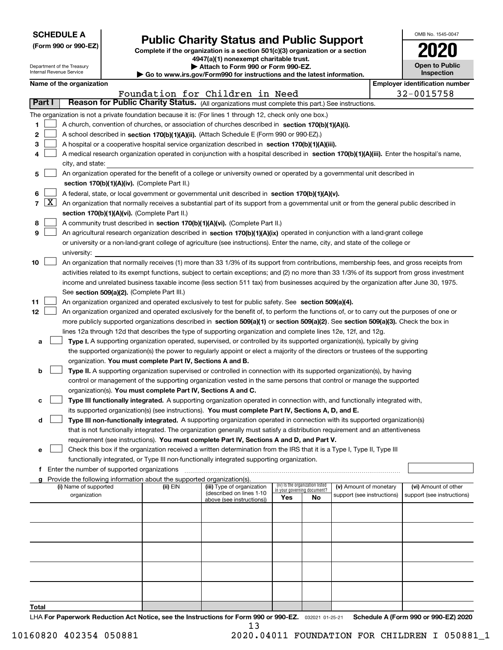| <b>SCHEDULE A</b> |  |
|-------------------|--|
|-------------------|--|

Department of the Treasury Internal Revenue Service

|  |  |  | (Form 990 or 990-EZ) |  |
|--|--|--|----------------------|--|
|--|--|--|----------------------|--|

## **Public Charity Status and Public Support**

**Complete if the organization is a section 501(c)(3) organization or a section 4947(a)(1) nonexempt charitable trust. | Attach to Form 990 or Form 990-EZ.** 

| Go to www.irs.gov/Form990 for instructions and the latest information. |  |  |
|------------------------------------------------------------------------|--|--|

| OMB No. 1545-0047                   |
|-------------------------------------|
|                                     |
| <b>Open to Public</b><br>Inspection |

|               |                     | Name of the organization                                                                                                                                                                                                                             |          |                                                        |                             |                                 |                            |  | <b>Employer identification number</b> |  |  |
|---------------|---------------------|------------------------------------------------------------------------------------------------------------------------------------------------------------------------------------------------------------------------------------------------------|----------|--------------------------------------------------------|-----------------------------|---------------------------------|----------------------------|--|---------------------------------------|--|--|
|               |                     |                                                                                                                                                                                                                                                      |          | Foundation for Children in Need                        |                             |                                 |                            |  | 32-0015758                            |  |  |
| <b>Part I</b> |                     | Reason for Public Charity Status. (All organizations must complete this part.) See instructions.                                                                                                                                                     |          |                                                        |                             |                                 |                            |  |                                       |  |  |
|               |                     | The organization is not a private foundation because it is: (For lines 1 through 12, check only one box.)                                                                                                                                            |          |                                                        |                             |                                 |                            |  |                                       |  |  |
| 1             |                     | A church, convention of churches, or association of churches described in section 170(b)(1)(A)(i).                                                                                                                                                   |          |                                                        |                             |                                 |                            |  |                                       |  |  |
| 2             |                     | A school described in section 170(b)(1)(A)(ii). (Attach Schedule E (Form 990 or 990-EZ).)                                                                                                                                                            |          |                                                        |                             |                                 |                            |  |                                       |  |  |
| З             |                     | A hospital or a cooperative hospital service organization described in section 170(b)(1)(A)(iii).                                                                                                                                                    |          |                                                        |                             |                                 |                            |  |                                       |  |  |
|               |                     | A medical research organization operated in conjunction with a hospital described in section 170(b)(1)(A)(iii). Enter the hospital's name,                                                                                                           |          |                                                        |                             |                                 |                            |  |                                       |  |  |
|               |                     | city, and state:                                                                                                                                                                                                                                     |          |                                                        |                             |                                 |                            |  |                                       |  |  |
| 5             |                     | An organization operated for the benefit of a college or university owned or operated by a governmental unit described in                                                                                                                            |          |                                                        |                             |                                 |                            |  |                                       |  |  |
|               |                     | section 170(b)(1)(A)(iv). (Complete Part II.)                                                                                                                                                                                                        |          |                                                        |                             |                                 |                            |  |                                       |  |  |
| 6             |                     | A federal, state, or local government or governmental unit described in section 170(b)(1)(A)(v).                                                                                                                                                     |          |                                                        |                             |                                 |                            |  |                                       |  |  |
| 7             | $\lfloor x \rfloor$ | An organization that normally receives a substantial part of its support from a governmental unit or from the general public described in                                                                                                            |          |                                                        |                             |                                 |                            |  |                                       |  |  |
|               |                     | section 170(b)(1)(A)(vi). (Complete Part II.)                                                                                                                                                                                                        |          |                                                        |                             |                                 |                            |  |                                       |  |  |
| 8             |                     | A community trust described in section 170(b)(1)(A)(vi). (Complete Part II.)                                                                                                                                                                         |          |                                                        |                             |                                 |                            |  |                                       |  |  |
| 9             |                     | An agricultural research organization described in section 170(b)(1)(A)(ix) operated in conjunction with a land-grant college                                                                                                                        |          |                                                        |                             |                                 |                            |  |                                       |  |  |
|               |                     | or university or a non-land-grant college of agriculture (see instructions). Enter the name, city, and state of the college or                                                                                                                       |          |                                                        |                             |                                 |                            |  |                                       |  |  |
|               |                     | university:                                                                                                                                                                                                                                          |          |                                                        |                             |                                 |                            |  |                                       |  |  |
| 10            |                     | An organization that normally receives (1) more than 33 1/3% of its support from contributions, membership fees, and gross receipts from                                                                                                             |          |                                                        |                             |                                 |                            |  |                                       |  |  |
|               |                     | activities related to its exempt functions, subject to certain exceptions; and (2) no more than 33 1/3% of its support from gross investment                                                                                                         |          |                                                        |                             |                                 |                            |  |                                       |  |  |
|               |                     | income and unrelated business taxable income (less section 511 tax) from businesses acquired by the organization after June 30, 1975.                                                                                                                |          |                                                        |                             |                                 |                            |  |                                       |  |  |
|               |                     | See section 509(a)(2). (Complete Part III.)                                                                                                                                                                                                          |          |                                                        |                             |                                 |                            |  |                                       |  |  |
| 11            |                     | An organization organized and operated exclusively to test for public safety. See section 509(a)(4).                                                                                                                                                 |          |                                                        |                             |                                 |                            |  |                                       |  |  |
| 12            |                     | An organization organized and operated exclusively for the benefit of, to perform the functions of, or to carry out the purposes of one or                                                                                                           |          |                                                        |                             |                                 |                            |  |                                       |  |  |
|               |                     | more publicly supported organizations described in section 509(a)(1) or section 509(a)(2). See section 509(a)(3). Check the box in<br>lines 12a through 12d that describes the type of supporting organization and complete lines 12e, 12f, and 12g. |          |                                                        |                             |                                 |                            |  |                                       |  |  |
|               |                     | Type I. A supporting organization operated, supervised, or controlled by its supported organization(s), typically by giving                                                                                                                          |          |                                                        |                             |                                 |                            |  |                                       |  |  |
| а             |                     | the supported organization(s) the power to regularly appoint or elect a majority of the directors or trustees of the supporting                                                                                                                      |          |                                                        |                             |                                 |                            |  |                                       |  |  |
|               |                     | organization. You must complete Part IV, Sections A and B.                                                                                                                                                                                           |          |                                                        |                             |                                 |                            |  |                                       |  |  |
| b             |                     | Type II. A supporting organization supervised or controlled in connection with its supported organization(s), by having                                                                                                                              |          |                                                        |                             |                                 |                            |  |                                       |  |  |
|               |                     | control or management of the supporting organization vested in the same persons that control or manage the supported                                                                                                                                 |          |                                                        |                             |                                 |                            |  |                                       |  |  |
|               |                     | organization(s). You must complete Part IV, Sections A and C.                                                                                                                                                                                        |          |                                                        |                             |                                 |                            |  |                                       |  |  |
| c             |                     | Type III functionally integrated. A supporting organization operated in connection with, and functionally integrated with,                                                                                                                           |          |                                                        |                             |                                 |                            |  |                                       |  |  |
|               |                     | its supported organization(s) (see instructions). You must complete Part IV, Sections A, D, and E.                                                                                                                                                   |          |                                                        |                             |                                 |                            |  |                                       |  |  |
| d             |                     | Type III non-functionally integrated. A supporting organization operated in connection with its supported organization(s)                                                                                                                            |          |                                                        |                             |                                 |                            |  |                                       |  |  |
|               |                     | that is not functionally integrated. The organization generally must satisfy a distribution requirement and an attentiveness                                                                                                                         |          |                                                        |                             |                                 |                            |  |                                       |  |  |
|               |                     | requirement (see instructions). You must complete Part IV, Sections A and D, and Part V.                                                                                                                                                             |          |                                                        |                             |                                 |                            |  |                                       |  |  |
| е             |                     | Check this box if the organization received a written determination from the IRS that it is a Type I, Type II, Type III                                                                                                                              |          |                                                        |                             |                                 |                            |  |                                       |  |  |
|               |                     | functionally integrated, or Type III non-functionally integrated supporting organization.                                                                                                                                                            |          |                                                        |                             |                                 |                            |  |                                       |  |  |
|               |                     | f Enter the number of supported organizations                                                                                                                                                                                                        |          |                                                        |                             |                                 |                            |  |                                       |  |  |
|               |                     | Provide the following information about the supported organization(s).                                                                                                                                                                               |          |                                                        |                             |                                 |                            |  |                                       |  |  |
|               |                     | (i) Name of supported                                                                                                                                                                                                                                | (ii) EIN | (iii) Type of organization<br>(described on lines 1-10 | in your governing document? | (iv) Is the organization listed | (v) Amount of monetary     |  | (vi) Amount of other                  |  |  |
|               |                     | organization                                                                                                                                                                                                                                         |          | above (see instructions))                              | Yes                         | No.                             | support (see instructions) |  | support (see instructions)            |  |  |
|               |                     |                                                                                                                                                                                                                                                      |          |                                                        |                             |                                 |                            |  |                                       |  |  |
|               |                     |                                                                                                                                                                                                                                                      |          |                                                        |                             |                                 |                            |  |                                       |  |  |
|               |                     |                                                                                                                                                                                                                                                      |          |                                                        |                             |                                 |                            |  |                                       |  |  |
|               |                     |                                                                                                                                                                                                                                                      |          |                                                        |                             |                                 |                            |  |                                       |  |  |
|               |                     |                                                                                                                                                                                                                                                      |          |                                                        |                             |                                 |                            |  |                                       |  |  |
|               |                     |                                                                                                                                                                                                                                                      |          |                                                        |                             |                                 |                            |  |                                       |  |  |
|               |                     |                                                                                                                                                                                                                                                      |          |                                                        |                             |                                 |                            |  |                                       |  |  |
|               |                     |                                                                                                                                                                                                                                                      |          |                                                        |                             |                                 |                            |  |                                       |  |  |
|               |                     |                                                                                                                                                                                                                                                      |          |                                                        |                             |                                 |                            |  |                                       |  |  |
|               |                     |                                                                                                                                                                                                                                                      |          |                                                        |                             |                                 |                            |  |                                       |  |  |
| Total         |                     |                                                                                                                                                                                                                                                      |          |                                                        |                             |                                 |                            |  |                                       |  |  |

LHA For Paperwork Reduction Act Notice, see the Instructions for Form 990 or 990-EZ. <sub>032021</sub> o1-25-21 Schedule A (Form 990 or 990-EZ) 2020 13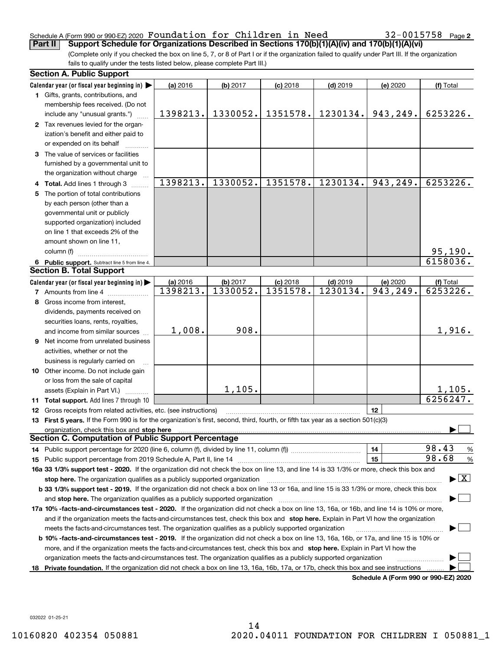#### Schedule A (Form 990 or 990-EZ) 2020 Page Foundation for Children in Need 32-0015758 **Part II Support Schedule for Organizations Described in Sections 170(b)(1)(A)(iv) and 170(b)(1)(A)(vi)**

**2**

(Complete only if you checked the box on line 5, 7, or 8 of Part I or if the organization failed to qualify under Part III. If the organization fails to qualify under the tests listed below, please complete Part III.)

|     | <b>Section A. Public Support</b>                                                                                                                                                                                               |          |          |            |            |                                      |                                         |
|-----|--------------------------------------------------------------------------------------------------------------------------------------------------------------------------------------------------------------------------------|----------|----------|------------|------------|--------------------------------------|-----------------------------------------|
|     | Calendar year (or fiscal year beginning in) $\blacktriangleright$                                                                                                                                                              | (a) 2016 | (b) 2017 | $(c)$ 2018 | $(d)$ 2019 | (e) 2020                             | (f) Total                               |
|     | 1 Gifts, grants, contributions, and                                                                                                                                                                                            |          |          |            |            |                                      |                                         |
|     | membership fees received. (Do not                                                                                                                                                                                              |          |          |            |            |                                      |                                         |
|     | include any "unusual grants.")                                                                                                                                                                                                 | 1398213. | 1330052. | 1351578.   | 1230134.   | 943,249.                             | 6253226.                                |
|     | 2 Tax revenues levied for the organ-                                                                                                                                                                                           |          |          |            |            |                                      |                                         |
|     | ization's benefit and either paid to                                                                                                                                                                                           |          |          |            |            |                                      |                                         |
|     | or expended on its behalf                                                                                                                                                                                                      |          |          |            |            |                                      |                                         |
|     | 3 The value of services or facilities                                                                                                                                                                                          |          |          |            |            |                                      |                                         |
|     | furnished by a governmental unit to                                                                                                                                                                                            |          |          |            |            |                                      |                                         |
|     | the organization without charge                                                                                                                                                                                                |          |          |            |            |                                      |                                         |
|     | 4 Total. Add lines 1 through 3                                                                                                                                                                                                 | 1398213. | 1330052. | 1351578.   | 1230134.   | 943, 249.                            | 6253226.                                |
|     | 5 The portion of total contributions                                                                                                                                                                                           |          |          |            |            |                                      |                                         |
|     | by each person (other than a                                                                                                                                                                                                   |          |          |            |            |                                      |                                         |
|     | governmental unit or publicly                                                                                                                                                                                                  |          |          |            |            |                                      |                                         |
|     | supported organization) included                                                                                                                                                                                               |          |          |            |            |                                      |                                         |
|     | on line 1 that exceeds 2% of the                                                                                                                                                                                               |          |          |            |            |                                      |                                         |
|     | amount shown on line 11,                                                                                                                                                                                                       |          |          |            |            |                                      |                                         |
|     | column (f)                                                                                                                                                                                                                     |          |          |            |            |                                      | $\frac{95,190.}{6158036.}$              |
|     | 6 Public support. Subtract line 5 from line 4.                                                                                                                                                                                 |          |          |            |            |                                      |                                         |
|     | <b>Section B. Total Support</b>                                                                                                                                                                                                |          |          |            |            |                                      |                                         |
|     | Calendar year (or fiscal year beginning in)                                                                                                                                                                                    | (a) 2016 | (b) 2017 | $(c)$ 2018 | $(d)$ 2019 | (e) 2020                             | (f) Total                               |
|     | <b>7</b> Amounts from line 4                                                                                                                                                                                                   | 1398213. | 1330052. | 1351578.   | 1230134.   | 943, 249.                            | 6253226.                                |
| 8   | Gross income from interest,                                                                                                                                                                                                    |          |          |            |            |                                      |                                         |
|     | dividends, payments received on                                                                                                                                                                                                |          |          |            |            |                                      |                                         |
|     | securities loans, rents, royalties,                                                                                                                                                                                            |          |          |            |            |                                      |                                         |
|     | and income from similar sources                                                                                                                                                                                                | 1,008.   | 908.     |            |            |                                      | 1,916.                                  |
|     | <b>9</b> Net income from unrelated business                                                                                                                                                                                    |          |          |            |            |                                      |                                         |
|     | activities, whether or not the                                                                                                                                                                                                 |          |          |            |            |                                      |                                         |
|     | business is regularly carried on                                                                                                                                                                                               |          |          |            |            |                                      |                                         |
|     | 10 Other income. Do not include gain                                                                                                                                                                                           |          |          |            |            |                                      |                                         |
|     | or loss from the sale of capital                                                                                                                                                                                               |          |          |            |            |                                      |                                         |
|     | assets (Explain in Part VI.)                                                                                                                                                                                                   |          | 1,105.   |            |            |                                      | 1,105.                                  |
|     | 11 Total support. Add lines 7 through 10                                                                                                                                                                                       |          |          |            |            |                                      | 6256247.                                |
|     | 12 Gross receipts from related activities, etc. (see instructions)                                                                                                                                                             |          |          |            |            | 12                                   |                                         |
|     | 13 First 5 years. If the Form 990 is for the organization's first, second, third, fourth, or fifth tax year as a section 501(c)(3)                                                                                             |          |          |            |            |                                      |                                         |
|     | organization, check this box and stop here manufactured and according to the state of the state of the state of the state of the state of the state of the state of the state of the state of the state of the state of the st |          |          |            |            |                                      |                                         |
|     | <b>Section C. Computation of Public Support Percentage</b>                                                                                                                                                                     |          |          |            |            |                                      |                                         |
|     |                                                                                                                                                                                                                                |          |          |            |            | 14                                   | 98.43<br>$\frac{9}{6}$                  |
|     |                                                                                                                                                                                                                                |          |          |            |            | 15                                   | 98.68<br>%                              |
|     | 16a 33 1/3% support test - 2020. If the organization did not check the box on line 13, and line 14 is 33 1/3% or more, check this box and                                                                                      |          |          |            |            |                                      |                                         |
|     | stop here. The organization qualifies as a publicly supported organization                                                                                                                                                     |          |          |            |            |                                      | $\blacktriangleright$ $\vert$ X $\vert$ |
|     | b 33 1/3% support test - 2019. If the organization did not check a box on line 13 or 16a, and line 15 is 33 1/3% or more, check this box                                                                                       |          |          |            |            |                                      |                                         |
|     | and stop here. The organization qualifies as a publicly supported organization                                                                                                                                                 |          |          |            |            |                                      |                                         |
|     | 17a 10% -facts-and-circumstances test - 2020. If the organization did not check a box on line 13, 16a, or 16b, and line 14 is 10% or more,                                                                                     |          |          |            |            |                                      |                                         |
|     | and if the organization meets the facts-and-circumstances test, check this box and stop here. Explain in Part VI how the organization                                                                                          |          |          |            |            |                                      |                                         |
|     | meets the facts-and-circumstances test. The organization qualifies as a publicly supported organization                                                                                                                        |          |          |            |            |                                      |                                         |
|     | <b>b 10% -facts-and-circumstances test - 2019.</b> If the organization did not check a box on line 13, 16a, 16b, or 17a, and line 15 is 10% or                                                                                 |          |          |            |            |                                      |                                         |
|     | more, and if the organization meets the facts-and-circumstances test, check this box and stop here. Explain in Part VI how the                                                                                                 |          |          |            |            |                                      |                                         |
|     | organization meets the facts-and-circumstances test. The organization qualifies as a publicly supported organization                                                                                                           |          |          |            |            |                                      |                                         |
| 18. | Private foundation. If the organization did not check a box on line 13, 16a, 16b, 17a, or 17b, check this box and see instructions                                                                                             |          |          |            |            |                                      |                                         |
|     |                                                                                                                                                                                                                                |          |          |            |            | Schedule A (Form 990 or 990-EZ) 2020 |                                         |

**Schedule A (Form 990 or 990-EZ) 2020**

032022 01-25-21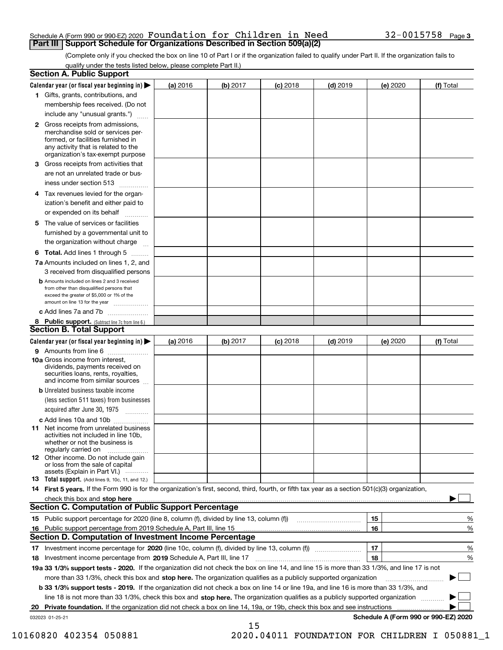#### Schedule A (Form 990 or 990-EZ) 2020 Page Foundation for Children in Need 32-0015758 **Part III Support Schedule for Organizations Described in Section 509(a)(2)**

(Complete only if you checked the box on line 10 of Part I or if the organization failed to qualify under Part II. If the organization fails to qualify under the tests listed below, please complete Part II.)

| <b>Section A. Public Support</b>                                                                                                                                                                                                     |          |          |            |            |          |                                      |
|--------------------------------------------------------------------------------------------------------------------------------------------------------------------------------------------------------------------------------------|----------|----------|------------|------------|----------|--------------------------------------|
| Calendar year (or fiscal year beginning in) $\blacktriangleright$                                                                                                                                                                    | (a) 2016 | (b) 2017 | $(c)$ 2018 | $(d)$ 2019 | (e) 2020 | (f) Total                            |
| 1 Gifts, grants, contributions, and                                                                                                                                                                                                  |          |          |            |            |          |                                      |
| membership fees received. (Do not                                                                                                                                                                                                    |          |          |            |            |          |                                      |
| include any "unusual grants.")                                                                                                                                                                                                       |          |          |            |            |          |                                      |
| 2 Gross receipts from admissions,<br>merchandise sold or services per-<br>formed, or facilities furnished in<br>any activity that is related to the<br>organization's tax-exempt purpose                                             |          |          |            |            |          |                                      |
| 3 Gross receipts from activities that<br>are not an unrelated trade or bus-                                                                                                                                                          |          |          |            |            |          |                                      |
| iness under section 513                                                                                                                                                                                                              |          |          |            |            |          |                                      |
| 4 Tax revenues levied for the organ-<br>ization's benefit and either paid to<br>or expended on its behalf                                                                                                                            |          |          |            |            |          |                                      |
| .<br>5 The value of services or facilities<br>furnished by a governmental unit to                                                                                                                                                    |          |          |            |            |          |                                      |
| the organization without charge                                                                                                                                                                                                      |          |          |            |            |          |                                      |
| <b>6 Total.</b> Add lines 1 through 5                                                                                                                                                                                                |          |          |            |            |          |                                      |
| 7a Amounts included on lines 1, 2, and<br>3 received from disqualified persons                                                                                                                                                       |          |          |            |            |          |                                      |
| <b>b</b> Amounts included on lines 2 and 3 received<br>from other than disqualified persons that<br>exceed the greater of \$5,000 or 1% of the<br>amount on line 13 for the year                                                     |          |          |            |            |          |                                      |
| c Add lines 7a and 7b                                                                                                                                                                                                                |          |          |            |            |          |                                      |
| 8 Public support. (Subtract line 7c from line 6.)<br><b>Section B. Total Support</b>                                                                                                                                                 |          |          |            |            |          |                                      |
| Calendar year (or fiscal year beginning in)                                                                                                                                                                                          | (a) 2016 | (b) 2017 | $(c)$ 2018 | $(d)$ 2019 | (e) 2020 | (f) Total                            |
| 9 Amounts from line 6                                                                                                                                                                                                                |          |          |            |            |          |                                      |
| 10a Gross income from interest,<br>dividends, payments received on<br>securities loans, rents, royalties,<br>and income from similar sources                                                                                         |          |          |            |            |          |                                      |
| <b>b</b> Unrelated business taxable income<br>(less section 511 taxes) from businesses<br>acquired after June 30, 1975                                                                                                               |          |          |            |            |          |                                      |
| c Add lines 10a and 10b                                                                                                                                                                                                              |          |          |            |            |          |                                      |
| <b>11</b> Net income from unrelated business<br>activities not included in line 10b,<br>whether or not the business is<br>regularly carried on                                                                                       |          |          |            |            |          |                                      |
| <b>12</b> Other income. Do not include gain<br>or loss from the sale of capital<br>assets (Explain in Part VI.)                                                                                                                      |          |          |            |            |          |                                      |
| <b>13 Total support.</b> (Add lines 9, 10c, 11, and 12.)                                                                                                                                                                             |          |          |            |            |          |                                      |
| 14 First 5 years. If the Form 990 is for the organization's first, second, third, fourth, or fifth tax year as a section 501(c)(3) organization,                                                                                     |          |          |            |            |          |                                      |
| check this box and stop here <b>contract the contract of the contract of the state of the state of the state of the state of the state of the state of the state of the state of the state of the state of the state of the stat</b> |          |          |            |            |          |                                      |
| <b>Section C. Computation of Public Support Percentage</b>                                                                                                                                                                           |          |          |            |            |          |                                      |
|                                                                                                                                                                                                                                      |          |          |            |            | 15       | %                                    |
| 16 Public support percentage from 2019 Schedule A, Part III, line 15                                                                                                                                                                 |          |          |            |            | 16       | %                                    |
| <b>Section D. Computation of Investment Income Percentage</b>                                                                                                                                                                        |          |          |            |            |          |                                      |
| 17 Investment income percentage for 2020 (line 10c, column (f), divided by line 13, column (f))<br>18 Investment income percentage from 2019 Schedule A, Part III, line 17                                                           |          |          |            |            | 17<br>18 | %<br>%                               |
| 19a 33 1/3% support tests - 2020. If the organization did not check the box on line 14, and line 15 is more than 33 1/3%, and line 17 is not                                                                                         |          |          |            |            |          |                                      |
| more than 33 1/3%, check this box and stop here. The organization qualifies as a publicly supported organization                                                                                                                     |          |          |            |            |          | ▶                                    |
| b 33 1/3% support tests - 2019. If the organization did not check a box on line 14 or line 19a, and line 16 is more than 33 1/3%, and                                                                                                |          |          |            |            |          |                                      |
| line 18 is not more than 33 1/3%, check this box and stop here. The organization qualifies as a publicly supported organization                                                                                                      |          |          |            |            |          |                                      |
| 20 Private foundation. If the organization did not check a box on line 14, 19a, or 19b, check this box and see instructions                                                                                                          |          |          |            |            |          |                                      |
| 032023 01-25-21                                                                                                                                                                                                                      |          | 15       |            |            |          | Schedule A (Form 990 or 990-EZ) 2020 |

10160820 402354 050881 2020.04011 FOUNDATION FOR CHILDREN I 050881\_1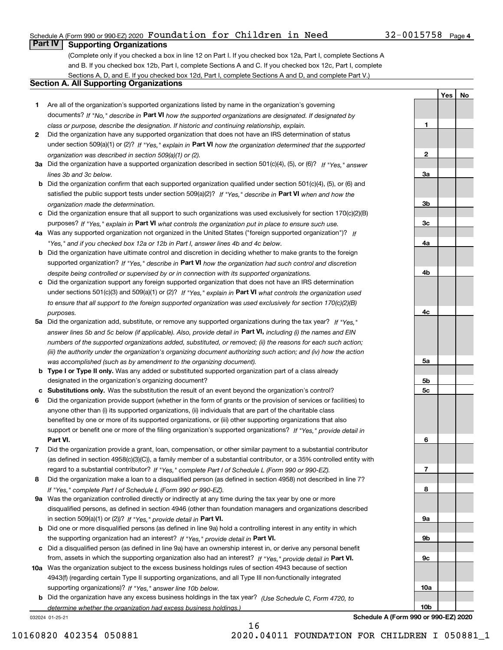## Schedule A (Form 990 or 990-EZ) 2020 Page Foundation for Children in Need 32-0015758

## **Part IV Supporting Organizations**

(Complete only if you checked a box in line 12 on Part I. If you checked box 12a, Part I, complete Sections A and B. If you checked box 12b, Part I, complete Sections A and C. If you checked box 12c, Part I, complete Sections A, D, and E. If you checked box 12d, Part I, complete Sections A and D, and complete Part V.)

## **Section A. All Supporting Organizations**

- **1** Are all of the organization's supported organizations listed by name in the organization's governing documents? If "No," describe in **Part VI** how the supported organizations are designated. If designated by *class or purpose, describe the designation. If historic and continuing relationship, explain.*
- **2** Did the organization have any supported organization that does not have an IRS determination of status under section 509(a)(1) or (2)? If "Yes," explain in Part VI how the organization determined that the supported *organization was described in section 509(a)(1) or (2).*
- **3a** Did the organization have a supported organization described in section 501(c)(4), (5), or (6)? If "Yes," answer *lines 3b and 3c below.*
- **b** Did the organization confirm that each supported organization qualified under section 501(c)(4), (5), or (6) and satisfied the public support tests under section 509(a)(2)? If "Yes," describe in **Part VI** when and how the *organization made the determination.*
- **c**Did the organization ensure that all support to such organizations was used exclusively for section 170(c)(2)(B) purposes? If "Yes," explain in **Part VI** what controls the organization put in place to ensure such use.
- **4a***If* Was any supported organization not organized in the United States ("foreign supported organization")? *"Yes," and if you checked box 12a or 12b in Part I, answer lines 4b and 4c below.*
- **b** Did the organization have ultimate control and discretion in deciding whether to make grants to the foreign supported organization? If "Yes," describe in **Part VI** how the organization had such control and discretion *despite being controlled or supervised by or in connection with its supported organizations.*
- **c** Did the organization support any foreign supported organization that does not have an IRS determination under sections 501(c)(3) and 509(a)(1) or (2)? If "Yes," explain in **Part VI** what controls the organization used *to ensure that all support to the foreign supported organization was used exclusively for section 170(c)(2)(B) purposes.*
- **5a***If "Yes,"* Did the organization add, substitute, or remove any supported organizations during the tax year? answer lines 5b and 5c below (if applicable). Also, provide detail in **Part VI,** including (i) the names and EIN *numbers of the supported organizations added, substituted, or removed; (ii) the reasons for each such action; (iii) the authority under the organization's organizing document authorizing such action; and (iv) how the action was accomplished (such as by amendment to the organizing document).*
- **b** Type I or Type II only. Was any added or substituted supported organization part of a class already designated in the organization's organizing document?
- **cSubstitutions only.**  Was the substitution the result of an event beyond the organization's control?
- **6** Did the organization provide support (whether in the form of grants or the provision of services or facilities) to **Part VI.** *If "Yes," provide detail in* support or benefit one or more of the filing organization's supported organizations? anyone other than (i) its supported organizations, (ii) individuals that are part of the charitable class benefited by one or more of its supported organizations, or (iii) other supporting organizations that also
- **7**Did the organization provide a grant, loan, compensation, or other similar payment to a substantial contributor *If "Yes," complete Part I of Schedule L (Form 990 or 990-EZ).* regard to a substantial contributor? (as defined in section 4958(c)(3)(C)), a family member of a substantial contributor, or a 35% controlled entity with
- **8** Did the organization make a loan to a disqualified person (as defined in section 4958) not described in line 7? *If "Yes," complete Part I of Schedule L (Form 990 or 990-EZ).*
- **9a** Was the organization controlled directly or indirectly at any time during the tax year by one or more in section 509(a)(1) or (2))? If "Yes," *provide detail in* <code>Part VI.</code> disqualified persons, as defined in section 4946 (other than foundation managers and organizations described
- **b**the supporting organization had an interest? If "Yes," provide detail in P**art VI**. Did one or more disqualified persons (as defined in line 9a) hold a controlling interest in any entity in which
- **c**Did a disqualified person (as defined in line 9a) have an ownership interest in, or derive any personal benefit from, assets in which the supporting organization also had an interest? If "Yes," provide detail in P**art VI.**
- **10a** Was the organization subject to the excess business holdings rules of section 4943 because of section supporting organizations)? If "Yes," answer line 10b below. 4943(f) (regarding certain Type II supporting organizations, and all Type III non-functionally integrated
- **b** Did the organization have any excess business holdings in the tax year? (Use Schedule C, Form 4720, to *determine whether the organization had excess business holdings.)*

16

032024 01-25-21

**Schedule A (F** 

| 4c                      |  |
|-------------------------|--|
|                         |  |
| <u>5a</u>               |  |
|                         |  |
| <u>5b</u>               |  |
| <u>5c</u>               |  |
|                         |  |
| $6 \overline{}$         |  |
|                         |  |
| $\overline{1}$          |  |
|                         |  |
| 8                       |  |
|                         |  |
| <u>9a</u>               |  |
|                         |  |
| <u>9b</u>               |  |
|                         |  |
| 9c                      |  |
|                         |  |
| 10a                     |  |
|                         |  |
| 10 <sub>b</sub>         |  |
| orm 990 or 990-EZ) 2020 |  |
|                         |  |
| LLDREN I 050881         |  |

**1**

**2**

**3a**

**3b**

**3c**

**4a**

**4b**

**YesNo**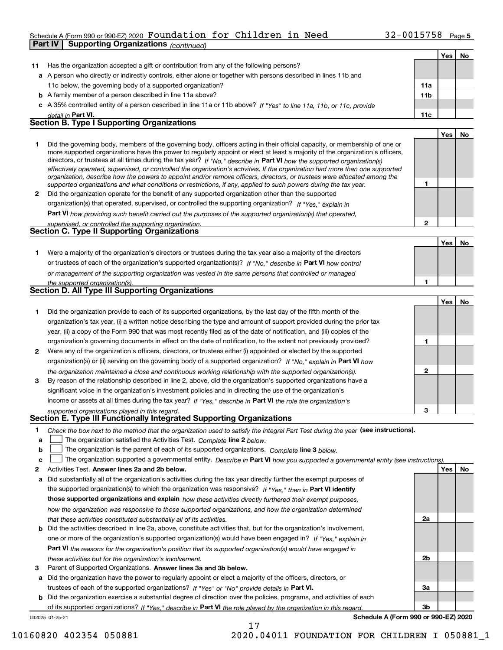## Schedule A (Form 990 or 990-EZ) 2020 Page Foundation for Children in Need 32-0015758 **Part IV Supporting Organizations** *(continued)*

|              |                                                                                                                                                                                                                                              |              | Yes   No |    |
|--------------|----------------------------------------------------------------------------------------------------------------------------------------------------------------------------------------------------------------------------------------------|--------------|----------|----|
| 11           | Has the organization accepted a gift or contribution from any of the following persons?                                                                                                                                                      |              |          |    |
|              | a A person who directly or indirectly controls, either alone or together with persons described in lines 11b and                                                                                                                             |              |          |    |
|              | 11c below, the governing body of a supported organization?                                                                                                                                                                                   | 11a          |          |    |
|              | <b>b</b> A family member of a person described in line 11a above?                                                                                                                                                                            | 11b          |          |    |
|              | c A 35% controlled entity of a person described in line 11a or 11b above? If "Yes" to line 11a, 11b, or 11c, provide                                                                                                                         |              |          |    |
|              | detail in Part VI.                                                                                                                                                                                                                           | 11c          |          |    |
|              | <b>Section B. Type I Supporting Organizations</b>                                                                                                                                                                                            |              |          |    |
|              |                                                                                                                                                                                                                                              |              | Yes      | No |
| 1.           | Did the governing body, members of the governing body, officers acting in their official capacity, or membership of one or                                                                                                                   |              |          |    |
|              | more supported organizations have the power to regularly appoint or elect at least a majority of the organization's officers,                                                                                                                |              |          |    |
|              | directors, or trustees at all times during the tax year? If "No," describe in Part VI how the supported organization(s)                                                                                                                      |              |          |    |
|              | effectively operated, supervised, or controlled the organization's activities. If the organization had more than one supported                                                                                                               |              |          |    |
|              | organization, describe how the powers to appoint and/or remove officers, directors, or trustees were allocated among the<br>supported organizations and what conditions or restrictions, if any, applied to such powers during the tax year. | 1            |          |    |
| $\mathbf{2}$ | Did the organization operate for the benefit of any supported organization other than the supported                                                                                                                                          |              |          |    |
|              | organization(s) that operated, supervised, or controlled the supporting organization? If "Yes," explain in                                                                                                                                   |              |          |    |
|              | Part VI how providing such benefit carried out the purposes of the supported organization(s) that operated,                                                                                                                                  |              |          |    |
|              | supervised, or controlled the supporting organization.                                                                                                                                                                                       | $\mathbf{2}$ |          |    |
|              | <b>Section C. Type II Supporting Organizations</b>                                                                                                                                                                                           |              |          |    |
|              |                                                                                                                                                                                                                                              |              | Yes      | No |
| 1.           | Were a majority of the organization's directors or trustees during the tax year also a majority of the directors                                                                                                                             |              |          |    |
|              | or trustees of each of the organization's supported organization(s)? If "No." describe in Part VI how control                                                                                                                                |              |          |    |
|              |                                                                                                                                                                                                                                              |              |          |    |
|              | or management of the supporting organization was vested in the same persons that controlled or managed                                                                                                                                       | 1            |          |    |
|              | the supported organization(s).<br><b>Section D. All Type III Supporting Organizations</b>                                                                                                                                                    |              |          |    |
|              |                                                                                                                                                                                                                                              |              | Yes      | No |
| 1            | Did the organization provide to each of its supported organizations, by the last day of the fifth month of the                                                                                                                               |              |          |    |
|              | organization's tax year, (i) a written notice describing the type and amount of support provided during the prior tax                                                                                                                        |              |          |    |
|              | year, (ii) a copy of the Form 990 that was most recently filed as of the date of notification, and (iii) copies of the                                                                                                                       |              |          |    |
|              | organization's governing documents in effect on the date of notification, to the extent not previously provided?                                                                                                                             | 1            |          |    |
| 2            | Were any of the organization's officers, directors, or trustees either (i) appointed or elected by the supported                                                                                                                             |              |          |    |
|              | organization(s) or (ii) serving on the governing body of a supported organization? If "No," explain in Part VI how                                                                                                                           |              |          |    |
|              |                                                                                                                                                                                                                                              | $\mathbf{2}$ |          |    |
| 3            | the organization maintained a close and continuous working relationship with the supported organization(s).<br>By reason of the relationship described in line 2, above, did the organization's supported organizations have a               |              |          |    |
|              |                                                                                                                                                                                                                                              |              |          |    |
|              | significant voice in the organization's investment policies and in directing the use of the organization's                                                                                                                                   |              |          |    |
|              | income or assets at all times during the tax year? If "Yes," describe in Part VI the role the organization's                                                                                                                                 | з            |          |    |
|              | supported organizations played in this regard.<br>Section E. Type III Functionally Integrated Supporting Organizations                                                                                                                       |              |          |    |
| 1            |                                                                                                                                                                                                                                              |              |          |    |
| a            | Check the box next to the method that the organization used to satisfy the Integral Part Test during the year (see instructions).<br>The organization satisfied the Activities Test. Complete line 2 below.                                  |              |          |    |
| b            | The organization is the parent of each of its supported organizations. Complete line 3 below.                                                                                                                                                |              |          |    |
| c            | The organization supported a governmental entity. Describe in Part VI how you supported a governmental entity (see instructions)                                                                                                             |              |          |    |
| 2            | Activities Test. Answer lines 2a and 2b below.                                                                                                                                                                                               |              | Yes      | No |
| a            | Did substantially all of the organization's activities during the tax year directly further the exempt purposes of                                                                                                                           |              |          |    |
|              | the supported organization(s) to which the organization was responsive? If "Yes." then in Part VI identify                                                                                                                                   |              |          |    |
|              | those supported organizations and explain how these activities directly furthered their exempt purposes,                                                                                                                                     |              |          |    |
|              |                                                                                                                                                                                                                                              |              |          |    |
|              | how the organization was responsive to those supported organizations, and how the organization determined                                                                                                                                    | 2a           |          |    |
|              | that these activities constituted substantially all of its activities.<br><b>b</b> Did the activities described in line 2a, above, constitute activities that, but for the organization's involvement,                                       |              |          |    |
|              |                                                                                                                                                                                                                                              |              |          |    |
|              | one or more of the organization's supported organization(s) would have been engaged in? If "Yes," explain in                                                                                                                                 |              |          |    |
|              | Part VI the reasons for the organization's position that its supported organization(s) would have engaged in                                                                                                                                 |              |          |    |
|              | these activities but for the organization's involvement.                                                                                                                                                                                     | 2b           |          |    |
| з            | Parent of Supported Organizations. Answer lines 3a and 3b below.                                                                                                                                                                             |              |          |    |
|              | a Did the organization have the power to regularly appoint or elect a majority of the officers, directors, or                                                                                                                                |              |          |    |
|              | trustees of each of the supported organizations? If "Yes" or "No" provide details in Part VI.                                                                                                                                                | За           |          |    |
|              | <b>b</b> Did the organization exercise a substantial degree of direction over the policies, programs, and activities of each                                                                                                                 |              |          |    |

032025 01-25-21 of its supported organizations? If "Yes," describe in Part VI the role played by the organization in this regard.

17

**Schedule A (Form 990 or 990-EZ) 2020**

**3b**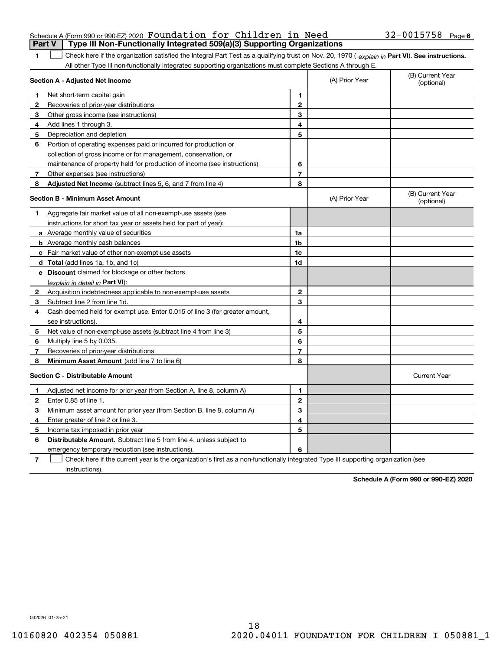| Schedule A (Form 990 or 990-EZ) 2020 Foundation for Children in Need                    |  |  | $32 - 0015758$ Page 6 |  |
|-----------------------------------------------------------------------------------------|--|--|-----------------------|--|
| <b>Part V</b>   Type III Non-Functionally Integrated 509(a)(3) Supporting Organizations |  |  |                       |  |

| 1 Check here if the organization satisfied the Integral Part Test as a qualifying trust on Nov. 20, 1970 (explain in Part VI). See instructions |
|-------------------------------------------------------------------------------------------------------------------------------------------------|
| All other Type III non-functionally integrated supporting organizations must complete Sections A through E.                                     |

|              | Section A - Adjusted Net Income                                             | (A) Prior Year | (B) Current Year<br>(optional) |                                |
|--------------|-----------------------------------------------------------------------------|----------------|--------------------------------|--------------------------------|
| 1            | Net short-term capital gain                                                 | 1              |                                |                                |
| 2            | Recoveries of prior-year distributions                                      | $\mathbf{2}$   |                                |                                |
| 3            | Other gross income (see instructions)                                       | 3              |                                |                                |
| 4            | Add lines 1 through 3.                                                      | 4              |                                |                                |
| 5            | Depreciation and depletion                                                  | 5              |                                |                                |
| 6            | Portion of operating expenses paid or incurred for production or            |                |                                |                                |
|              | collection of gross income or for management, conservation, or              |                |                                |                                |
|              | maintenance of property held for production of income (see instructions)    | 6              |                                |                                |
| 7            | Other expenses (see instructions)                                           | $\overline{7}$ |                                |                                |
| 8            | Adjusted Net Income (subtract lines 5, 6, and 7 from line 4)                | 8              |                                |                                |
|              | <b>Section B - Minimum Asset Amount</b>                                     |                | (A) Prior Year                 | (B) Current Year<br>(optional) |
| 1.           | Aggregate fair market value of all non-exempt-use assets (see               |                |                                |                                |
|              | instructions for short tax year or assets held for part of year):           |                |                                |                                |
|              | a Average monthly value of securities                                       | 1a             |                                |                                |
|              | <b>b</b> Average monthly cash balances                                      | 1 <sub>b</sub> |                                |                                |
|              | c Fair market value of other non-exempt-use assets                          | 1c             |                                |                                |
|              | d Total (add lines 1a, 1b, and 1c)                                          | 1d             |                                |                                |
|              | e Discount claimed for blockage or other factors                            |                |                                |                                |
|              | (explain in detail in Part VI):                                             |                |                                |                                |
| 2            | Acquisition indebtedness applicable to non-exempt-use assets                | $\mathbf{2}$   |                                |                                |
| 3            | Subtract line 2 from line 1d.                                               | 3              |                                |                                |
| 4            | Cash deemed held for exempt use. Enter 0.015 of line 3 (for greater amount, |                |                                |                                |
|              | see instructions).                                                          | 4              |                                |                                |
| 5            | Net value of non-exempt-use assets (subtract line 4 from line 3)            | 5              |                                |                                |
| 6            | Multiply line 5 by 0.035.                                                   | 6              |                                |                                |
| 7            | Recoveries of prior-year distributions                                      | $\overline{7}$ |                                |                                |
| 8            | Minimum Asset Amount (add line 7 to line 6)                                 | 8              |                                |                                |
|              | <b>Section C - Distributable Amount</b>                                     |                |                                | <b>Current Year</b>            |
| 1            | Adjusted net income for prior year (from Section A, line 8, column A)       | 1              |                                |                                |
| $\mathbf{2}$ | Enter 0.85 of line 1.                                                       | $\overline{2}$ |                                |                                |
| 3            | Minimum asset amount for prior year (from Section B, line 8, column A)      | 3              |                                |                                |
| 4            | Enter greater of line 2 or line 3.                                          | 4              |                                |                                |
| 5            | Income tax imposed in prior year                                            | 5              |                                |                                |
| 6            | <b>Distributable Amount.</b> Subtract line 5 from line 4, unless subject to |                |                                |                                |
|              | emergency temporary reduction (see instructions).                           | 6              |                                |                                |
|              |                                                                             |                |                                |                                |

**7** Check here if the current year is the organization's first as a non-functionally integrated Type III supporting organization (see instructions).

**Schedule A (Form 990 or 990-EZ) 2020**

032026 01-25-21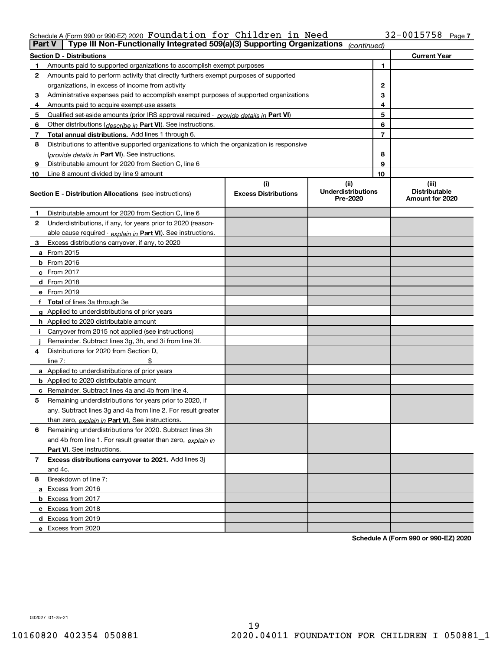## Schedule A (Form 990 or 990-EZ) 2020 Page Foundation for Children in Need 32-0015758

|    | Type III Non-Functionally Integrated 509(a)(3) Supporting Organizations<br>Part V<br>(continued) |                             |                                       |    |                                         |  |  |
|----|--------------------------------------------------------------------------------------------------|-----------------------------|---------------------------------------|----|-----------------------------------------|--|--|
|    | <b>Section D - Distributions</b>                                                                 |                             |                                       |    | <b>Current Year</b>                     |  |  |
|    | Amounts paid to supported organizations to accomplish exempt purposes                            |                             | 1                                     |    |                                         |  |  |
| 2  | Amounts paid to perform activity that directly furthers exempt purposes of supported             |                             |                                       |    |                                         |  |  |
|    | organizations, in excess of income from activity                                                 |                             | $\mathbf{2}$                          |    |                                         |  |  |
| 3  | Administrative expenses paid to accomplish exempt purposes of supported organizations            |                             | 3                                     |    |                                         |  |  |
| 4  | Amounts paid to acquire exempt-use assets                                                        |                             |                                       | 4  |                                         |  |  |
| 5  | Qualified set-aside amounts (prior IRS approval required - <i>provide details in</i> Part VI)    |                             |                                       | 5  |                                         |  |  |
| 6  | Other distributions ( <i>describe in</i> Part VI). See instructions.                             |                             |                                       | 6  |                                         |  |  |
| 7  | Total annual distributions. Add lines 1 through 6.                                               |                             |                                       | 7  |                                         |  |  |
| 8  | Distributions to attentive supported organizations to which the organization is responsive       |                             |                                       |    |                                         |  |  |
|    | (provide details in Part VI). See instructions.                                                  |                             |                                       | 8  |                                         |  |  |
| 9  | Distributable amount for 2020 from Section C, line 6                                             |                             |                                       | 9  |                                         |  |  |
| 10 | Line 8 amount divided by line 9 amount                                                           |                             |                                       | 10 |                                         |  |  |
|    |                                                                                                  | (i)                         | (ii)                                  |    | (iii)                                   |  |  |
|    | <b>Section E - Distribution Allocations</b> (see instructions)                                   | <b>Excess Distributions</b> | <b>Underdistributions</b><br>Pre-2020 |    | <b>Distributable</b><br>Amount for 2020 |  |  |
| 1  | Distributable amount for 2020 from Section C, line 6                                             |                             |                                       |    |                                         |  |  |
| 2  | Underdistributions, if any, for years prior to 2020 (reason-                                     |                             |                                       |    |                                         |  |  |
|    | able cause required - explain in Part VI). See instructions.                                     |                             |                                       |    |                                         |  |  |
| 3  | Excess distributions carryover, if any, to 2020                                                  |                             |                                       |    |                                         |  |  |
|    | a From 2015                                                                                      |                             |                                       |    |                                         |  |  |
|    | $b$ From 2016                                                                                    |                             |                                       |    |                                         |  |  |
|    | $c$ From 2017                                                                                    |                             |                                       |    |                                         |  |  |
|    | <b>d</b> From 2018                                                                               |                             |                                       |    |                                         |  |  |
|    | e From 2019                                                                                      |                             |                                       |    |                                         |  |  |
|    | f Total of lines 3a through 3e                                                                   |                             |                                       |    |                                         |  |  |
|    | g Applied to underdistributions of prior years                                                   |                             |                                       |    |                                         |  |  |
|    | h Applied to 2020 distributable amount                                                           |                             |                                       |    |                                         |  |  |
|    | Carryover from 2015 not applied (see instructions)                                               |                             |                                       |    |                                         |  |  |
|    | Remainder. Subtract lines 3g, 3h, and 3i from line 3f.                                           |                             |                                       |    |                                         |  |  |
| 4  | Distributions for 2020 from Section D,                                                           |                             |                                       |    |                                         |  |  |
|    | line $7:$                                                                                        |                             |                                       |    |                                         |  |  |
|    | a Applied to underdistributions of prior years                                                   |                             |                                       |    |                                         |  |  |
|    | <b>b</b> Applied to 2020 distributable amount                                                    |                             |                                       |    |                                         |  |  |
|    | c Remainder. Subtract lines 4a and 4b from line 4.                                               |                             |                                       |    |                                         |  |  |
| 5  | Remaining underdistributions for years prior to 2020, if                                         |                             |                                       |    |                                         |  |  |
|    | any. Subtract lines 3g and 4a from line 2. For result greater                                    |                             |                                       |    |                                         |  |  |
|    | than zero, explain in Part VI. See instructions.                                                 |                             |                                       |    |                                         |  |  |
| 6  | Remaining underdistributions for 2020. Subtract lines 3h                                         |                             |                                       |    |                                         |  |  |
|    | and 4b from line 1. For result greater than zero, explain in                                     |                             |                                       |    |                                         |  |  |
|    | Part VI. See instructions.                                                                       |                             |                                       |    |                                         |  |  |
| 7  | Excess distributions carryover to 2021. Add lines 3j                                             |                             |                                       |    |                                         |  |  |
|    | and 4c.                                                                                          |                             |                                       |    |                                         |  |  |
| 8  | Breakdown of line 7:                                                                             |                             |                                       |    |                                         |  |  |
|    | a Excess from 2016                                                                               |                             |                                       |    |                                         |  |  |
|    | <b>b</b> Excess from 2017                                                                        |                             |                                       |    |                                         |  |  |
|    | c Excess from 2018                                                                               |                             |                                       |    |                                         |  |  |
|    | d Excess from 2019                                                                               |                             |                                       |    |                                         |  |  |
|    | e Excess from 2020                                                                               |                             |                                       |    |                                         |  |  |

**Schedule A (Form 990 or 990-EZ) 2020**

032027 01-25-21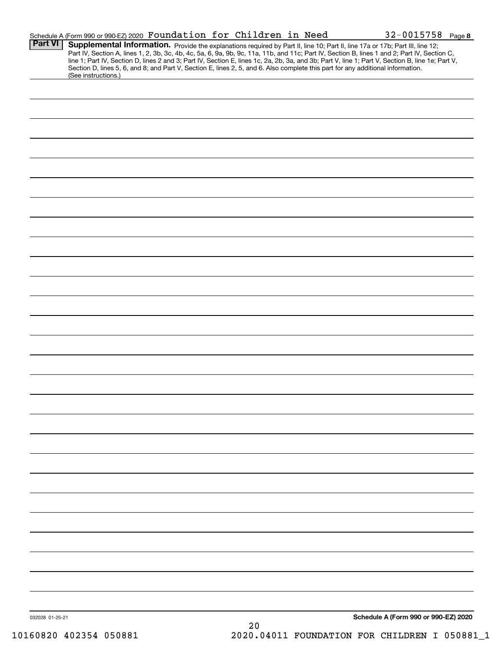|                 | Schedule A (Form 990 or 990-EZ) 2020 Foundation for Children in Need                                                                                                                                                                                                                                                                                                                                                              |  |    |  | $32 - 0015758$ Page 8                |  |
|-----------------|-----------------------------------------------------------------------------------------------------------------------------------------------------------------------------------------------------------------------------------------------------------------------------------------------------------------------------------------------------------------------------------------------------------------------------------|--|----|--|--------------------------------------|--|
| Part VI         | Supplemental Information. Provide the explanations required by Part II, line 10; Part II, line 17a or 17b; Part III, line 12;<br>Part IV, Section A, lines 1, 2, 3b, 3c, 4b, 4c, 5a, 6, 9a, 9b, 9c, 11a, 11b, and 11c; Part IV, Section B, lines 1 and 2; Part IV, Section C,<br>line 1; Part IV, Section D, lines 2 and 3; Part IV, Section E, lines 1c, 2a, 2b, 3a, and 3b; Part V, line 1; Part V, Section B, line 1e; Part V, |  |    |  |                                      |  |
|                 | Section D, lines 5, 6, and 8; and Part V, Section E, lines 2, 5, and 6. Also complete this part for any additional information.<br>(See instructions.)                                                                                                                                                                                                                                                                            |  |    |  |                                      |  |
|                 |                                                                                                                                                                                                                                                                                                                                                                                                                                   |  |    |  |                                      |  |
|                 |                                                                                                                                                                                                                                                                                                                                                                                                                                   |  |    |  |                                      |  |
|                 |                                                                                                                                                                                                                                                                                                                                                                                                                                   |  |    |  |                                      |  |
|                 |                                                                                                                                                                                                                                                                                                                                                                                                                                   |  |    |  |                                      |  |
|                 |                                                                                                                                                                                                                                                                                                                                                                                                                                   |  |    |  |                                      |  |
|                 |                                                                                                                                                                                                                                                                                                                                                                                                                                   |  |    |  |                                      |  |
|                 |                                                                                                                                                                                                                                                                                                                                                                                                                                   |  |    |  |                                      |  |
|                 |                                                                                                                                                                                                                                                                                                                                                                                                                                   |  |    |  |                                      |  |
|                 |                                                                                                                                                                                                                                                                                                                                                                                                                                   |  |    |  |                                      |  |
|                 |                                                                                                                                                                                                                                                                                                                                                                                                                                   |  |    |  |                                      |  |
|                 |                                                                                                                                                                                                                                                                                                                                                                                                                                   |  |    |  |                                      |  |
|                 |                                                                                                                                                                                                                                                                                                                                                                                                                                   |  |    |  |                                      |  |
|                 |                                                                                                                                                                                                                                                                                                                                                                                                                                   |  |    |  |                                      |  |
|                 |                                                                                                                                                                                                                                                                                                                                                                                                                                   |  |    |  |                                      |  |
|                 |                                                                                                                                                                                                                                                                                                                                                                                                                                   |  |    |  |                                      |  |
|                 |                                                                                                                                                                                                                                                                                                                                                                                                                                   |  |    |  |                                      |  |
|                 |                                                                                                                                                                                                                                                                                                                                                                                                                                   |  |    |  |                                      |  |
|                 |                                                                                                                                                                                                                                                                                                                                                                                                                                   |  |    |  |                                      |  |
|                 |                                                                                                                                                                                                                                                                                                                                                                                                                                   |  |    |  |                                      |  |
|                 |                                                                                                                                                                                                                                                                                                                                                                                                                                   |  |    |  |                                      |  |
|                 |                                                                                                                                                                                                                                                                                                                                                                                                                                   |  |    |  |                                      |  |
|                 |                                                                                                                                                                                                                                                                                                                                                                                                                                   |  |    |  |                                      |  |
|                 |                                                                                                                                                                                                                                                                                                                                                                                                                                   |  |    |  |                                      |  |
|                 |                                                                                                                                                                                                                                                                                                                                                                                                                                   |  |    |  |                                      |  |
|                 |                                                                                                                                                                                                                                                                                                                                                                                                                                   |  |    |  |                                      |  |
|                 |                                                                                                                                                                                                                                                                                                                                                                                                                                   |  |    |  |                                      |  |
|                 |                                                                                                                                                                                                                                                                                                                                                                                                                                   |  |    |  |                                      |  |
|                 |                                                                                                                                                                                                                                                                                                                                                                                                                                   |  |    |  |                                      |  |
|                 |                                                                                                                                                                                                                                                                                                                                                                                                                                   |  |    |  |                                      |  |
|                 |                                                                                                                                                                                                                                                                                                                                                                                                                                   |  |    |  |                                      |  |
|                 |                                                                                                                                                                                                                                                                                                                                                                                                                                   |  |    |  |                                      |  |
|                 |                                                                                                                                                                                                                                                                                                                                                                                                                                   |  |    |  |                                      |  |
| 032028 01-25-21 |                                                                                                                                                                                                                                                                                                                                                                                                                                   |  |    |  | Schedule A (Form 990 or 990-EZ) 2020 |  |
|                 |                                                                                                                                                                                                                                                                                                                                                                                                                                   |  | 20 |  |                                      |  |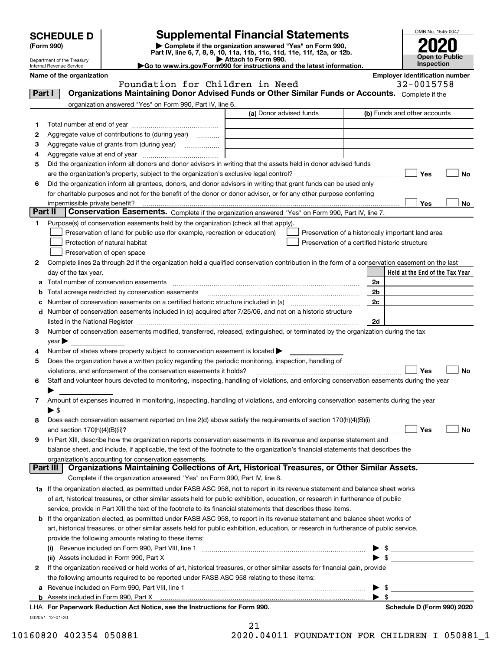|  | <b>SCHEDULE D</b> |  |  |  |
|--|-------------------|--|--|--|
|--|-------------------|--|--|--|

# **Supplemental Financial Statements**

**(Form 990) | Complete if the organization answered "Yes" on Form 990,**



|         | וטכפ ווויט<br>Department of the Treasury<br>Internal Revenue Service |                                                                                                                | $\sim$ Complete in the organization answered freshorn complete $\sim$<br>Part IV, line 6, 7, 8, 9, 10, 11a, 11b, 11c, 11d, 11e, 11f, 12a, or 12b.<br>Attach to Form 990.<br>Go to www.irs.gov/Form990 for instructions and the latest information. |    | LULU<br>Open to Public<br>Inspection                |    |
|---------|----------------------------------------------------------------------|----------------------------------------------------------------------------------------------------------------|----------------------------------------------------------------------------------------------------------------------------------------------------------------------------------------------------------------------------------------------------|----|-----------------------------------------------------|----|
|         | Name of the organization                                             | Foundation for Children in Need                                                                                |                                                                                                                                                                                                                                                    |    | <b>Employer identification number</b><br>32-0015758 |    |
| Part I  |                                                                      |                                                                                                                | Organizations Maintaining Donor Advised Funds or Other Similar Funds or Accounts. Complete if the                                                                                                                                                  |    |                                                     |    |
|         |                                                                      | organization answered "Yes" on Form 990, Part IV, line 6.                                                      |                                                                                                                                                                                                                                                    |    |                                                     |    |
|         |                                                                      |                                                                                                                | (a) Donor advised funds                                                                                                                                                                                                                            |    | (b) Funds and other accounts                        |    |
| 1       |                                                                      |                                                                                                                |                                                                                                                                                                                                                                                    |    |                                                     |    |
| 2       |                                                                      | Aggregate value of contributions to (during year)                                                              |                                                                                                                                                                                                                                                    |    |                                                     |    |
| з       |                                                                      | Aggregate value of grants from (during year)                                                                   |                                                                                                                                                                                                                                                    |    |                                                     |    |
| 4       |                                                                      |                                                                                                                |                                                                                                                                                                                                                                                    |    |                                                     |    |
| 5       |                                                                      |                                                                                                                | Did the organization inform all donors and donor advisors in writing that the assets held in donor advised funds                                                                                                                                   |    |                                                     |    |
|         |                                                                      |                                                                                                                |                                                                                                                                                                                                                                                    |    | Yes                                                 | No |
| 6       |                                                                      |                                                                                                                | Did the organization inform all grantees, donors, and donor advisors in writing that grant funds can be used only                                                                                                                                  |    |                                                     |    |
|         |                                                                      |                                                                                                                | for charitable purposes and not for the benefit of the donor or donor advisor, or for any other purpose conferring                                                                                                                                 |    |                                                     |    |
|         | impermissible private benefit?                                       |                                                                                                                |                                                                                                                                                                                                                                                    |    | Yes                                                 | No |
| Part II |                                                                      |                                                                                                                | Conservation Easements. Complete if the organization answered "Yes" on Form 990, Part IV, line 7.                                                                                                                                                  |    |                                                     |    |
| 1       |                                                                      | Purpose(s) of conservation easements held by the organization (check all that apply).                          |                                                                                                                                                                                                                                                    |    |                                                     |    |
|         |                                                                      | Preservation of land for public use (for example, recreation or education)                                     | Preservation of a historically important land area                                                                                                                                                                                                 |    |                                                     |    |
|         |                                                                      | Protection of natural habitat                                                                                  | Preservation of a certified historic structure                                                                                                                                                                                                     |    |                                                     |    |
|         |                                                                      | Preservation of open space                                                                                     |                                                                                                                                                                                                                                                    |    |                                                     |    |
| 2       |                                                                      |                                                                                                                | Complete lines 2a through 2d if the organization held a qualified conservation contribution in the form of a conservation easement on the last                                                                                                     |    |                                                     |    |
|         | day of the tax year.                                                 |                                                                                                                |                                                                                                                                                                                                                                                    |    | Held at the End of the Tax Year                     |    |
|         |                                                                      | <b>a</b> Total number of conservation easements                                                                |                                                                                                                                                                                                                                                    | 2a |                                                     |    |
|         |                                                                      | <b>b</b> Total acreage restricted by conservation easements                                                    |                                                                                                                                                                                                                                                    | 2b |                                                     |    |
|         |                                                                      |                                                                                                                | c Number of conservation easements on a certified historic structure included in (a) manufacture included in (a)                                                                                                                                   | 2c |                                                     |    |
|         |                                                                      | d Number of conservation easements included in (c) acquired after 7/25/06, and not on a historic structure     |                                                                                                                                                                                                                                                    |    |                                                     |    |
|         |                                                                      |                                                                                                                | listed in the National Register [111] Marshall Register [11] Marshall Register [11] Marshall Register [11] Marshall Register [11] Marshall Register [11] Marshall Register [11] Marshall Register [11] Marshall Register [11]                      | 2d |                                                     |    |
| 3       | $year \blacktriangleright$                                           |                                                                                                                | Number of conservation easements modified, transferred, released, extinguished, or terminated by the organization during the tax                                                                                                                   |    |                                                     |    |
| 4       |                                                                      | Number of states where property subject to conservation easement is located >                                  |                                                                                                                                                                                                                                                    |    |                                                     |    |
| 5       |                                                                      | Does the organization have a written policy regarding the periodic monitoring, inspection, handling of         |                                                                                                                                                                                                                                                    |    |                                                     |    |
|         |                                                                      | violations, and enforcement of the conservation easements it holds?                                            |                                                                                                                                                                                                                                                    |    | Yes                                                 | No |
| 6       |                                                                      |                                                                                                                | Staff and volunteer hours devoted to monitoring, inspecting, handling of violations, and enforcing conservation easements during the year                                                                                                          |    |                                                     |    |
|         |                                                                      |                                                                                                                |                                                                                                                                                                                                                                                    |    |                                                     |    |
| 7       |                                                                      |                                                                                                                | Amount of expenses incurred in monitoring, inspecting, handling of violations, and enforcing conservation easements during the year                                                                                                                |    |                                                     |    |
|         | ▶\$                                                                  |                                                                                                                |                                                                                                                                                                                                                                                    |    |                                                     |    |
| 8       |                                                                      |                                                                                                                | Does each conservation easement reported on line 2(d) above satisfy the requirements of section 170(h)(4)(B)(i)                                                                                                                                    |    |                                                     |    |
|         | and section $170(h)(4)(B)(ii)?$                                      |                                                                                                                |                                                                                                                                                                                                                                                    |    | Yes                                                 | No |
| 9       |                                                                      |                                                                                                                | In Part XIII, describe how the organization reports conservation easements in its revenue and expense statement and                                                                                                                                |    |                                                     |    |
|         |                                                                      |                                                                                                                | balance sheet, and include, if applicable, the text of the footnote to the organization's financial statements that describes the                                                                                                                  |    |                                                     |    |
|         |                                                                      | organization's accounting for conservation easements.                                                          |                                                                                                                                                                                                                                                    |    |                                                     |    |
|         | Part III                                                             | Complete if the organization answered "Yes" on Form 990, Part IV, line 8.                                      | Organizations Maintaining Collections of Art, Historical Treasures, or Other Similar Assets.                                                                                                                                                       |    |                                                     |    |
|         |                                                                      |                                                                                                                | 1a If the organization elected, as permitted under FASB ASC 958, not to report in its revenue statement and balance sheet works                                                                                                                    |    |                                                     |    |
|         |                                                                      |                                                                                                                | of art, historical treasures, or other similar assets held for public exhibition, education, or research in furtherance of public                                                                                                                  |    |                                                     |    |
|         |                                                                      | service, provide in Part XIII the text of the footnote to its financial statements that describes these items. |                                                                                                                                                                                                                                                    |    |                                                     |    |
|         |                                                                      |                                                                                                                |                                                                                                                                                                                                                                                    |    |                                                     |    |

| <b>b</b> If the organization elected, as permitted under FASB ASC 958, to report in its revenue statement and balance sheet works of    |     |
|-----------------------------------------------------------------------------------------------------------------------------------------|-----|
| art, historical treasures, or other similar assets held for public exhibition, education, or research in furtherance of public service, |     |
| provide the following amounts relating to these items:                                                                                  |     |
| (i) Revenue included on Form 000 Part VIII line 1                                                                                       | ► ⊄ |

|   | (i)                                                                                                                                                                                                                            |                            |
|---|--------------------------------------------------------------------------------------------------------------------------------------------------------------------------------------------------------------------------------|----------------------------|
|   | (ii) Assets included in Form 990, Part X [11] matter contracts and a set of the set of the set of the set of the set of the set of the set of the set of the set of the set of the set of the set of the set of the set of the |                            |
| 2 | If the organization received or held works of art, historical treasures, or other similar assets for financial gain, provide                                                                                                   |                            |
|   | the following amounts required to be reported under FASB ASC 958 relating to these items:                                                                                                                                      |                            |
|   | $\blacktriangleright$ s                                                                                                                                                                                                        |                            |
|   |                                                                                                                                                                                                                                |                            |
|   | LHA For Paperwork Reduction Act Notice, see the Instructions for Form 990.                                                                                                                                                     | Schedule D (Form 990) 2020 |

032051 12-01-20

| 21        |                  |
|-----------|------------------|
| 0. 0.1011 | <b>DOIDIDIDI</b> |

10160820 402354 050881 2020.04011 FOUNDATION FOR CHILDREN I 050881\_1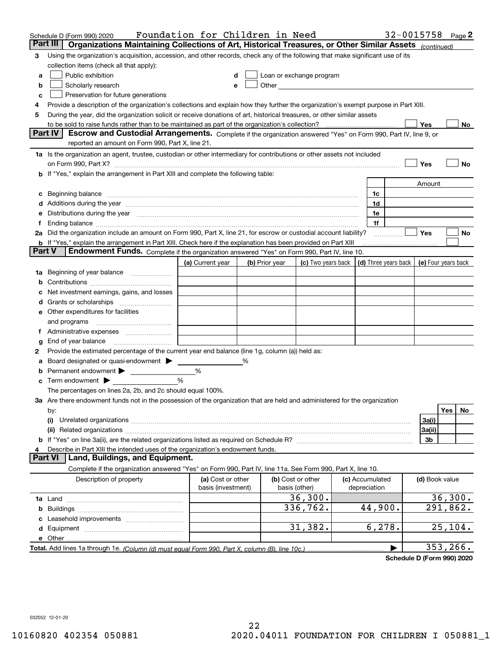|        | Schedule D (Form 990) 2020                                                                                                                                                                                                            | Foundation for Children in Need         |   |                |                                                                                                                                                                                                                               |                                 |   | 32-0015758             |          | Page 2 |
|--------|---------------------------------------------------------------------------------------------------------------------------------------------------------------------------------------------------------------------------------------|-----------------------------------------|---|----------------|-------------------------------------------------------------------------------------------------------------------------------------------------------------------------------------------------------------------------------|---------------------------------|---|------------------------|----------|--------|
|        | Part III<br>Organizations Maintaining Collections of Art, Historical Treasures, or Other Similar Assets (continued)                                                                                                                   |                                         |   |                |                                                                                                                                                                                                                               |                                 |   |                        |          |        |
| 3      | Using the organization's acquisition, accession, and other records, check any of the following that make significant use of its                                                                                                       |                                         |   |                |                                                                                                                                                                                                                               |                                 |   |                        |          |        |
|        | collection items (check all that apply):                                                                                                                                                                                              |                                         |   |                |                                                                                                                                                                                                                               |                                 |   |                        |          |        |
| a      | Public exhibition                                                                                                                                                                                                                     |                                         |   |                | Loan or exchange program                                                                                                                                                                                                      |                                 |   |                        |          |        |
| b      | Scholarly research                                                                                                                                                                                                                    |                                         |   |                | Other and the contract of the contract of the contract of the contract of the contract of the contract of the contract of the contract of the contract of the contract of the contract of the contract of the contract of the |                                 |   |                        |          |        |
| с      | Preservation for future generations                                                                                                                                                                                                   |                                         |   |                |                                                                                                                                                                                                                               |                                 |   |                        |          |        |
| 4      | Provide a description of the organization's collections and explain how they further the organization's exempt purpose in Part XIII.                                                                                                  |                                         |   |                |                                                                                                                                                                                                                               |                                 |   |                        |          |        |
| 5      | During the year, did the organization solicit or receive donations of art, historical treasures, or other similar assets                                                                                                              |                                         |   |                |                                                                                                                                                                                                                               |                                 |   |                        |          |        |
|        | to be sold to raise funds rather than to be maintained as part of the organization's collection?<br>Escrow and Custodial Arrangements. Complete if the organization answered "Yes" on Form 990, Part IV, line 9, or<br><b>Part IV</b> |                                         |   |                |                                                                                                                                                                                                                               |                                 |   | Yes                    |          | No     |
|        | reported an amount on Form 990, Part X, line 21.                                                                                                                                                                                      |                                         |   |                |                                                                                                                                                                                                                               |                                 |   |                        |          |        |
|        | 1a Is the organization an agent, trustee, custodian or other intermediary for contributions or other assets not included                                                                                                              |                                         |   |                |                                                                                                                                                                                                                               |                                 |   |                        |          |        |
|        | on Form 990, Part X? [11] matter contracts and contracts and contracts are contracted as a form 990, Part X?                                                                                                                          |                                         |   |                |                                                                                                                                                                                                                               |                                 |   | Yes                    |          | No     |
|        | <b>b</b> If "Yes," explain the arrangement in Part XIII and complete the following table:                                                                                                                                             |                                         |   |                |                                                                                                                                                                                                                               |                                 |   |                        |          |        |
|        |                                                                                                                                                                                                                                       |                                         |   |                |                                                                                                                                                                                                                               |                                 |   | Amount                 |          |        |
| c      | Beginning balance <u>www.maren.communication.communication.communication.communication.com</u>                                                                                                                                        |                                         |   |                |                                                                                                                                                                                                                               | 1c                              |   |                        |          |        |
|        | d Additions during the year manufactured and an account of a state of the year manufactured and a state of the                                                                                                                        |                                         |   |                |                                                                                                                                                                                                                               | 1d                              |   |                        |          |        |
|        | e Distributions during the year manufactured and contain an account of the state of the state of the state of                                                                                                                         |                                         |   |                |                                                                                                                                                                                                                               | 1e                              |   |                        |          |        |
|        |                                                                                                                                                                                                                                       |                                         |   |                |                                                                                                                                                                                                                               | 1f                              |   |                        |          |        |
|        | 2a Did the organization include an amount on Form 990, Part X, line 21, for escrow or custodial account liability?                                                                                                                    |                                         |   |                |                                                                                                                                                                                                                               |                                 | . | Yes                    |          | No     |
|        | <b>b</b> If "Yes," explain the arrangement in Part XIII. Check here if the explanation has been provided on Part XIII                                                                                                                 |                                         |   |                |                                                                                                                                                                                                                               |                                 |   |                        |          |        |
| Part V | Endowment Funds. Complete if the organization answered "Yes" on Form 990, Part IV, line 10.                                                                                                                                           |                                         |   |                |                                                                                                                                                                                                                               |                                 |   |                        |          |        |
|        |                                                                                                                                                                                                                                       | (a) Current year                        |   | (b) Prior year | (c) Two years back $\vert$ (d) Three years back $\vert$                                                                                                                                                                       |                                 |   | (e) Four years back    |          |        |
|        | 1a Beginning of year balance                                                                                                                                                                                                          |                                         |   |                |                                                                                                                                                                                                                               |                                 |   |                        |          |        |
| b      |                                                                                                                                                                                                                                       |                                         |   |                |                                                                                                                                                                                                                               |                                 |   |                        |          |        |
|        | Net investment earnings, gains, and losses                                                                                                                                                                                            |                                         |   |                |                                                                                                                                                                                                                               |                                 |   |                        |          |        |
|        |                                                                                                                                                                                                                                       |                                         |   |                |                                                                                                                                                                                                                               |                                 |   |                        |          |        |
|        | e Other expenditures for facilities                                                                                                                                                                                                   |                                         |   |                |                                                                                                                                                                                                                               |                                 |   |                        |          |        |
|        |                                                                                                                                                                                                                                       |                                         |   |                |                                                                                                                                                                                                                               |                                 |   |                        |          |        |
|        | f Administrative expenses                                                                                                                                                                                                             |                                         |   |                |                                                                                                                                                                                                                               |                                 |   |                        |          |        |
| g      | End of year balance <i>manually contained</i>                                                                                                                                                                                         |                                         |   |                |                                                                                                                                                                                                                               |                                 |   |                        |          |        |
| 2      | Provide the estimated percentage of the current year end balance (line 1g, column (a)) held as:                                                                                                                                       |                                         | % |                |                                                                                                                                                                                                                               |                                 |   |                        |          |        |
| а<br>b | Board designated or quasi-endowment<br>Permanent endowment >                                                                                                                                                                          | %                                       |   |                |                                                                                                                                                                                                                               |                                 |   |                        |          |        |
|        | $\mathbf c$ Term endowment $\blacktriangleright$                                                                                                                                                                                      | %                                       |   |                |                                                                                                                                                                                                                               |                                 |   |                        |          |        |
|        | The percentages on lines 2a, 2b, and 2c should equal 100%.                                                                                                                                                                            |                                         |   |                |                                                                                                                                                                                                                               |                                 |   |                        |          |        |
|        | 3a Are there endowment funds not in the possession of the organization that are held and administered for the organization                                                                                                            |                                         |   |                |                                                                                                                                                                                                                               |                                 |   |                        |          |        |
|        | by:                                                                                                                                                                                                                                   |                                         |   |                |                                                                                                                                                                                                                               |                                 |   |                        | Yes      | No     |
|        | (i)                                                                                                                                                                                                                                   |                                         |   |                |                                                                                                                                                                                                                               |                                 |   | 3a(i)                  |          |        |
|        |                                                                                                                                                                                                                                       |                                         |   |                |                                                                                                                                                                                                                               |                                 |   | 3a(ii)                 |          |        |
|        |                                                                                                                                                                                                                                       |                                         |   |                |                                                                                                                                                                                                                               |                                 |   | 3b                     |          |        |
|        | Describe in Part XIII the intended uses of the organization's endowment funds.                                                                                                                                                        |                                         |   |                |                                                                                                                                                                                                                               |                                 |   |                        |          |        |
|        | Land, Buildings, and Equipment.<br><b>Part VI</b>                                                                                                                                                                                     |                                         |   |                |                                                                                                                                                                                                                               |                                 |   |                        |          |        |
|        | Complete if the organization answered "Yes" on Form 990, Part IV, line 11a. See Form 990, Part X, line 10.                                                                                                                            |                                         |   |                |                                                                                                                                                                                                                               |                                 |   |                        |          |        |
|        | Description of property                                                                                                                                                                                                               | (a) Cost or other<br>basis (investment) |   |                | (b) Cost or other<br>basis (other)                                                                                                                                                                                            | (c) Accumulated<br>depreciation |   | (d) Book value         |          |        |
|        |                                                                                                                                                                                                                                       |                                         |   |                | 36,300.                                                                                                                                                                                                                       |                                 |   |                        | 36,300.  |        |
| b      |                                                                                                                                                                                                                                       |                                         |   |                | 336,762.                                                                                                                                                                                                                      | 44,900.                         |   | $\overline{291,862}$ . |          |        |
|        |                                                                                                                                                                                                                                       |                                         |   |                |                                                                                                                                                                                                                               |                                 |   |                        |          |        |
|        |                                                                                                                                                                                                                                       |                                         |   |                | 31,382.                                                                                                                                                                                                                       | 6, 278.                         |   |                        | 25, 104. |        |
|        |                                                                                                                                                                                                                                       |                                         |   |                |                                                                                                                                                                                                                               |                                 |   |                        |          |        |
|        |                                                                                                                                                                                                                                       |                                         |   |                |                                                                                                                                                                                                                               |                                 |   | 353,266.               |          |        |

**Schedule D (Form 990) 2020**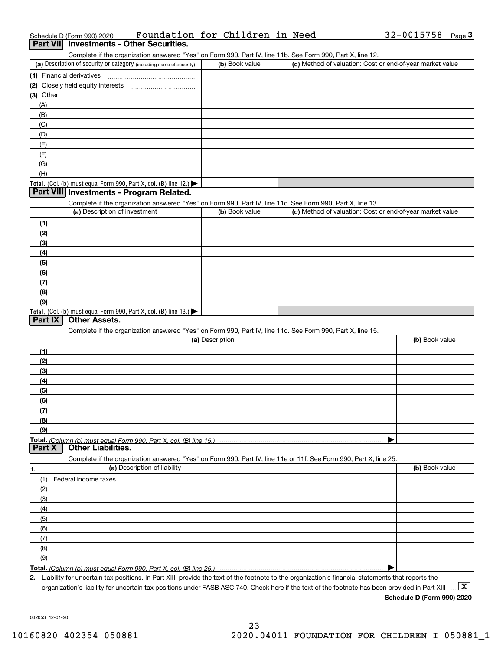| Complete in the organization answered frest on Form 990, Fart IV, line TTD. See Form 990, Fart A, line TZ.                                           |                 |                                                           |                |
|------------------------------------------------------------------------------------------------------------------------------------------------------|-----------------|-----------------------------------------------------------|----------------|
| (a) Description of security or category (including name of security)                                                                                 | (b) Book value  | (c) Method of valuation: Cost or end-of-year market value |                |
| (1) Financial derivatives                                                                                                                            |                 |                                                           |                |
|                                                                                                                                                      |                 |                                                           |                |
| (3) Other                                                                                                                                            |                 |                                                           |                |
| (A)                                                                                                                                                  |                 |                                                           |                |
| (B)                                                                                                                                                  |                 |                                                           |                |
| (C)                                                                                                                                                  |                 |                                                           |                |
| (D)                                                                                                                                                  |                 |                                                           |                |
| (E)                                                                                                                                                  |                 |                                                           |                |
| (F)                                                                                                                                                  |                 |                                                           |                |
| (G)                                                                                                                                                  |                 |                                                           |                |
| (H)                                                                                                                                                  |                 |                                                           |                |
| Total. (Col. (b) must equal Form 990, Part X, col. (B) line 12.)<br>Part VIII Investments - Program Related.                                         |                 |                                                           |                |
|                                                                                                                                                      |                 |                                                           |                |
| Complete if the organization answered "Yes" on Form 990, Part IV, line 11c. See Form 990, Part X, line 13.<br>(a) Description of investment          | (b) Book value  | (c) Method of valuation: Cost or end-of-year market value |                |
|                                                                                                                                                      |                 |                                                           |                |
| (1)                                                                                                                                                  |                 |                                                           |                |
| (2)                                                                                                                                                  |                 |                                                           |                |
| (3)                                                                                                                                                  |                 |                                                           |                |
| (4)                                                                                                                                                  |                 |                                                           |                |
| (5)                                                                                                                                                  |                 |                                                           |                |
| (6)                                                                                                                                                  |                 |                                                           |                |
| (7)                                                                                                                                                  |                 |                                                           |                |
| (8)                                                                                                                                                  |                 |                                                           |                |
| (9)                                                                                                                                                  |                 |                                                           |                |
| Total. (Col. (b) must equal Form 990, Part X, col. (B) line 13.)                                                                                     |                 |                                                           |                |
| <b>Other Assets.</b><br>Part IX                                                                                                                      |                 |                                                           |                |
| Complete if the organization answered "Yes" on Form 990, Part IV, line 11d. See Form 990, Part X, line 15.                                           |                 |                                                           |                |
|                                                                                                                                                      | (a) Description |                                                           | (b) Book value |
| (1)                                                                                                                                                  |                 |                                                           |                |
| (2)                                                                                                                                                  |                 |                                                           |                |
| (3)                                                                                                                                                  |                 |                                                           |                |
| (4)                                                                                                                                                  |                 |                                                           |                |
| (5)                                                                                                                                                  |                 |                                                           |                |
| (6)                                                                                                                                                  |                 |                                                           |                |
| (7)                                                                                                                                                  |                 |                                                           |                |
| (8)                                                                                                                                                  |                 |                                                           |                |
| (9)                                                                                                                                                  |                 |                                                           |                |
|                                                                                                                                                      |                 |                                                           |                |
| <b>Other Liabilities.</b><br>Part X                                                                                                                  |                 |                                                           |                |
| Complete if the organization answered "Yes" on Form 990, Part IV, line 11e or 11f. See Form 990, Part X, line 25.                                    |                 |                                                           |                |
| (a) Description of liability<br><u>1.</u>                                                                                                            |                 |                                                           | (b) Book value |
| (1)<br>Federal income taxes                                                                                                                          |                 |                                                           |                |
| (2)                                                                                                                                                  |                 |                                                           |                |
| (3)                                                                                                                                                  |                 |                                                           |                |
| (4)                                                                                                                                                  |                 |                                                           |                |
| (5)                                                                                                                                                  |                 |                                                           |                |
| (6)                                                                                                                                                  |                 |                                                           |                |
| (7)                                                                                                                                                  |                 |                                                           |                |
| (8)                                                                                                                                                  |                 |                                                           |                |
| (9)                                                                                                                                                  |                 |                                                           |                |
|                                                                                                                                                      |                 |                                                           |                |
| 2. Liability for uncertain tax positions. In Part XIII, provide the text of the footnote to the organization's financial statements that reports the |                 |                                                           |                |
|                                                                                                                                                      |                 |                                                           |                |

organization's liability for uncertain tax positions under FASB ASC 740. Check here if the text of the footnote has been provided in Part XIII  $\,$  ...  $\overline{\rm X}$ 

Complete if the organization answered "Yes" on Form 990, Part IV, line 11b. See Form 990, Part X, line 12.

| (a) Description of security or category (including name of security)      | (b) Book value | (c) Method of valuation: Cost or end-of-year market value |
|---------------------------------------------------------------------------|----------------|-----------------------------------------------------------|
| 1) Financial derivatives                                                  |                |                                                           |
| 2) Closely held equity interests                                          |                |                                                           |
| 3) Other                                                                  |                |                                                           |
| (A)                                                                       |                |                                                           |
| (B)                                                                       |                |                                                           |
| (C)                                                                       |                |                                                           |
| (D)                                                                       |                |                                                           |
| (E)                                                                       |                |                                                           |
| (F)                                                                       |                |                                                           |
| (G)                                                                       |                |                                                           |
| (H)                                                                       |                |                                                           |
| $\text{Total. (Col. (b) must equal Form 990, Part X, col. (B) line 12.)}$ |                |                                                           |
| Part VIII Investments - Program Related.                                  |                |                                                           |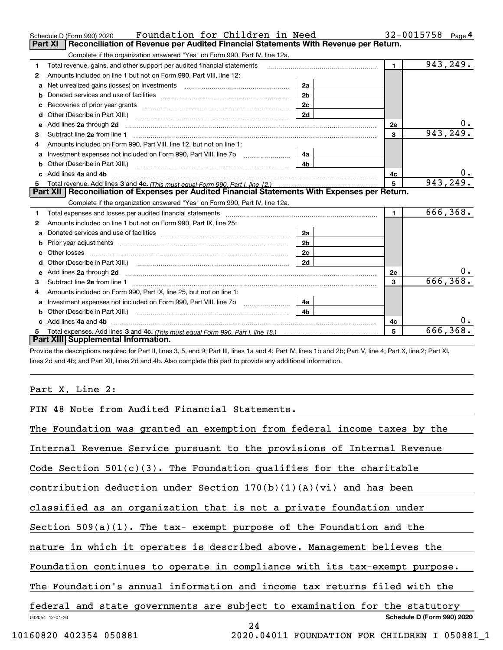| Reconciliation of Revenue per Audited Financial Statements With Revenue per Return.<br><b>Part XI</b><br>Complete if the organization answered "Yes" on Form 990, Part IV, line 12a.<br>943,249.<br>$\blacksquare$<br>Total revenue, gains, and other support per audited financial statements<br>1<br>Amounts included on line 1 but not on Form 990, Part VIII, line 12:<br>2<br>Net unrealized gains (losses) on investments [11] matter contracts and the unrealized gains (losses) on investments<br>2a<br>a<br>2 <sub>b</sub><br>2c<br>2d<br>d<br>υ.<br>Add lines 2a through 2d<br>2e<br>е<br>943, 249.<br>3<br>3.<br>Amounts included on Form 990, Part VIII, line 12, but not on line 1:<br>4<br>4a<br>4 <sub>b</sub><br>υ.<br>c Add lines 4a and 4b<br>4c<br>943, 249.<br>5<br>Part XII   Reconciliation of Expenses per Audited Financial Statements With Expenses per Return.<br>Complete if the organization answered "Yes" on Form 990, Part IV, line 12a.<br>666,368.<br>$\blacksquare$<br>Total expenses and losses per audited financial statements [11] [11] Total expenses and losses per audited financial statements [11] [11] Total expenses and losses per audited financial statements<br>1<br>Amounts included on line 1 but not on Form 990, Part IX, line 25:<br>2<br>2a<br>a<br>2 <sub>b</sub><br>b<br>2c<br>2d<br>d<br>υ.<br>e Add lines 2a through 2d <b>contract and a contract and a contract a</b> contract a contract and a contract a contract a contract a contract a contract a contract a contract a contract a contract a contract a contract a contra<br>2e<br>666, 368.<br>3<br>3<br>Amounts included on Form 990, Part IX, line 25, but not on line 1:<br>4<br>4a<br>a<br>4h<br>Other (Describe in Part XIII.)<br>c Add lines 4a and 4b<br>4c<br>666, 368.<br>5<br>Part XIII Supplemental Information. | Foundation for Children in Need<br>Schedule D (Form 990) 2020 |  | 32-0015758<br>Page 4 |
|-------------------------------------------------------------------------------------------------------------------------------------------------------------------------------------------------------------------------------------------------------------------------------------------------------------------------------------------------------------------------------------------------------------------------------------------------------------------------------------------------------------------------------------------------------------------------------------------------------------------------------------------------------------------------------------------------------------------------------------------------------------------------------------------------------------------------------------------------------------------------------------------------------------------------------------------------------------------------------------------------------------------------------------------------------------------------------------------------------------------------------------------------------------------------------------------------------------------------------------------------------------------------------------------------------------------------------------------------------------------------------------------------------------------------------------------------------------------------------------------------------------------------------------------------------------------------------------------------------------------------------------------------------------------------------------------------------------------------------------------------------------------------------------------------------------------------------------------------|---------------------------------------------------------------|--|----------------------|
|                                                                                                                                                                                                                                                                                                                                                                                                                                                                                                                                                                                                                                                                                                                                                                                                                                                                                                                                                                                                                                                                                                                                                                                                                                                                                                                                                                                                                                                                                                                                                                                                                                                                                                                                                                                                                                                 |                                                               |  |                      |
|                                                                                                                                                                                                                                                                                                                                                                                                                                                                                                                                                                                                                                                                                                                                                                                                                                                                                                                                                                                                                                                                                                                                                                                                                                                                                                                                                                                                                                                                                                                                                                                                                                                                                                                                                                                                                                                 |                                                               |  |                      |
|                                                                                                                                                                                                                                                                                                                                                                                                                                                                                                                                                                                                                                                                                                                                                                                                                                                                                                                                                                                                                                                                                                                                                                                                                                                                                                                                                                                                                                                                                                                                                                                                                                                                                                                                                                                                                                                 |                                                               |  |                      |
|                                                                                                                                                                                                                                                                                                                                                                                                                                                                                                                                                                                                                                                                                                                                                                                                                                                                                                                                                                                                                                                                                                                                                                                                                                                                                                                                                                                                                                                                                                                                                                                                                                                                                                                                                                                                                                                 |                                                               |  |                      |
|                                                                                                                                                                                                                                                                                                                                                                                                                                                                                                                                                                                                                                                                                                                                                                                                                                                                                                                                                                                                                                                                                                                                                                                                                                                                                                                                                                                                                                                                                                                                                                                                                                                                                                                                                                                                                                                 |                                                               |  |                      |
|                                                                                                                                                                                                                                                                                                                                                                                                                                                                                                                                                                                                                                                                                                                                                                                                                                                                                                                                                                                                                                                                                                                                                                                                                                                                                                                                                                                                                                                                                                                                                                                                                                                                                                                                                                                                                                                 |                                                               |  |                      |
|                                                                                                                                                                                                                                                                                                                                                                                                                                                                                                                                                                                                                                                                                                                                                                                                                                                                                                                                                                                                                                                                                                                                                                                                                                                                                                                                                                                                                                                                                                                                                                                                                                                                                                                                                                                                                                                 |                                                               |  |                      |
|                                                                                                                                                                                                                                                                                                                                                                                                                                                                                                                                                                                                                                                                                                                                                                                                                                                                                                                                                                                                                                                                                                                                                                                                                                                                                                                                                                                                                                                                                                                                                                                                                                                                                                                                                                                                                                                 |                                                               |  |                      |
|                                                                                                                                                                                                                                                                                                                                                                                                                                                                                                                                                                                                                                                                                                                                                                                                                                                                                                                                                                                                                                                                                                                                                                                                                                                                                                                                                                                                                                                                                                                                                                                                                                                                                                                                                                                                                                                 |                                                               |  |                      |
|                                                                                                                                                                                                                                                                                                                                                                                                                                                                                                                                                                                                                                                                                                                                                                                                                                                                                                                                                                                                                                                                                                                                                                                                                                                                                                                                                                                                                                                                                                                                                                                                                                                                                                                                                                                                                                                 |                                                               |  |                      |
|                                                                                                                                                                                                                                                                                                                                                                                                                                                                                                                                                                                                                                                                                                                                                                                                                                                                                                                                                                                                                                                                                                                                                                                                                                                                                                                                                                                                                                                                                                                                                                                                                                                                                                                                                                                                                                                 |                                                               |  |                      |
|                                                                                                                                                                                                                                                                                                                                                                                                                                                                                                                                                                                                                                                                                                                                                                                                                                                                                                                                                                                                                                                                                                                                                                                                                                                                                                                                                                                                                                                                                                                                                                                                                                                                                                                                                                                                                                                 |                                                               |  |                      |
|                                                                                                                                                                                                                                                                                                                                                                                                                                                                                                                                                                                                                                                                                                                                                                                                                                                                                                                                                                                                                                                                                                                                                                                                                                                                                                                                                                                                                                                                                                                                                                                                                                                                                                                                                                                                                                                 |                                                               |  |                      |
|                                                                                                                                                                                                                                                                                                                                                                                                                                                                                                                                                                                                                                                                                                                                                                                                                                                                                                                                                                                                                                                                                                                                                                                                                                                                                                                                                                                                                                                                                                                                                                                                                                                                                                                                                                                                                                                 |                                                               |  |                      |
|                                                                                                                                                                                                                                                                                                                                                                                                                                                                                                                                                                                                                                                                                                                                                                                                                                                                                                                                                                                                                                                                                                                                                                                                                                                                                                                                                                                                                                                                                                                                                                                                                                                                                                                                                                                                                                                 |                                                               |  |                      |
|                                                                                                                                                                                                                                                                                                                                                                                                                                                                                                                                                                                                                                                                                                                                                                                                                                                                                                                                                                                                                                                                                                                                                                                                                                                                                                                                                                                                                                                                                                                                                                                                                                                                                                                                                                                                                                                 |                                                               |  |                      |
|                                                                                                                                                                                                                                                                                                                                                                                                                                                                                                                                                                                                                                                                                                                                                                                                                                                                                                                                                                                                                                                                                                                                                                                                                                                                                                                                                                                                                                                                                                                                                                                                                                                                                                                                                                                                                                                 |                                                               |  |                      |
|                                                                                                                                                                                                                                                                                                                                                                                                                                                                                                                                                                                                                                                                                                                                                                                                                                                                                                                                                                                                                                                                                                                                                                                                                                                                                                                                                                                                                                                                                                                                                                                                                                                                                                                                                                                                                                                 |                                                               |  |                      |
|                                                                                                                                                                                                                                                                                                                                                                                                                                                                                                                                                                                                                                                                                                                                                                                                                                                                                                                                                                                                                                                                                                                                                                                                                                                                                                                                                                                                                                                                                                                                                                                                                                                                                                                                                                                                                                                 |                                                               |  |                      |
|                                                                                                                                                                                                                                                                                                                                                                                                                                                                                                                                                                                                                                                                                                                                                                                                                                                                                                                                                                                                                                                                                                                                                                                                                                                                                                                                                                                                                                                                                                                                                                                                                                                                                                                                                                                                                                                 |                                                               |  |                      |
|                                                                                                                                                                                                                                                                                                                                                                                                                                                                                                                                                                                                                                                                                                                                                                                                                                                                                                                                                                                                                                                                                                                                                                                                                                                                                                                                                                                                                                                                                                                                                                                                                                                                                                                                                                                                                                                 |                                                               |  |                      |
|                                                                                                                                                                                                                                                                                                                                                                                                                                                                                                                                                                                                                                                                                                                                                                                                                                                                                                                                                                                                                                                                                                                                                                                                                                                                                                                                                                                                                                                                                                                                                                                                                                                                                                                                                                                                                                                 |                                                               |  |                      |
|                                                                                                                                                                                                                                                                                                                                                                                                                                                                                                                                                                                                                                                                                                                                                                                                                                                                                                                                                                                                                                                                                                                                                                                                                                                                                                                                                                                                                                                                                                                                                                                                                                                                                                                                                                                                                                                 |                                                               |  |                      |
|                                                                                                                                                                                                                                                                                                                                                                                                                                                                                                                                                                                                                                                                                                                                                                                                                                                                                                                                                                                                                                                                                                                                                                                                                                                                                                                                                                                                                                                                                                                                                                                                                                                                                                                                                                                                                                                 |                                                               |  |                      |
|                                                                                                                                                                                                                                                                                                                                                                                                                                                                                                                                                                                                                                                                                                                                                                                                                                                                                                                                                                                                                                                                                                                                                                                                                                                                                                                                                                                                                                                                                                                                                                                                                                                                                                                                                                                                                                                 |                                                               |  |                      |
|                                                                                                                                                                                                                                                                                                                                                                                                                                                                                                                                                                                                                                                                                                                                                                                                                                                                                                                                                                                                                                                                                                                                                                                                                                                                                                                                                                                                                                                                                                                                                                                                                                                                                                                                                                                                                                                 |                                                               |  |                      |
|                                                                                                                                                                                                                                                                                                                                                                                                                                                                                                                                                                                                                                                                                                                                                                                                                                                                                                                                                                                                                                                                                                                                                                                                                                                                                                                                                                                                                                                                                                                                                                                                                                                                                                                                                                                                                                                 |                                                               |  |                      |
|                                                                                                                                                                                                                                                                                                                                                                                                                                                                                                                                                                                                                                                                                                                                                                                                                                                                                                                                                                                                                                                                                                                                                                                                                                                                                                                                                                                                                                                                                                                                                                                                                                                                                                                                                                                                                                                 |                                                               |  |                      |
|                                                                                                                                                                                                                                                                                                                                                                                                                                                                                                                                                                                                                                                                                                                                                                                                                                                                                                                                                                                                                                                                                                                                                                                                                                                                                                                                                                                                                                                                                                                                                                                                                                                                                                                                                                                                                                                 |                                                               |  |                      |
|                                                                                                                                                                                                                                                                                                                                                                                                                                                                                                                                                                                                                                                                                                                                                                                                                                                                                                                                                                                                                                                                                                                                                                                                                                                                                                                                                                                                                                                                                                                                                                                                                                                                                                                                                                                                                                                 |                                                               |  |                      |
|                                                                                                                                                                                                                                                                                                                                                                                                                                                                                                                                                                                                                                                                                                                                                                                                                                                                                                                                                                                                                                                                                                                                                                                                                                                                                                                                                                                                                                                                                                                                                                                                                                                                                                                                                                                                                                                 |                                                               |  |                      |

Provide the descriptions required for Part II, lines 3, 5, and 9; Part III, lines 1a and 4; Part IV, lines 1b and 2b; Part V, line 4; Part X, line 2; Part XI, lines 2d and 4b; and Part XII, lines 2d and 4b. Also complete this part to provide any additional information.

## Part X, Line 2:

FIN 48 Note from Audited Financial Statements.

The Foundation was granted an exemption from federal income taxes by the

Internal Revenue Service pursuant to the provisions of Internal Revenue

Code Section  $501(c)(3)$ . The Foundation qualifies for the charitable

contribution deduction under Section  $170(b)(1)(A)(vi)$  and has been

classified as an organization that is not a private foundation under

Section 509(a)(1). The tax- exempt purpose of the Foundation and the

nature in which it operates is described above. Management believes the

Foundation continues to operate in compliance with its tax-exempt purpose.

The Foundation's annual information and income tax returns filed with the

032054 12-01-20 **Schedule D (Form 990) 2020** federal and state governments are subject to examination for the statutory

24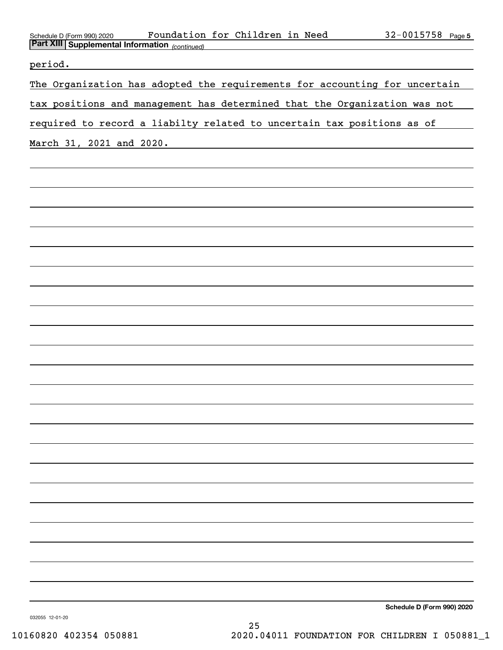| Foundation for Children in Need<br>Schedule D (Form 990) 2020<br><b>Part XIII Supplemental Information</b> (continued)           | $32 - 0015758$ Page 5      |
|----------------------------------------------------------------------------------------------------------------------------------|----------------------------|
| period.<br><u> 1989 - Johann Harry Barn, mars and de Branch and de Branch and de Branch and de Branch and de Branch and de B</u> |                            |
| The Organization has adopted the requirements for accounting for uncertain                                                       |                            |
| tax positions and management has determined that the Organization was not                                                        |                            |
| required to record a liabilty related to uncertain tax positions as of                                                           |                            |
| March 31, 2021 and 2020.                                                                                                         |                            |
|                                                                                                                                  |                            |
|                                                                                                                                  |                            |
|                                                                                                                                  |                            |
|                                                                                                                                  |                            |
|                                                                                                                                  |                            |
|                                                                                                                                  |                            |
|                                                                                                                                  |                            |
|                                                                                                                                  |                            |
|                                                                                                                                  |                            |
|                                                                                                                                  |                            |
|                                                                                                                                  |                            |
|                                                                                                                                  |                            |
|                                                                                                                                  |                            |
|                                                                                                                                  |                            |
|                                                                                                                                  |                            |
|                                                                                                                                  |                            |
|                                                                                                                                  |                            |
|                                                                                                                                  |                            |
|                                                                                                                                  |                            |
|                                                                                                                                  |                            |
|                                                                                                                                  |                            |
|                                                                                                                                  |                            |
|                                                                                                                                  | Schedule D (Form 990) 2020 |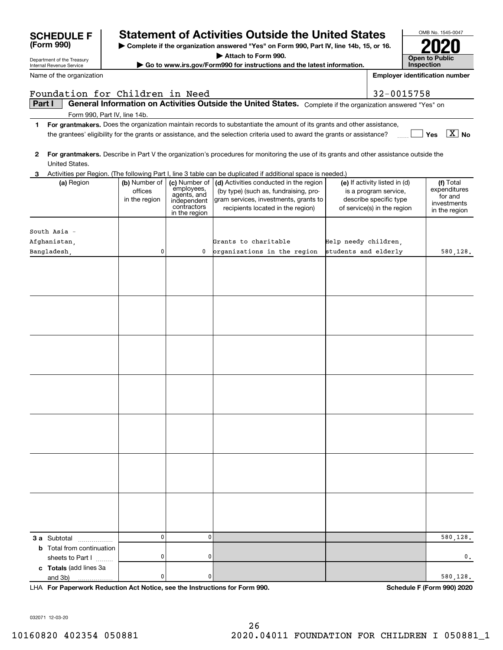|        | Department of the Treasury                           | <b>Open to Public</b>                     |                                                                                           |                                                                                                                                                               |                      |                                                                                                                 |                                                                      |
|--------|------------------------------------------------------|-------------------------------------------|-------------------------------------------------------------------------------------------|---------------------------------------------------------------------------------------------------------------------------------------------------------------|----------------------|-----------------------------------------------------------------------------------------------------------------|----------------------------------------------------------------------|
|        | Internal Revenue Service                             |                                           |                                                                                           | Go to www.irs.gov/Form990 for instructions and the latest information.                                                                                        |                      |                                                                                                                 | <b>Inspection</b>                                                    |
|        | Name of the organization                             |                                           |                                                                                           |                                                                                                                                                               |                      |                                                                                                                 | <b>Employer identification number</b>                                |
|        | Foundation for Children in Need                      |                                           |                                                                                           |                                                                                                                                                               |                      | 32-0015758                                                                                                      |                                                                      |
| Part I | Form 990, Part IV, line 14b.                         |                                           |                                                                                           | General Information on Activities Outside the United States. Complete if the organization answered "Yes" on                                                   |                      |                                                                                                                 |                                                                      |
| 1      |                                                      |                                           |                                                                                           | For grantmakers. Does the organization maintain records to substantiate the amount of its grants and other assistance,                                        |                      |                                                                                                                 |                                                                      |
|        |                                                      |                                           |                                                                                           | the grantees' eligibility for the grants or assistance, and the selection criteria used to award the grants or assistance?                                    |                      |                                                                                                                 | $\overline{X}$ No<br>Yes                                             |
| 2      | United States.                                       |                                           |                                                                                           | For grantmakers. Describe in Part V the organization's procedures for monitoring the use of its grants and other assistance outside the                       |                      |                                                                                                                 |                                                                      |
| З      |                                                      |                                           |                                                                                           | Activities per Region. (The following Part I, line 3 table can be duplicated if additional space is needed.)                                                  |                      |                                                                                                                 |                                                                      |
|        | (a) Region                                           | (b) Number of<br>offices<br>in the region | (c) Number of<br>employees,<br>agents, and<br>independent<br>contractors<br>in the region | (d) Activities conducted in the region<br>(by type) (such as, fundraising, pro-<br>gram services, investments, grants to<br>recipients located in the region) |                      | (e) If activity listed in (d)<br>is a program service,<br>describe specific type<br>of service(s) in the region | (f) Total<br>expenditures<br>for and<br>investments<br>in the region |
|        |                                                      |                                           |                                                                                           |                                                                                                                                                               |                      |                                                                                                                 |                                                                      |
|        | South Asia -                                         |                                           |                                                                                           |                                                                                                                                                               |                      |                                                                                                                 |                                                                      |
|        | Afghanistan,                                         |                                           |                                                                                           | Grants to charitable                                                                                                                                          | Help needy children, |                                                                                                                 |                                                                      |
|        | Bangladesh,                                          | 0                                         | 0                                                                                         | prganizations in the region                                                                                                                                   | students and elderly |                                                                                                                 | 580,128.                                                             |
|        |                                                      |                                           |                                                                                           |                                                                                                                                                               |                      |                                                                                                                 |                                                                      |
|        |                                                      |                                           |                                                                                           |                                                                                                                                                               |                      |                                                                                                                 |                                                                      |
|        |                                                      |                                           |                                                                                           |                                                                                                                                                               |                      |                                                                                                                 |                                                                      |
|        |                                                      |                                           |                                                                                           |                                                                                                                                                               |                      |                                                                                                                 |                                                                      |
|        |                                                      |                                           |                                                                                           |                                                                                                                                                               |                      |                                                                                                                 |                                                                      |
|        |                                                      |                                           |                                                                                           |                                                                                                                                                               |                      |                                                                                                                 |                                                                      |
|        |                                                      |                                           |                                                                                           |                                                                                                                                                               |                      |                                                                                                                 |                                                                      |
|        | 3 a Subtotal                                         | 0                                         | 0                                                                                         |                                                                                                                                                               |                      |                                                                                                                 | 580,128.                                                             |
|        | <b>b</b> Total from continuation<br>sheets to Part I | 0                                         | 0                                                                                         |                                                                                                                                                               |                      |                                                                                                                 | $\mathbf 0$ .                                                        |
|        | c Totals (add lines 3a<br>and 3b)<br>.               | 0                                         | 0                                                                                         |                                                                                                                                                               |                      |                                                                                                                 | 580,128.                                                             |

**| Complete if the organization answered "Yes" on Form 990, Part IV, line 14b, 15, or 16.**

**SCHEDULE F Statement of Activities Outside the United States**

**For Paperwork Reduction Act Notice, see the Instructions for Form 990. Schedule F (Form 990) 2020** LHA

OMB No. 1545-0047

**2020**

032071 12-03-20

**(Form 990)**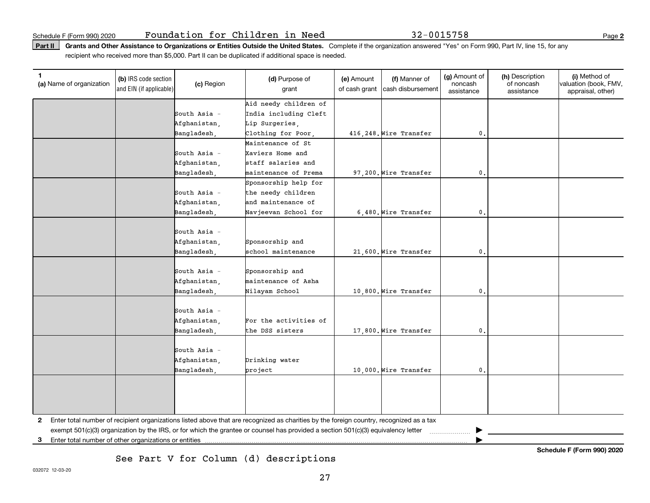Part II | Grants and Other Assistance to Organizations or Entities Outside the United States. Complete if the organization answered "Yes" on Form 990, Part IV, line 15, for any recipient who received more than \$5,000. Part II can be duplicated if additional space is needed.

| (a) Name of organization | (b) IRS code section<br>and EIN (if applicable) | (c) Region     | (d) Purpose of<br>grant                                                                                                                 | (e) Amount<br>of cash grant | (f) Manner of<br>cash disbursement | (g) Amount of<br>noncash<br>assistance | (h) Description<br>of noncash<br>assistance | (i) Method of<br>valuation (book, FMV,<br>appraisal, other) |
|--------------------------|-------------------------------------------------|----------------|-----------------------------------------------------------------------------------------------------------------------------------------|-----------------------------|------------------------------------|----------------------------------------|---------------------------------------------|-------------------------------------------------------------|
|                          |                                                 |                | Aid needy children of                                                                                                                   |                             |                                    |                                        |                                             |                                                             |
|                          |                                                 | South Asia -   | India including Cleft                                                                                                                   |                             |                                    |                                        |                                             |                                                             |
|                          |                                                 | Afghanistan,   | Lip Surgeries,                                                                                                                          |                             |                                    |                                        |                                             |                                                             |
|                          |                                                 | Bangladesh,    | Clothing for Poor,                                                                                                                      |                             | 416, 248. Wire Transfer            | $\mathbf{0}$ .                         |                                             |                                                             |
|                          |                                                 |                | Maintenance of St                                                                                                                       |                             |                                    |                                        |                                             |                                                             |
|                          |                                                 | South Asia -   | Xaviers Home and                                                                                                                        |                             |                                    |                                        |                                             |                                                             |
|                          |                                                 | Afghanistan,   | staff salaries and                                                                                                                      |                             |                                    |                                        |                                             |                                                             |
|                          |                                                 | Bangladesh,    | maintenance of Prema                                                                                                                    |                             | 97,200. Wire Transfer              | $\mathbf{0}$ .                         |                                             |                                                             |
|                          |                                                 |                | Sponsorship help for                                                                                                                    |                             |                                    |                                        |                                             |                                                             |
|                          |                                                 | South Asia -   | the needy children                                                                                                                      |                             |                                    |                                        |                                             |                                                             |
|                          |                                                 | Afghanistan,   | and maintenance of                                                                                                                      |                             |                                    |                                        |                                             |                                                             |
|                          |                                                 | Bangladesh,    | Navjeevan School for                                                                                                                    |                             | 6,480. Wire Transfer               | $\mathbf{0}$ .                         |                                             |                                                             |
|                          |                                                 |                |                                                                                                                                         |                             |                                    |                                        |                                             |                                                             |
|                          |                                                 | South Asia -   |                                                                                                                                         |                             |                                    |                                        |                                             |                                                             |
|                          |                                                 | Afghanistan,   | Sponsorship and                                                                                                                         |                             |                                    |                                        |                                             |                                                             |
|                          |                                                 | Bangladesh,    | school maintenance                                                                                                                      |                             | 21,600. Wire Transfer              | $\mathbf{0}$ .                         |                                             |                                                             |
|                          |                                                 |                |                                                                                                                                         |                             |                                    |                                        |                                             |                                                             |
|                          |                                                 | South Asia $-$ | Sponsorship and                                                                                                                         |                             |                                    |                                        |                                             |                                                             |
|                          |                                                 | Afghanistan,   | maintenance of Asha                                                                                                                     |                             |                                    |                                        |                                             |                                                             |
|                          |                                                 | Bangladesh.    | Nilayam School                                                                                                                          |                             | 10,800. Wire Transfer              | $\mathbf{0}$ .                         |                                             |                                                             |
|                          |                                                 |                |                                                                                                                                         |                             |                                    |                                        |                                             |                                                             |
|                          |                                                 | South Asia -   |                                                                                                                                         |                             |                                    |                                        |                                             |                                                             |
|                          |                                                 | Afghanistan,   | For the activities of                                                                                                                   |                             |                                    |                                        |                                             |                                                             |
|                          |                                                 | Bangladesh.    | the DSS sisters                                                                                                                         |                             | 17,800. Wire Transfer              | $\mathbf{0}$ .                         |                                             |                                                             |
|                          |                                                 |                |                                                                                                                                         |                             |                                    |                                        |                                             |                                                             |
|                          |                                                 | South Asia -   |                                                                                                                                         |                             |                                    |                                        |                                             |                                                             |
|                          |                                                 | Afghanistan,   | Drinking water                                                                                                                          |                             |                                    |                                        |                                             |                                                             |
|                          |                                                 | Bangladesh,    | project                                                                                                                                 |                             | 10,000. Wire Transfer              | $\mathbf{0}$ .                         |                                             |                                                             |
|                          |                                                 |                |                                                                                                                                         |                             |                                    |                                        |                                             |                                                             |
|                          |                                                 |                |                                                                                                                                         |                             |                                    |                                        |                                             |                                                             |
|                          |                                                 |                |                                                                                                                                         |                             |                                    |                                        |                                             |                                                             |
|                          |                                                 |                |                                                                                                                                         |                             |                                    |                                        |                                             |                                                             |
| 2                        |                                                 |                | Enter total number of recipient organizations listed above that are recognized as charities by the foreign country, recognized as a tax |                             |                                    |                                        |                                             |                                                             |
|                          |                                                 |                | exempt 501(c)(3) organization by the IRS, or for which the grantee or counsel has provided a section 501(c)(3) equivalency letter       |                             |                                    | ▶<br>.                                 |                                             |                                                             |

**3**Enter total number of other organizations or entities |

See Part V for Column (d) descriptions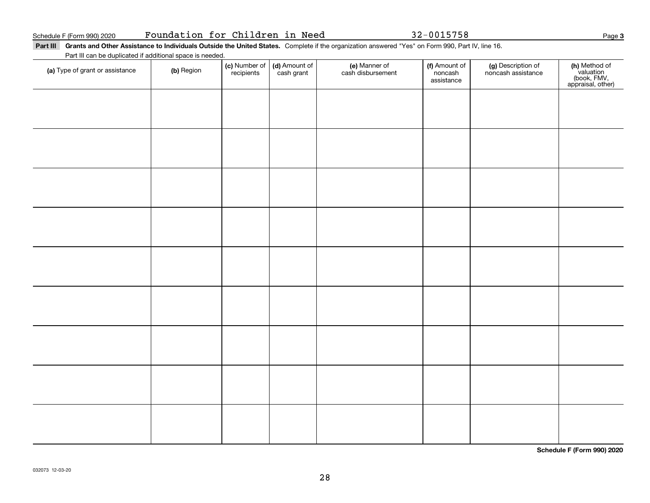Part III Grants and Other Assistance to Individuals Outside the United States. Complete if the organization answered "Yes" on Form 990, Part IV, line 16. Part III can be duplicated if additional space is needed.

| r art in can be adplicated in additional c<br>(a) Type of grant or assistance | (b) Region | (c) Number of<br>recipients | (d) Amount of<br>cash grant | (e) Manner of<br>cash disbursement | (f) Amount of<br>noncash<br>assistance | (g) Description of<br>noncash assistance | (h) Method of<br>valuation<br>(book, FMV,<br>appraisal, other) |
|-------------------------------------------------------------------------------|------------|-----------------------------|-----------------------------|------------------------------------|----------------------------------------|------------------------------------------|----------------------------------------------------------------|
|                                                                               |            |                             |                             |                                    |                                        |                                          |                                                                |
|                                                                               |            |                             |                             |                                    |                                        |                                          |                                                                |
|                                                                               |            |                             |                             |                                    |                                        |                                          |                                                                |
|                                                                               |            |                             |                             |                                    |                                        |                                          |                                                                |
|                                                                               |            |                             |                             |                                    |                                        |                                          |                                                                |
|                                                                               |            |                             |                             |                                    |                                        |                                          |                                                                |
|                                                                               |            |                             |                             |                                    |                                        |                                          |                                                                |
|                                                                               |            |                             |                             |                                    |                                        |                                          |                                                                |
|                                                                               |            |                             |                             |                                    |                                        |                                          |                                                                |
|                                                                               |            |                             |                             |                                    |                                        |                                          |                                                                |
|                                                                               |            |                             |                             |                                    |                                        |                                          |                                                                |
|                                                                               |            |                             |                             |                                    |                                        |                                          |                                                                |

**Schedule F (Form 990) 2020**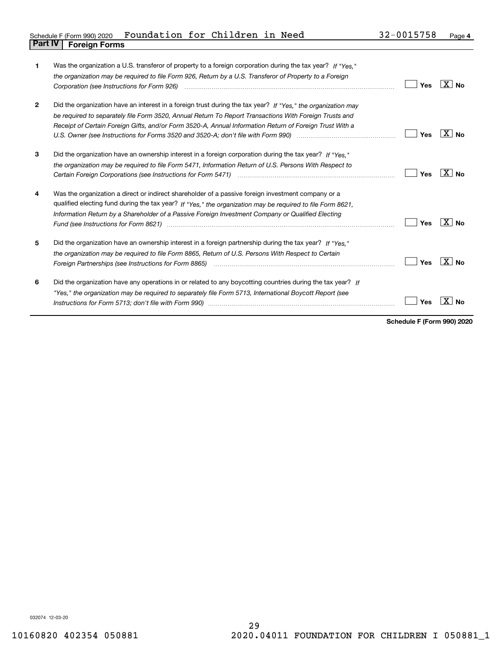| Schedule F (Form 990) 2020     | Foundation for Children in Need |  |  | 32-0015758 | Page |
|--------------------------------|---------------------------------|--|--|------------|------|
| <b>Part IV   Foreign Forms</b> |                                 |  |  |            |      |

| 1            | Was the organization a U.S. transferor of property to a foreign corporation during the tax year? If "Yes."                                          |     |                   |
|--------------|-----------------------------------------------------------------------------------------------------------------------------------------------------|-----|-------------------|
|              | the organization may be required to file Form 926, Return by a U.S. Transferor of Property to a Foreign                                             |     |                   |
|              | Corporation (see Instructions for Form 926) <i>manual content content corporation (see Instructions</i> of Form                                     | Yes | X<br>No.          |
| $\mathbf{2}$ | Did the organization have an interest in a foreign trust during the tax year? If "Yes," the organization may                                        |     |                   |
|              | be required to separately file Form 3520, Annual Return To Report Transactions With Foreign Trusts and                                              |     |                   |
|              | Receipt of Certain Foreign Gifts, and/or Form 3520-A, Annual Information Return of Foreign Trust With a                                             |     |                   |
|              |                                                                                                                                                     | Yes | $X \mid N_{0}$    |
| 3            | Did the organization have an ownership interest in a foreign corporation during the tax year? If "Yes."                                             |     |                   |
|              | the organization may be required to file Form 5471, Information Return of U.S. Persons With Respect to                                              |     |                   |
|              | Certain Foreign Corporations (see Instructions for Form 5471) manufactured contain the content of the Corporations (see Instructions for Form 5471) | Yes | X∣No              |
| 4            | Was the organization a direct or indirect shareholder of a passive foreign investment company or a                                                  |     |                   |
|              | qualified electing fund during the tax year? If "Yes," the organization may be required to file Form 8621,                                          |     |                   |
|              | Information Return by a Shareholder of a Passive Foreign Investment Company or Qualified Electing                                                   |     |                   |
|              |                                                                                                                                                     | Yes | ΧI<br>No          |
| 5            | Did the organization have an ownership interest in a foreign partnership during the tax year? If "Yes."                                             |     |                   |
|              | the organization may be required to file Form 8865, Return of U.S. Persons With Respect to Certain                                                  |     |                   |
|              |                                                                                                                                                     | Yes | -X I<br><b>No</b> |
| 6            | Did the organization have any operations in or related to any boycotting countries during the tax year? If                                          |     |                   |
|              | "Yes," the organization may be reguired to separately file Form 5713, International Boycott Report (see                                             |     |                   |
|              | Instructions for Form 5713; don't file with Form 990) manufactured and the control of the control of the with                                       | Yes | No                |
|              |                                                                                                                                                     |     |                   |

**Schedule F (Form 990) 2020**

032074 12-03-20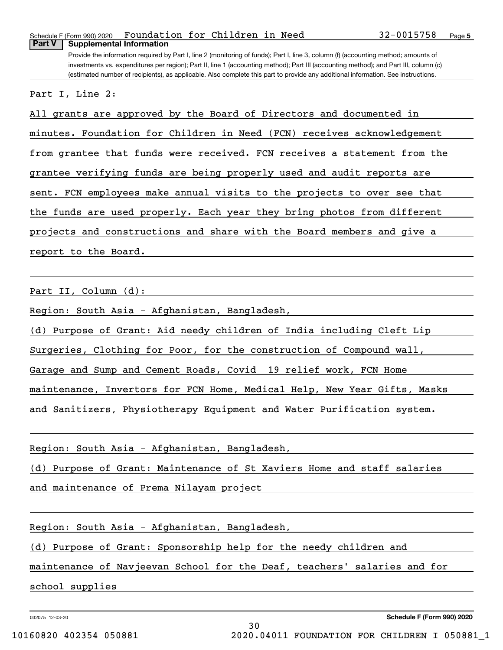Schedule F (Form 990) 2020 **Foundation for Children in Need 32-0015758** Page **Part V Supplemental Information**

Provide the information required by Part I, line 2 (monitoring of funds); Part I, line 3, column (f) (accounting method; amounts of investments vs. expenditures per region); Part II, line 1 (accounting method); Part III (accounting method); and Part III, column (c) (estimated number of recipients), as applicable. Also complete this part to provide any additional information. See instructions.

Part I, Line 2:

All grants are approved by the Board of Directors and documented in minutes. Foundation for Children in Need (FCN) receives acknowledgement from grantee that funds were received. FCN receives a statement from the grantee verifying funds are being properly used and audit reports are sent. FCN employees make annual visits to the projects to over see that the funds are used properly. Each year they bring photos from different projects and constructions and share with the Board members and give a report to the Board.

Part II, Column (d):

Region: South Asia - Afghanistan, Bangladesh,

(d) Purpose of Grant: Aid needy children of India including Cleft Lip

Surgeries, Clothing for Poor, for the construction of Compound wall,

Garage and Sump and Cement Roads, Covid 19 relief work, FCN Home

maintenance, Invertors for FCN Home, Medical Help, New Year Gifts, Masks

and Sanitizers, Physiotherapy Equipment and Water Purification system.

Region: South Asia - Afghanistan, Bangladesh,

(d) Purpose of Grant: Maintenance of St Xaviers Home and staff salaries

and maintenance of Prema Nilayam project

Region: South Asia - Afghanistan, Bangladesh,

(d) Purpose of Grant: Sponsorship help for the needy children and

maintenance of Navjeevan School for the Deaf, teachers' salaries and for

school supplies

032075 12-03-20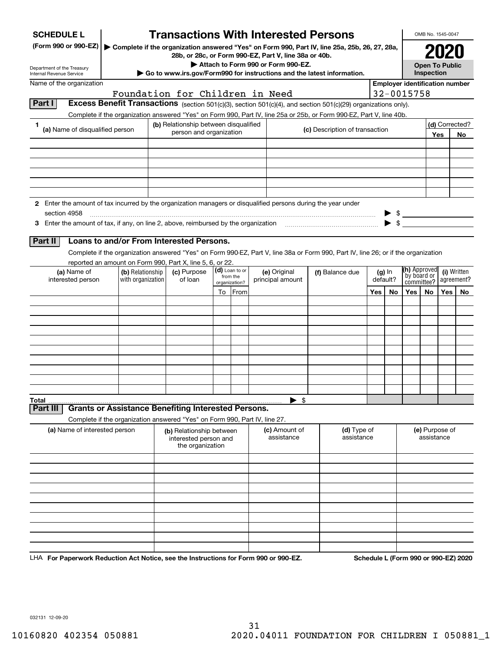| <b>SCHEDULE L</b>                                                                                             |                                                                            |                                                                       |                           | <b>Transactions With Interested Persons</b>                                                                  |                                                                                                                                    |     |                                     |                           | OMB No. 1545-0047            |     |                                       |  |
|---------------------------------------------------------------------------------------------------------------|----------------------------------------------------------------------------|-----------------------------------------------------------------------|---------------------------|--------------------------------------------------------------------------------------------------------------|------------------------------------------------------------------------------------------------------------------------------------|-----|-------------------------------------|---------------------------|------------------------------|-----|---------------------------------------|--|
| (Form 990 or 990-EZ)                                                                                          |                                                                            |                                                                       |                           | 28b, or 28c, or Form 990-EZ, Part V, line 38a or 40b.                                                        | ▶ Complete if the organization answered "Yes" on Form 990, Part IV, line 25a, 25b, 26, 27, 28a,                                    |     |                                     |                           |                              |     |                                       |  |
| Department of the Treasury<br>Internal Revenue Service                                                        |                                                                            |                                                                       |                           | Attach to Form 990 or Form 990-EZ.<br>Go to www.irs.gov/Form990 for instructions and the latest information. |                                                                                                                                    |     | <b>Open To Public</b><br>Inspection |                           |                              |     |                                       |  |
| Name of the organization                                                                                      |                                                                            |                                                                       |                           |                                                                                                              |                                                                                                                                    |     |                                     |                           |                              |     | <b>Employer identification number</b> |  |
| Part I                                                                                                        |                                                                            | Foundation for Children in Need                                       |                           |                                                                                                              | <b>Excess Benefit Transactions</b> (section 501(c)(3), section 501(c)(4), and section 501(c)(29) organizations only).              |     |                                     | 32-0015758                |                              |     |                                       |  |
|                                                                                                               |                                                                            |                                                                       |                           |                                                                                                              | Complete if the organization answered "Yes" on Form 990, Part IV, line 25a or 25b, or Form 990-EZ, Part V, line 40b.               |     |                                     |                           |                              |     |                                       |  |
| (a) Name of disqualified person                                                                               |                                                                            | (b) Relationship between disqualified                                 |                           |                                                                                                              | (c) Description of transaction                                                                                                     |     |                                     |                           |                              |     | (d) Corrected?                        |  |
|                                                                                                               |                                                                            | person and organization                                               |                           |                                                                                                              |                                                                                                                                    |     |                                     |                           |                              | Yes | No.                                   |  |
|                                                                                                               |                                                                            |                                                                       |                           |                                                                                                              |                                                                                                                                    |     |                                     |                           |                              |     |                                       |  |
|                                                                                                               |                                                                            |                                                                       |                           |                                                                                                              |                                                                                                                                    |     |                                     |                           |                              |     |                                       |  |
|                                                                                                               |                                                                            |                                                                       |                           |                                                                                                              |                                                                                                                                    |     |                                     |                           |                              |     |                                       |  |
| 2 Enter the amount of tax incurred by the organization managers or disqualified persons during the year under |                                                                            |                                                                       |                           |                                                                                                              |                                                                                                                                    |     |                                     |                           |                              |     |                                       |  |
| section 4958                                                                                                  |                                                                            |                                                                       |                           |                                                                                                              |                                                                                                                                    |     |                                     |                           |                              |     | $\frac{1}{2}$                         |  |
| 3 Enter the amount of tax, if any, on line 2, above, reimbursed by the organization                           |                                                                            |                                                                       |                           |                                                                                                              |                                                                                                                                    |     | -\$                                 |                           |                              |     |                                       |  |
| Part II                                                                                                       | Loans to and/or From Interested Persons.                                   |                                                                       |                           |                                                                                                              |                                                                                                                                    |     |                                     |                           |                              |     |                                       |  |
|                                                                                                               |                                                                            |                                                                       |                           |                                                                                                              | Complete if the organization answered "Yes" on Form 990-EZ, Part V, line 38a or Form 990, Part IV, line 26; or if the organization |     |                                     |                           |                              |     |                                       |  |
|                                                                                                               | reported an amount on Form 990, Part X, line 5, 6, or 22.                  |                                                                       | (d) Loan to or            |                                                                                                              |                                                                                                                                    |     |                                     | (h) Approved              |                              |     |                                       |  |
| (a) Name of<br>interested person                                                                              | (b) Relationship<br>with organization                                      | (c) Purpose<br>of loan                                                | from the<br>organization? | (e) Original<br>principal amount                                                                             | (f) Balance due                                                                                                                    |     | $(g)$ In<br>default?                | by board or<br>committee? |                              |     | (i) Written<br>agreement?             |  |
|                                                                                                               |                                                                            |                                                                       | To From                   |                                                                                                              |                                                                                                                                    | Yes | No                                  | Yes                       | No.                          | Yes | No.                                   |  |
|                                                                                                               |                                                                            |                                                                       |                           |                                                                                                              |                                                                                                                                    |     |                                     |                           |                              |     |                                       |  |
|                                                                                                               |                                                                            |                                                                       |                           |                                                                                                              |                                                                                                                                    |     |                                     |                           |                              |     |                                       |  |
|                                                                                                               |                                                                            |                                                                       |                           |                                                                                                              |                                                                                                                                    |     |                                     |                           |                              |     |                                       |  |
|                                                                                                               |                                                                            |                                                                       |                           |                                                                                                              |                                                                                                                                    |     |                                     |                           |                              |     |                                       |  |
|                                                                                                               |                                                                            |                                                                       |                           |                                                                                                              |                                                                                                                                    |     |                                     |                           |                              |     |                                       |  |
|                                                                                                               |                                                                            |                                                                       |                           |                                                                                                              |                                                                                                                                    |     |                                     |                           |                              |     |                                       |  |
|                                                                                                               |                                                                            |                                                                       |                           |                                                                                                              |                                                                                                                                    |     |                                     |                           |                              |     |                                       |  |
|                                                                                                               |                                                                            |                                                                       |                           |                                                                                                              |                                                                                                                                    |     |                                     |                           |                              |     |                                       |  |
| Total<br>Part III                                                                                             | <b>Grants or Assistance Benefiting Interested Persons.</b>                 |                                                                       |                           | ► \$                                                                                                         |                                                                                                                                    |     |                                     |                           |                              |     |                                       |  |
|                                                                                                               | Complete if the organization answered "Yes" on Form 990, Part IV, line 27. |                                                                       |                           |                                                                                                              |                                                                                                                                    |     |                                     |                           |                              |     |                                       |  |
| (a) Name of interested person                                                                                 |                                                                            | (b) Relationship between<br>interested person and<br>the organization |                           | (c) Amount of<br>assistance                                                                                  | (d) Type of<br>assistance                                                                                                          |     |                                     |                           | (e) Purpose of<br>assistance |     |                                       |  |
|                                                                                                               |                                                                            |                                                                       |                           |                                                                                                              |                                                                                                                                    |     |                                     |                           |                              |     |                                       |  |
|                                                                                                               |                                                                            |                                                                       |                           |                                                                                                              |                                                                                                                                    |     |                                     |                           |                              |     |                                       |  |
|                                                                                                               |                                                                            |                                                                       |                           |                                                                                                              |                                                                                                                                    |     |                                     |                           |                              |     |                                       |  |
|                                                                                                               |                                                                            |                                                                       |                           |                                                                                                              |                                                                                                                                    |     |                                     |                           |                              |     |                                       |  |
|                                                                                                               |                                                                            |                                                                       |                           |                                                                                                              |                                                                                                                                    |     |                                     |                           |                              |     |                                       |  |
|                                                                                                               |                                                                            |                                                                       |                           |                                                                                                              |                                                                                                                                    |     |                                     |                           |                              |     |                                       |  |
|                                                                                                               |                                                                            |                                                                       |                           |                                                                                                              |                                                                                                                                    |     |                                     |                           |                              |     |                                       |  |
|                                                                                                               |                                                                            |                                                                       |                           |                                                                                                              |                                                                                                                                    |     |                                     |                           |                              |     |                                       |  |

LHA For Paperwork Reduction Act Notice, see the Instructions for Form 990 or 990-EZ. Schedule L (Form 990 or 990-EZ) 2020

032131 12-09-20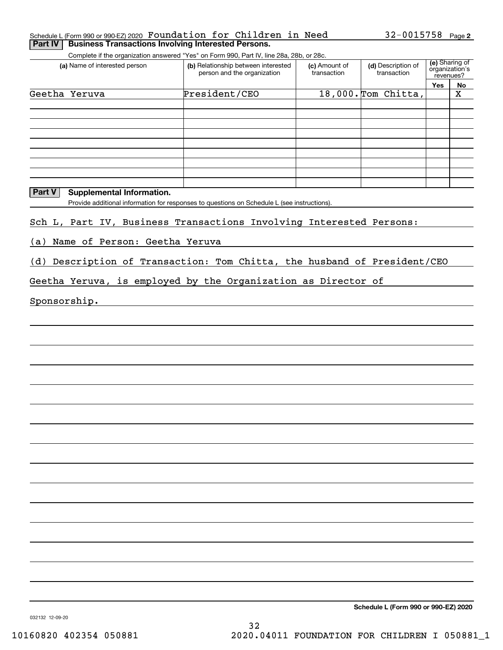#### Schedule L (Form 990 or 990-EZ) 2020 Page Foundation for Children in Need **Part IV** Business Transactions Involving Interested Persons.

Complete if the organization answered "Yes" on Form 990, Part IV, line 28a, 28b, or 28c.

| (a) Name of interested person      | (b) Relationship between interested<br>person and the organization | (c) Amount of<br>transaction | (d) Description of<br>transaction |     | (e) Sharing of<br>organization's<br>revenues? |  |
|------------------------------------|--------------------------------------------------------------------|------------------------------|-----------------------------------|-----|-----------------------------------------------|--|
|                                    |                                                                    |                              |                                   | Yes | No                                            |  |
| Geetha<br>Yeruva                   | President/CEO                                                      |                              | 18,000. Tom Chitta,               |     | X                                             |  |
|                                    |                                                                    |                              |                                   |     |                                               |  |
|                                    |                                                                    |                              |                                   |     |                                               |  |
|                                    |                                                                    |                              |                                   |     |                                               |  |
|                                    |                                                                    |                              |                                   |     |                                               |  |
|                                    |                                                                    |                              |                                   |     |                                               |  |
|                                    |                                                                    |                              |                                   |     |                                               |  |
|                                    |                                                                    |                              |                                   |     |                                               |  |
|                                    |                                                                    |                              |                                   |     |                                               |  |
|                                    |                                                                    |                              |                                   |     |                                               |  |
| Part V<br>Supplemental Information |                                                                    |                              |                                   |     |                                               |  |

**Part V Supplemental Information.**

Provide additional information for responses to questions on Schedule L (see instructions).

Sch L, Part IV, Business Transactions Involving Interested Persons:

(a) Name of Person: Geetha Yeruva

(d) Description of Transaction: Tom Chitta, the husband of President/CEO

Geetha Yeruva, is employed by the Organization as Director of

Sponsorship.

**Schedule L (Form 990 or 990-EZ) 2020**

032132 12-09-20